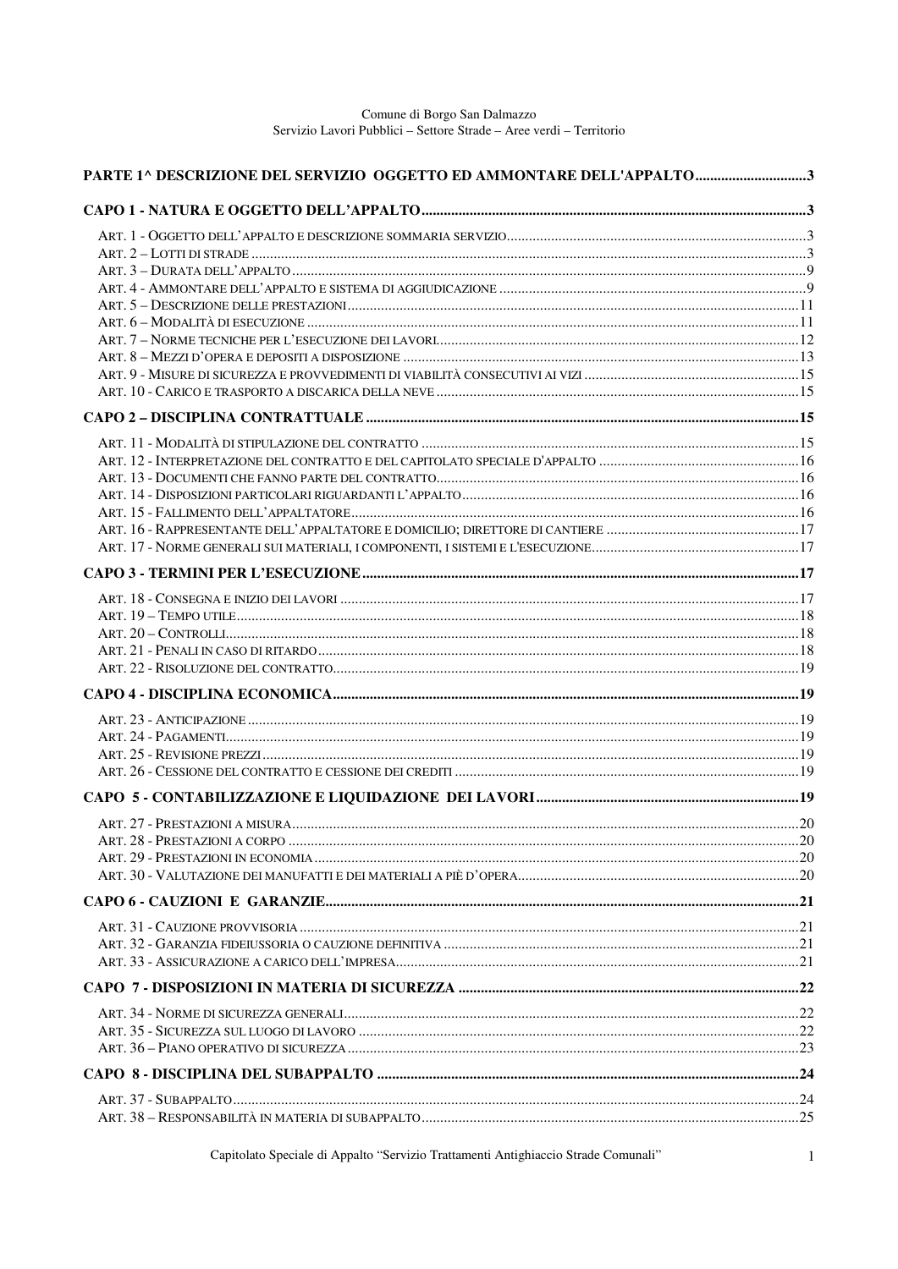| PARTE 1^ DESCRIZIONE DEL SERVIZIO OGGETTO ED AMMONTARE DELL'APPALTO3 |  |
|----------------------------------------------------------------------|--|
|                                                                      |  |
|                                                                      |  |
|                                                                      |  |
|                                                                      |  |
|                                                                      |  |
|                                                                      |  |
|                                                                      |  |
|                                                                      |  |
|                                                                      |  |
|                                                                      |  |
|                                                                      |  |
|                                                                      |  |
|                                                                      |  |
|                                                                      |  |
|                                                                      |  |
|                                                                      |  |
|                                                                      |  |
|                                                                      |  |
|                                                                      |  |
|                                                                      |  |
|                                                                      |  |
|                                                                      |  |
|                                                                      |  |
|                                                                      |  |
|                                                                      |  |
|                                                                      |  |
|                                                                      |  |
|                                                                      |  |
|                                                                      |  |
|                                                                      |  |
|                                                                      |  |
|                                                                      |  |
|                                                                      |  |
|                                                                      |  |
|                                                                      |  |
|                                                                      |  |
|                                                                      |  |
|                                                                      |  |
|                                                                      |  |
|                                                                      |  |
|                                                                      |  |
|                                                                      |  |
|                                                                      |  |
|                                                                      |  |
|                                                                      |  |
|                                                                      |  |
|                                                                      |  |

Capitolato Speciale di Appalto "Servizio Trattamenti Antighiaccio Strade Comunali"

 $\mathbf{1}$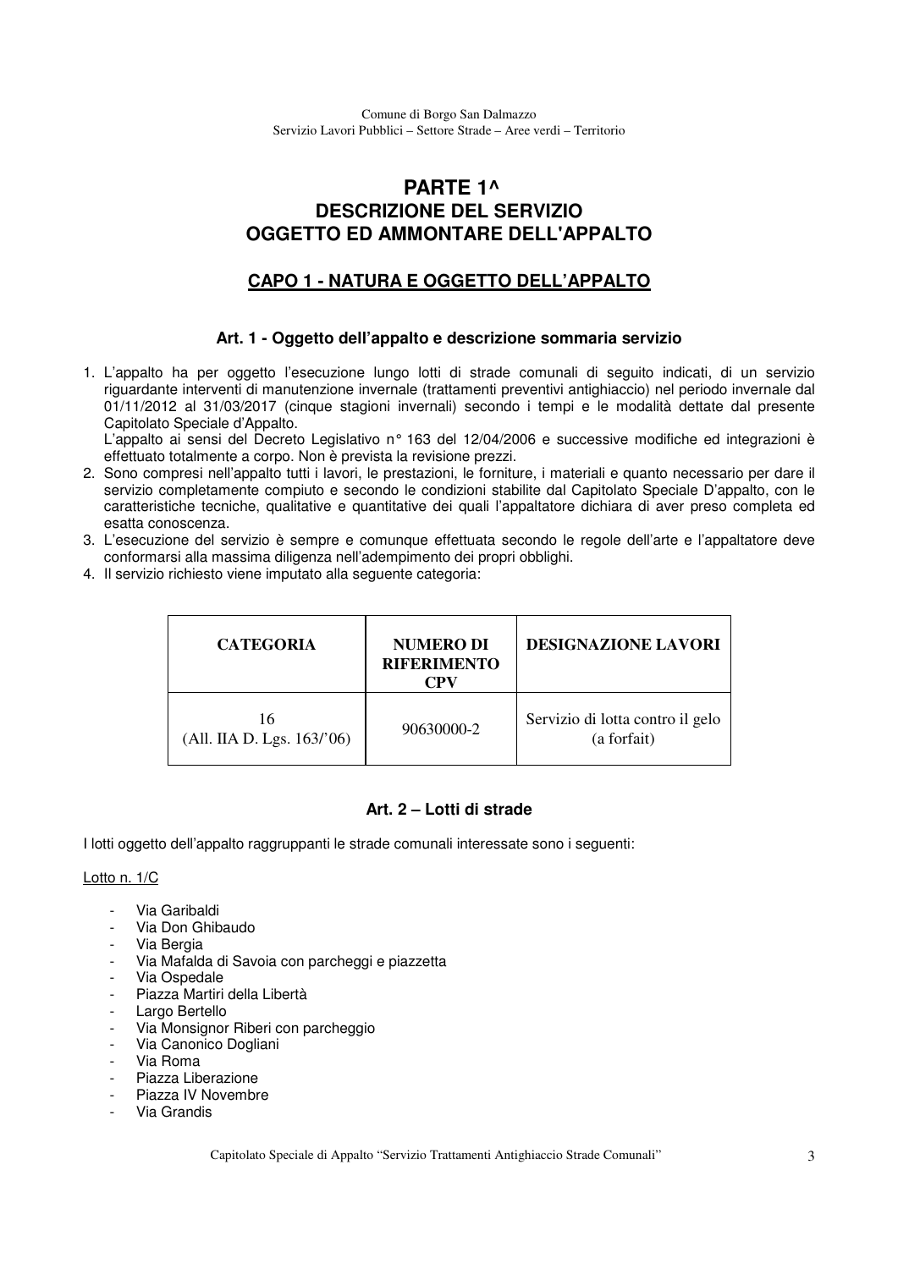# **PARTE 1^ DESCRIZIONE DEL SERVIZIO OGGETTO ED AMMONTARE DELL'APPALTO**

# **CAPO 1 - NATURA E OGGETTO DELL'APPALTO**

### **Art. 1 - Oggetto dell'appalto e descrizione sommaria servizio**

1. L'appalto ha per oggetto l'esecuzione lungo lotti di strade comunali di seguito indicati, di un servizio riguardante interventi di manutenzione invernale (trattamenti preventivi antighiaccio) nel periodo invernale dal 01/11/2012 al 31/03/2017 (cinque stagioni invernali) secondo i tempi e le modalità dettate dal presente Capitolato Speciale d'Appalto.

L'appalto ai sensi del Decreto Legislativo nº 163 del 12/04/2006 e successive modifiche ed integrazioni è effettuato totalmente a corpo. Non è prevista la revisione prezzi.

- 2. Sono compresi nell'appalto tutti i lavori, le prestazioni, le forniture, i materiali e quanto necessario per dare il servizio completamente compiuto e secondo le condizioni stabilite dal Capitolato Speciale D'appalto, con le caratteristiche tecniche, qualitative e quantitative dei quali l'appaltatore dichiara di aver preso completa ed esatta conoscenza.
- 3. L'esecuzione del servizio è sempre e comunque effettuata secondo le regole dell'arte e l'appaltatore deve conformarsi alla massima diligenza nell'adempimento dei propri obblighi.
- 4. Il servizio richiesto viene imputato alla seguente categoria:

| <b>CATEGORIA</b>                | <b>NUMERO DI</b><br><b>RIFERIMENTO</b><br>CPV | <b>DESIGNAZIONE LAVORI</b>                      |
|---------------------------------|-----------------------------------------------|-------------------------------------------------|
| 16<br>(All. IIA D. Lgs. 163/06) | 90630000-2                                    | Servizio di lotta contro il gelo<br>(a forfait) |

### **Art. 2 – Lotti di strade**

I lotti oggetto dell'appalto raggruppanti le strade comunali interessate sono i seguenti:

### Lotto n. 1/C

- Via Garibaldi
- Via Don Ghibaudo
- Via Bergia
- Via Mafalda di Savoia con parcheggi e piazzetta
- Via Ospedale
- Piazza Martiri della Libertà
- Largo Bertello
- Via Monsignor Riberi con parcheggio
- Via Canonico Dogliani
- Via Roma
- Piazza Liberazione
- Piazza IV Novembre
- Via Grandis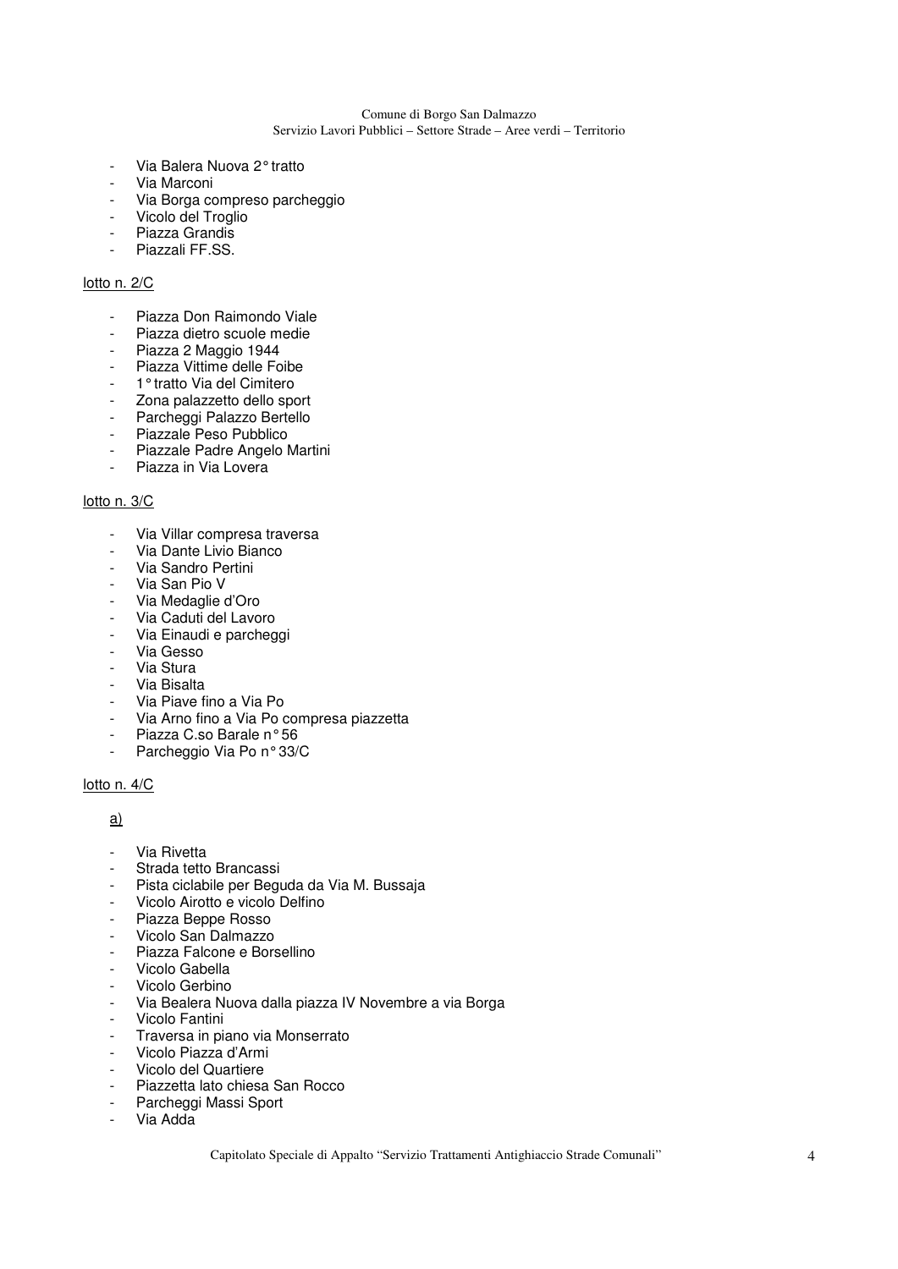- Via Balera Nuova 2° tratto
- Via Marconi
- Via Borga compreso parcheggio
- Vicolo del Troglio
- Piazza Grandis
- Piazzali FF.SS.

#### lotto n. 2/C

- Piazza Don Raimondo Viale
- Piazza dietro scuole medie
- Piazza 2 Maggio 1944
- Piazza Vittime delle Foibe
- 1° tratto Via del Cimitero
- Zona palazzetto dello sport
- Parcheggi Palazzo Bertello
- Piazzale Peso Pubblico
- Piazzale Padre Angelo Martini
- Piazza in Via Lovera

#### lotto n. 3/C

- Via Villar compresa traversa
- Via Dante Livio Bianco
- Via Sandro Pertini
- Via San Pio V
- Via Medaglie d'Oro
- Via Caduti del Lavoro
- Via Einaudi e parcheggi
- Via Gesso
- Via Stura
- Via Bisalta
- Via Piave fino a Via Po
- Via Arno fino a Via Po compresa piazzetta<br>- Piazza C so Barale nº 56
- Piazza C.so Barale n° 56
- Parcheggio Via Po n° 33/C

### lotto n. 4/C

### a)

- Via Rivetta
- Strada tetto Brancassi
- Pista ciclabile per Beguda da Via M. Bussaja
- Vicolo Airotto e vicolo Delfino
- Piazza Beppe Rosso
- Vicolo San Dalmazzo<br>- Piazza Falcone e Bor
- Piazza Falcone e Borsellino
- Vicolo Gabella
- Vicolo Gerbino
- Via Bealera Nuova dalla piazza IV Novembre a via Borga
- Vicolo Fantini
- Traversa in piano via Monserrato
- Vicolo Piazza d'Armi
- Vicolo del Quartiere
- Piazzetta lato chiesa San Rocco
- Parcheggi Massi Sport
- Via Adda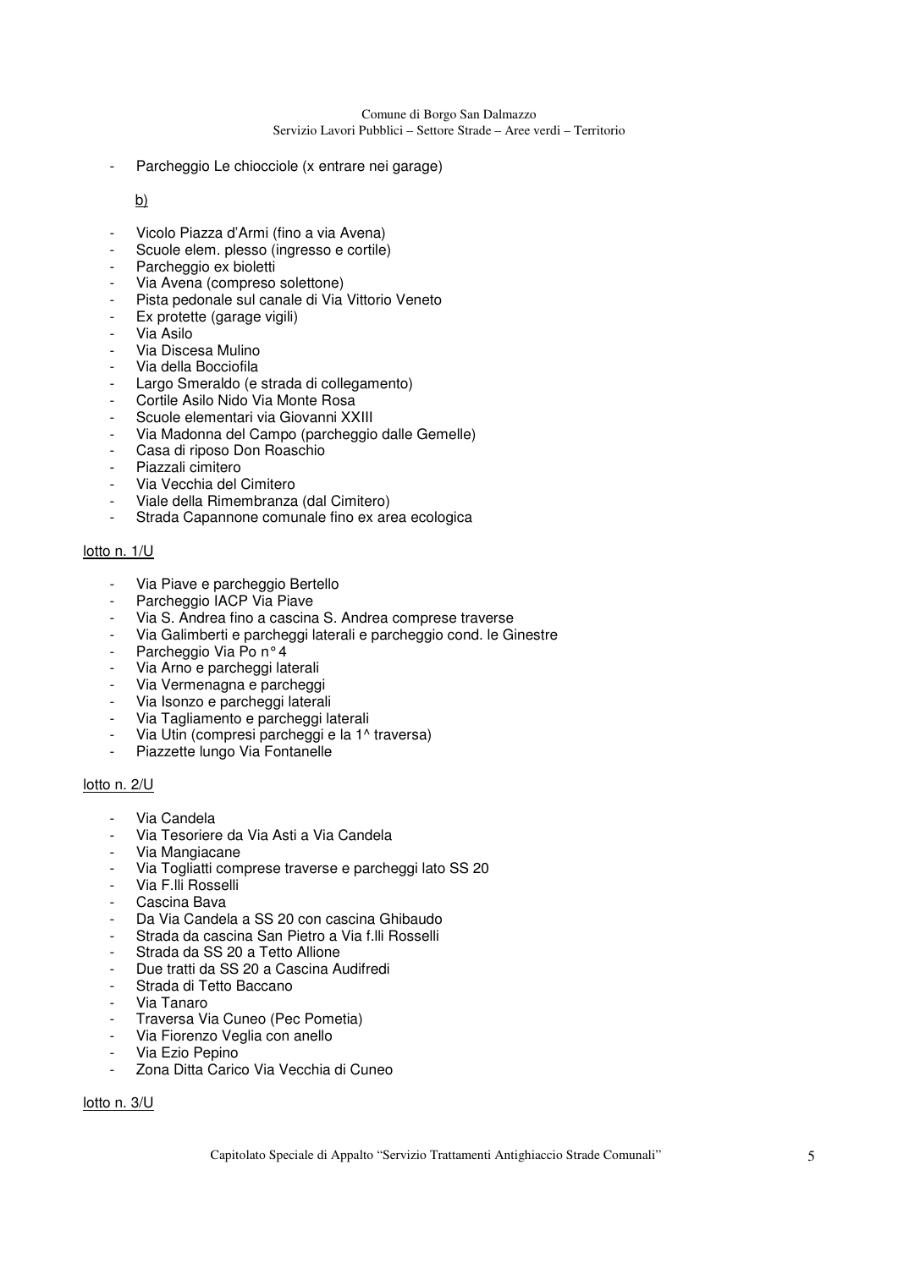Parcheggio Le chiocciole (x entrare nei garage)

### b)

- Vicolo Piazza d'Armi (fino a via Avena)
- Scuole elem. plesso (ingresso e cortile)
- Parcheggio ex bioletti
- Via Avena (compreso solettone)
- Pista pedonale sul canale di Via Vittorio Veneto
- Ex protette (garage vigili)
- Via Asilo
- Via Discesa Mulino
- Via della Bocciofila
- Largo Smeraldo (e strada di collegamento)
- Cortile Asilo Nido Via Monte Rosa
- Scuole elementari via Giovanni XXIII
- Via Madonna del Campo (parcheggio dalle Gemelle)
- Casa di riposo Don Roaschio
- Piazzali cimitero
- Via Vecchia del Cimitero
- Viale della Rimembranza (dal Cimitero)
- Strada Capannone comunale fino ex area ecologica

### lotto n. 1/U

- Via Piave e parcheggio Bertello
- Parcheggio IACP Via Piave
- Via S. Andrea fino a cascina S. Andrea comprese traverse
- Via Galimberti e parcheggi laterali e parcheggio cond. le Ginestre
- Parcheggio Via Po nº 4
- Via Arno e parcheggi laterali
- Via Vermenagna e parcheggi
- Via Isonzo e parcheggi laterali
- Via Tagliamento e parcheggi laterali
- Via Utin (compresi parcheggi e la 1^ traversa)
- Piazzette lungo Via Fontanelle

#### lotto n. 2/U

- Via Candela
- Via Tesoriere da Via Asti a Via Candela
- Via Mangiacane
- Via Togliatti comprese traverse e parcheggi lato SS 20
- Via F.lli Rosselli
- Cascina Bava
- Da Via Candela a SS 20 con cascina Ghibaudo
- Strada da cascina San Pietro a Via f.lli Rosselli
- Strada da SS 20 a Tetto Allione
- Due tratti da SS 20 a Cascina Audifredi
- Strada di Tetto Baccano
- Via Tanaro
- Traversa Via Cuneo (Pec Pometia)
- Via Fiorenzo Veglia con anello
- Via Ezio Pepino
- Zona Ditta Carico Via Vecchia di Cuneo

### lotto n. 3/U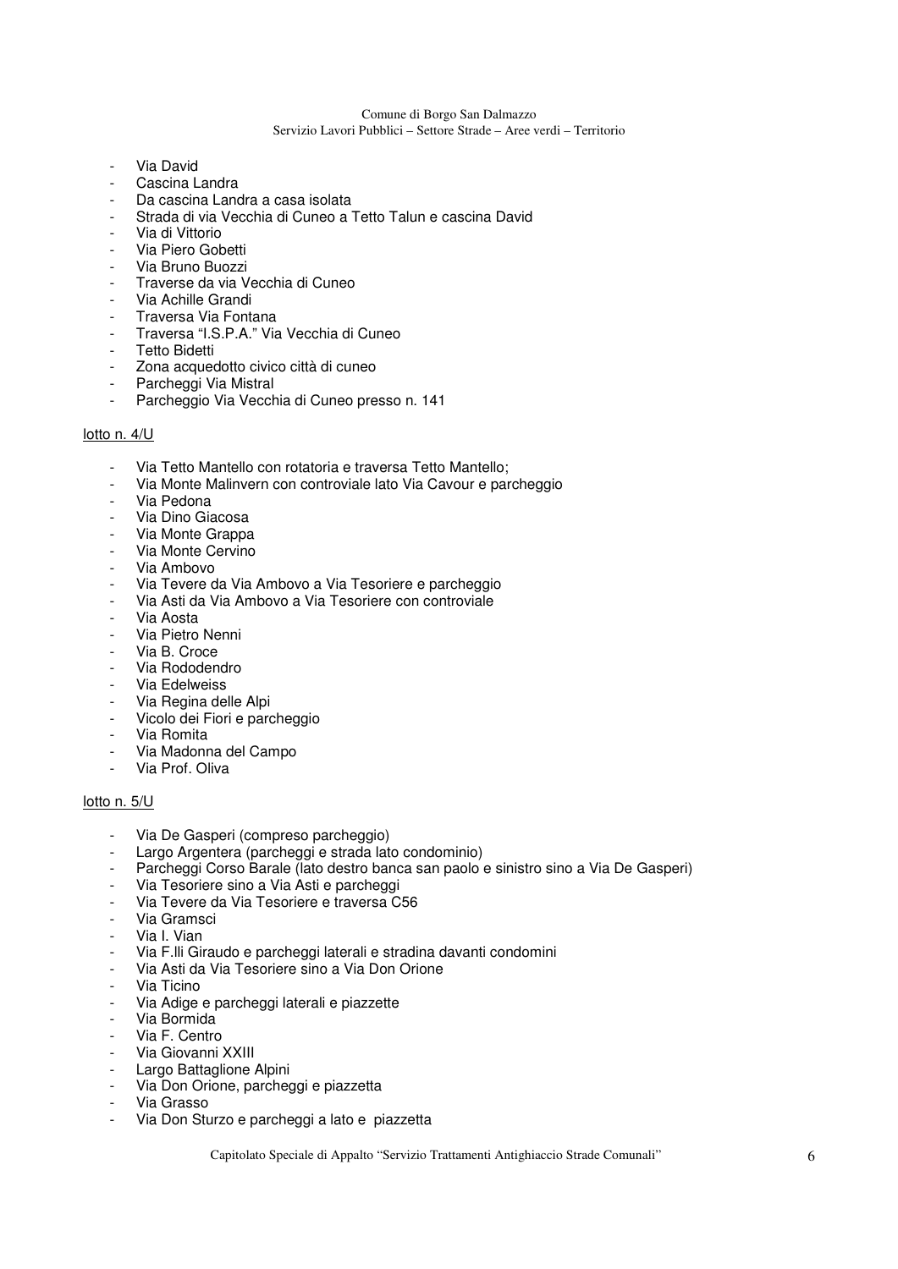#### Comune di Borgo San Dalmazzo

Servizio Lavori Pubblici – Settore Strade – Aree verdi – Territorio

- Via David
- Cascina Landra
- Da cascina Landra a casa isolata
- Strada di via Vecchia di Cuneo a Tetto Talun e cascina David
- Via di Vittorio
- Via Piero Gobetti
- Via Bruno Buozzi
- Traverse da via Vecchia di Cuneo
- Via Achille Grandi
- Traversa Via Fontana
- Traversa "I.S.P.A." Via Vecchia di Cuneo
- Tetto Bidetti
- Zona acquedotto civico città di cuneo
- Parcheggi Via Mistral
- Parcheggio Via Vecchia di Cuneo presso n. 141

#### lotto n. 4/U

- Via Tetto Mantello con rotatoria e traversa Tetto Mantello;
- Via Monte Malinvern con controviale lato Via Cavour e parcheggio
- Via Pedona
- Via Dino Giacosa
- Via Monte Grappa
- Via Monte Cervino
- Via Ambovo
- Via Tevere da Via Ambovo a Via Tesoriere e parcheggio
- Via Asti da Via Ambovo a Via Tesoriere con controviale
- Via Aosta
- Via Pietro Nenni
- Via B. Croce
- Via Rododendro
- Via Edelweiss
- Via Regina delle Alpi
- Vicolo dei Fiori e parcheggio
- Via Romita
- Via Madonna del Campo
- Via Prof. Oliva

#### lotto n. 5/U

- Via De Gasperi (compreso parcheggio)
- Largo Argentera (parcheggi e strada lato condominio)
- Parcheggi Corso Barale (lato destro banca san paolo e sinistro sino a Via De Gasperi)
- Via Tesoriere sino a Via Asti e parcheggi
- Via Tevere da Via Tesoriere e traversa C56
- Via Gramsci
- Via I. Vian
- Via F.lli Giraudo e parcheggi laterali e stradina davanti condomini
- Via Asti da Via Tesoriere sino a Via Don Orione
- Via Ticino
- Via Adige e parcheggi laterali e piazzette
- Via Bormida
- Via F. Centro
- Via Giovanni XXIII
- Largo Battaglione Alpini
- Via Don Orione, parcheggi e piazzetta
- Via Grasso
- Via Don Sturzo e parcheggi a lato e piazzetta

Capitolato Speciale di Appalto "Servizio Trattamenti Antighiaccio Strade Comunali" 6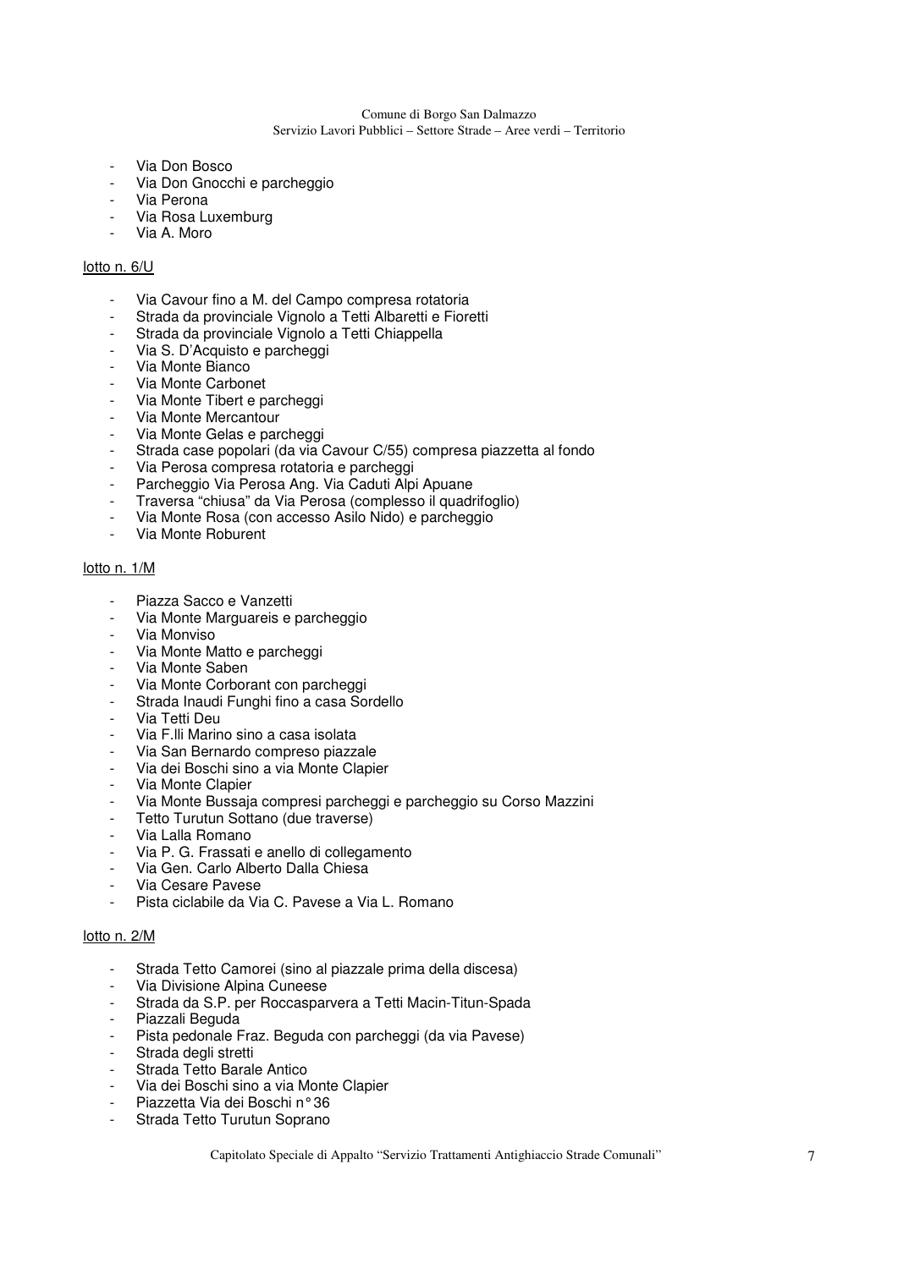#### Comune di Borgo San Dalmazzo

Servizio Lavori Pubblici – Settore Strade – Aree verdi – Territorio

- Via Don Bosco
- Via Don Gnocchi e parcheggio
- Via Perona
- Via Rosa Luxemburg
- Via A. Moro

### lotto n. 6/U

- Via Cavour fino a M. del Campo compresa rotatoria
- Strada da provinciale Vignolo a Tetti Albaretti e Fioretti
- Strada da provinciale Vignolo a Tetti Chiappella
- Via S. D'Acquisto e parcheggi
- Via Monte Bianco
- Via Monte Carbonet
- Via Monte Tibert e parcheggi
- Via Monte Mercantour
- Via Monte Gelas e parcheggi
- Strada case popolari (da via Cavour C/55) compresa piazzetta al fondo
- Via Perosa compresa rotatoria e parcheggi
- Parcheggio Via Perosa Ang. Via Caduti Alpi Apuane
- Traversa "chiusa" da Via Perosa (complesso il quadrifoglio)
- Via Monte Rosa (con accesso Asilo Nido) e parcheggio
- Via Monte Roburent

#### lotto n. 1/M

- Piazza Sacco e Vanzetti
- Via Monte Marguareis e parcheggio
- Via Monviso
- Via Monte Matto e parcheggi
- Via Monte Saben
- Via Monte Corborant con parcheggi
- Strada Inaudi Funghi fino a casa Sordello
- Via Tetti Deu
- Via F.lli Marino sino a casa isolata
- Via San Bernardo compreso piazzale
- Via dei Boschi sino a via Monte Clapier
- Via Monte Clapier
- Via Monte Bussaja compresi parcheggi e parcheggio su Corso Mazzini
- Tetto Turutun Sottano (due traverse)
- Via Lalla Romano
- Via P. G. Frassati e anello di collegamento
- Via Gen. Carlo Alberto Dalla Chiesa
- Via Cesare Pavese
- Pista ciclabile da Via C. Pavese a Via L. Romano

#### lotto n. 2/M

- Strada Tetto Camorei (sino al piazzale prima della discesa)
- Via Divisione Alpina Cuneese
- Strada da S.P. per Roccasparvera a Tetti Macin-Titun-Spada
- Piazzali Beguda
- Pista pedonale Fraz. Beguda con parcheggi (da via Pavese)
- Strada degli stretti
- Strada Tetto Barale Antico
- Via dei Boschi sino a via Monte Clapier
- Piazzetta Via dei Boschi n° 36
- Strada Tetto Turutun Soprano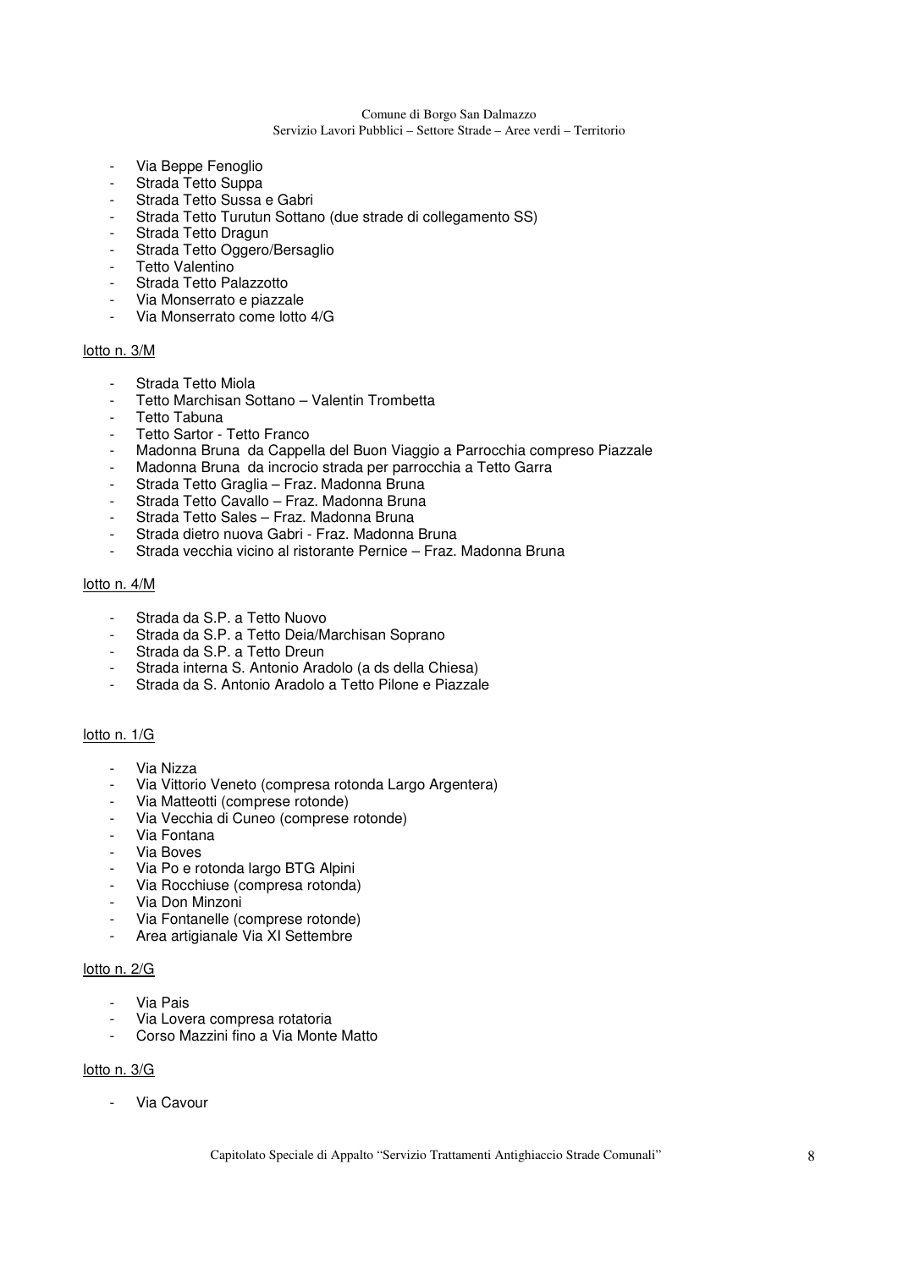#### Comune di Borgo San Dalmazzo

### Servizio Lavori Pubblici – Settore Strade – Aree verdi – Territorio

- Via Beppe Fenoglio
- Strada Tetto Suppa
- Strada Tetto Sussa e Gabri
- Strada Tetto Turutun Sottano (due strade di collegamento SS)
- Strada Tetto Dragun
- Strada Tetto Oggero/Bersaglio
- Tetto Valentino
- Strada Tetto Palazzotto
- Via Monserrato e piazzale
- Via Monserrato come lotto 4/G

### lotto n. 3/M

- Strada Tetto Miola
- Tetto Marchisan Sottano Valentin Trombetta
- Tetto Tabuna
- Tetto Sartor Tetto Franco
- Madonna Bruna da Cappella del Buon Viaggio a Parrocchia compreso Piazzale
- Madonna Bruna da incrocio strada per parrocchia a Tetto Garra
- Strada Tetto Graglia Fraz. Madonna Bruna
- Strada Tetto Cavallo Fraz. Madonna Bruna
- Strada Tetto Sales Fraz. Madonna Bruna
- Strada dietro nuova Gabri Fraz. Madonna Bruna
- Strada vecchia vicino al ristorante Pernice Fraz. Madonna Bruna

### lotto n. 4/M

- Strada da S.P. a Tetto Nuovo
- Strada da S.P. a Tetto Deia/Marchisan Soprano
- Strada da S.P. a Tetto Dreun
- Strada interna S. Antonio Aradolo (a ds della Chiesa)
- Strada da S. Antonio Aradolo a Tetto Pilone e Piazzale

### lotto n. 1/G

- Via Nizza
- Via Vittorio Veneto (compresa rotonda Largo Argentera)
- Via Matteotti (comprese rotonde)
- Via Vecchia di Cuneo (comprese rotonde)
- Via Fontana
- Via Boves
- Via Po e rotonda largo BTG Alpini
- Via Rocchiuse (compresa rotonda)
- Via Don Minzoni
- Via Fontanelle (comprese rotonde)
- Area artigianale Via XI Settembre

#### lotto n. 2/G

- Via Pais
- Via Lovera compresa rotatoria
- Corso Mazzini fino a Via Monte Matto

#### lotto n. 3/G

- Via Cavour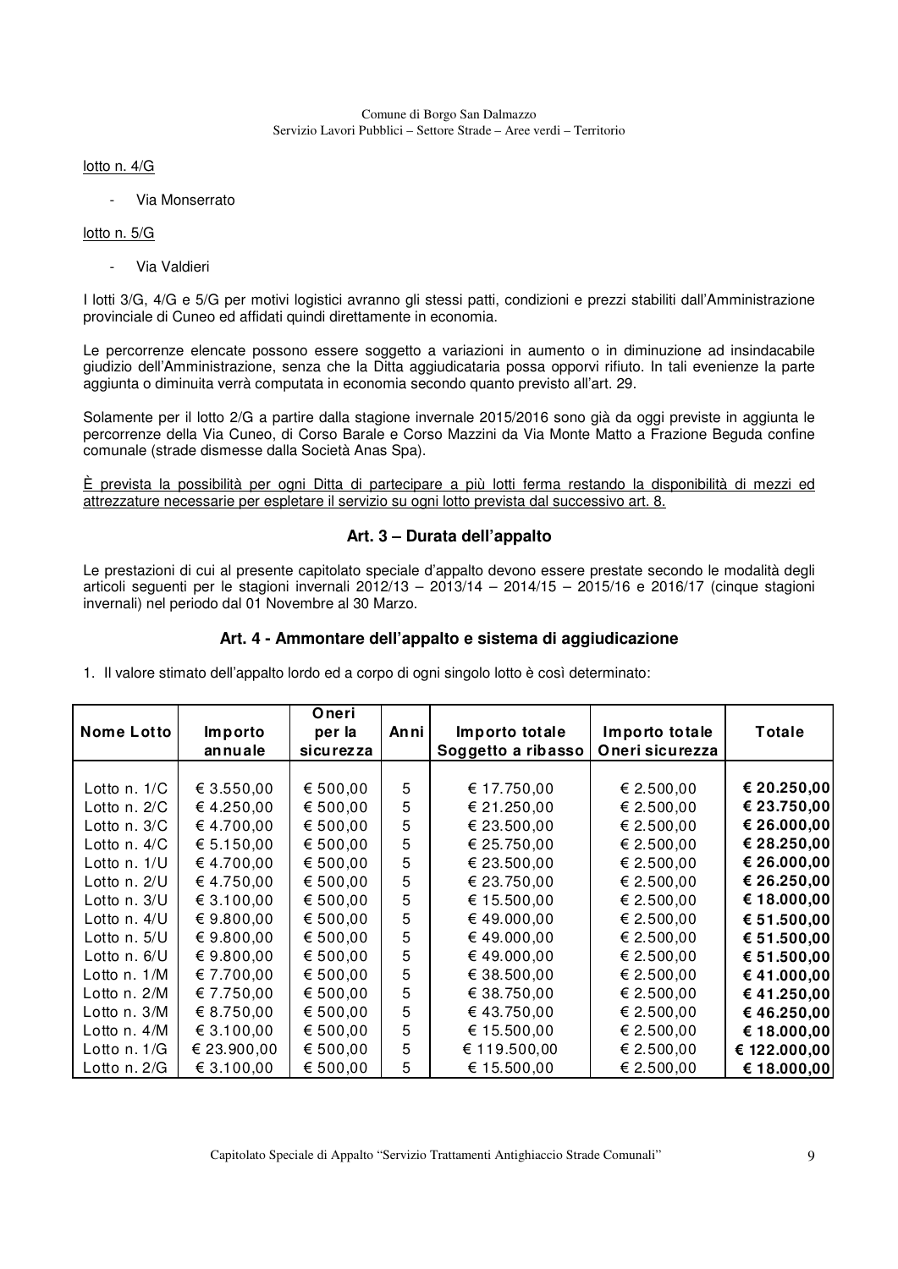lotto n. 4/G

- Via Monserrato

### lotto n. 5/G

- Via Valdieri

I lotti 3/G, 4/G e 5/G per motivi logistici avranno gli stessi patti, condizioni e prezzi stabiliti dall'Amministrazione provinciale di Cuneo ed affidati quindi direttamente in economia.

Le percorrenze elencate possono essere soggetto a variazioni in aumento o in diminuzione ad insindacabile giudizio dell'Amministrazione, senza che la Ditta aggiudicataria possa opporvi rifiuto. In tali evenienze la parte aggiunta o diminuita verrà computata in economia secondo quanto previsto all'art. 29.

Solamente per il lotto 2/G a partire dalla stagione invernale 2015/2016 sono già da oggi previste in aggiunta le percorrenze della Via Cuneo, di Corso Barale e Corso Mazzini da Via Monte Matto a Frazione Beguda confine comunale (strade dismesse dalla Società Anas Spa).

È prevista la possibilità per ogni Ditta di partecipare a più lotti ferma restando la disponibilità di mezzi ed attrezzature necessarie per espletare il servizio su ogni lotto prevista dal successivo art. 8.

### **Art. 3 – Durata dell'appalto**

Le prestazioni di cui al presente capitolato speciale d'appalto devono essere prestate secondo le modalità degli articoli seguenti per le stagioni invernali 2012/13 – 2013/14 – 2014/15 – 2015/16 e 2016/17 (cinque stagioni invernali) nel periodo dal 01 Novembre al 30 Marzo.

### **Art. 4 - Ammontare dell'appalto e sistema di aggiudicazione**

1. Il valore stimato dell'appalto lordo ed a corpo di ogni singolo lotto è così determinato:

|                   |             | Oneri     |      |                    |                 |              |
|-------------------|-------------|-----------|------|--------------------|-----------------|--------------|
| <b>Nome Lotto</b> | Importo     | per la    | Anni | Importo totale     | Importo totale  | Totale       |
|                   | annuale     | sicurezza |      | Soggetto a ribasso | Oneri sicurezza |              |
|                   |             |           |      |                    |                 |              |
| Lotto n. 1/C      | € 3.550,00  | € 500,00  | 5    | € 17.750,00        | € 2.500,00      | € 20.250,00  |
| Lotto n. $2/C$    | €4.250,00   | € 500,00  | 5    | € 21.250,00        | € 2.500,00      | € 23.750,00  |
| Lotto n. 3/C      | € 4.700,00  | € 500,00  | 5    | € 23.500,00        | € 2.500,00      | € 26.000,00  |
| Lotto n. 4/C      | € 5.150,00  | € 500,00  | 5    | € 25.750,00        | € 2.500,00      | € 28.250,00  |
| Lotto n. 1/U      | €4.700,00   | € 500,00  | 5    | € 23.500,00        | € 2.500,00      | € 26.000,00  |
| Lotto n. 2/U      | €4.750,00   | € 500,00  | 5    | € 23.750,00        | € 2.500,00      | € 26.250,00  |
| Lotto n. 3/U      | € 3.100,00  | € 500,00  | 5    | € 15.500,00        | € 2.500,00      | € 18.000,00  |
| Lotto n. 4/U      | € 9.800,00  | € 500,00  | 5    | € 49.000,00        | € 2.500,00      | € 51.500,00  |
| Lotto $n.5/U$     | € 9.800,00  | € 500,00  | 5    | €49.000,00         | € 2.500,00      | € 51.500,00  |
| Lotto n. 6/U      | € 9.800,00  | € 500,00  | 5    | € 49.000,00        | € 2.500,00      | € 51.500,00  |
| Lotto n. 1/M      | € 7.700,00  | € 500,00  | 5    | € 38.500,00        | € 2.500,00      | €41.000,00   |
| Lotto n. 2/M      | € 7.750,00  | € 500,00  | 5    | € 38.750,00        | € 2.500,00      | €41.250,00   |
| Lotto n. 3/M      | € 8.750,00  | € 500,00  | 5    | € 43.750,00        | € 2.500,00      | €46.250,00   |
| Lotto $n.4/M$     | € 3.100,00  | € 500,00  | 5    | € 15.500,00        | € 2.500,00      | € 18.000,00  |
| Lotto $n. 1/G$    | € 23.900,00 | € 500,00  | 5    | € 119.500,00       | € 2.500,00      | € 122.000,00 |
| Lotto $n.2/G$     | € 3.100,00  | € 500,00  | 5    | € 15.500,00        | € 2.500,00      | € 18.000,00  |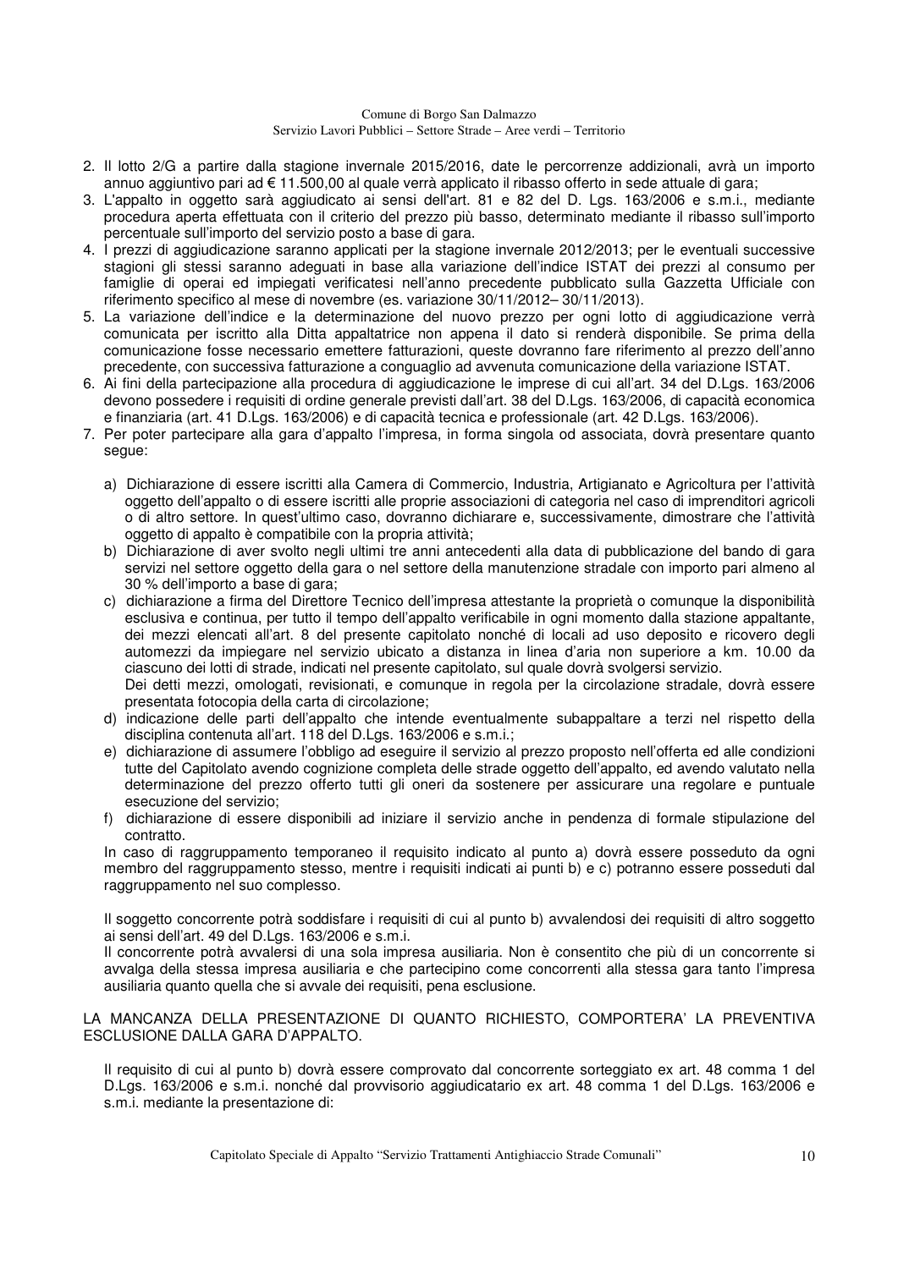- 2. Il lotto 2/G a partire dalla stagione invernale 2015/2016, date le percorrenze addizionali, avrà un importo annuo aggiuntivo pari ad € 11.500,00 al quale verrà applicato il ribasso offerto in sede attuale di gara;
- 3. L'appalto in oggetto sarà aggiudicato ai sensi dell'art. 81 e 82 del D. Lgs. 163/2006 e s.m.i., mediante procedura aperta effettuata con il criterio del prezzo più basso, determinato mediante il ribasso sull'importo percentuale sull'importo del servizio posto a base di gara.
- 4. I prezzi di aggiudicazione saranno applicati per la stagione invernale 2012/2013; per le eventuali successive stagioni gli stessi saranno adeguati in base alla variazione dell'indice ISTAT dei prezzi al consumo per famiglie di operai ed impiegati verificatesi nell'anno precedente pubblicato sulla Gazzetta Ufficiale con riferimento specifico al mese di novembre (es. variazione 30/11/2012– 30/11/2013).
- 5. La variazione dell'indice e la determinazione del nuovo prezzo per ogni lotto di aggiudicazione verrà comunicata per iscritto alla Ditta appaltatrice non appena il dato si renderà disponibile. Se prima della comunicazione fosse necessario emettere fatturazioni, queste dovranno fare riferimento al prezzo dell'anno precedente, con successiva fatturazione a conguaglio ad avvenuta comunicazione della variazione ISTAT.
- 6. Ai fini della partecipazione alla procedura di aggiudicazione le imprese di cui all'art. 34 del D.Lgs. 163/2006 devono possedere i requisiti di ordine generale previsti dall'art. 38 del D.Lgs. 163/2006, di capacità economica e finanziaria (art. 41 D.Lgs. 163/2006) e di capacità tecnica e professionale (art. 42 D.Lgs. 163/2006).
- 7. Per poter partecipare alla gara d'appalto l'impresa, in forma singola od associata, dovrà presentare quanto segue:
	- a) Dichiarazione di essere iscritti alla Camera di Commercio, Industria, Artigianato e Agricoltura per l'attività oggetto dell'appalto o di essere iscritti alle proprie associazioni di categoria nel caso di imprenditori agricoli o di altro settore. In quest'ultimo caso, dovranno dichiarare e, successivamente, dimostrare che l'attività oggetto di appalto è compatibile con la propria attività;
	- b) Dichiarazione di aver svolto negli ultimi tre anni antecedenti alla data di pubblicazione del bando di gara servizi nel settore oggetto della gara o nel settore della manutenzione stradale con importo pari almeno al 30 % dell'importo a base di gara;
	- c) dichiarazione a firma del Direttore Tecnico dell'impresa attestante la proprietà o comunque la disponibilità esclusiva e continua, per tutto il tempo dell'appalto verificabile in ogni momento dalla stazione appaltante, dei mezzi elencati all'art. 8 del presente capitolato nonché di locali ad uso deposito e ricovero degli automezzi da impiegare nel servizio ubicato a distanza in linea d'aria non superiore a km. 10.00 da ciascuno dei lotti di strade, indicati nel presente capitolato, sul quale dovrà svolgersi servizio. Dei detti mezzi, omologati, revisionati, e comunque in regola per la circolazione stradale, dovrà essere presentata fotocopia della carta di circolazione;
	- d) indicazione delle parti dell'appalto che intende eventualmente subappaltare a terzi nel rispetto della disciplina contenuta all'art. 118 del D.Lgs. 163/2006 e s.m.i.;
	- e) dichiarazione di assumere l'obbligo ad eseguire il servizio al prezzo proposto nell'offerta ed alle condizioni tutte del Capitolato avendo cognizione completa delle strade oggetto dell'appalto, ed avendo valutato nella determinazione del prezzo offerto tutti gli oneri da sostenere per assicurare una regolare e puntuale esecuzione del servizio;
	- f) dichiarazione di essere disponibili ad iniziare il servizio anche in pendenza di formale stipulazione del contratto.

In caso di raggruppamento temporaneo il requisito indicato al punto a) dovrà essere posseduto da ogni membro del raggruppamento stesso, mentre i requisiti indicati ai punti b) e c) potranno essere posseduti dal raggruppamento nel suo complesso.

Il soggetto concorrente potrà soddisfare i requisiti di cui al punto b) avvalendosi dei requisiti di altro soggetto ai sensi dell'art. 49 del D.Lgs. 163/2006 e s.m.i.

Il concorrente potrà avvalersi di una sola impresa ausiliaria. Non è consentito che più di un concorrente si avvalga della stessa impresa ausiliaria e che partecipino come concorrenti alla stessa gara tanto l'impresa ausiliaria quanto quella che si avvale dei requisiti, pena esclusione.

#### LA MANCANZA DELLA PRESENTAZIONE DI QUANTO RICHIESTO, COMPORTERA' LA PREVENTIVA ESCLUSIONE DALLA GARA D'APPALTO.

Il requisito di cui al punto b) dovrà essere comprovato dal concorrente sorteggiato ex art. 48 comma 1 del D.Lgs. 163/2006 e s.m.i. nonché dal provvisorio aggiudicatario ex art. 48 comma 1 del D.Lgs. 163/2006 e s.m.i. mediante la presentazione di: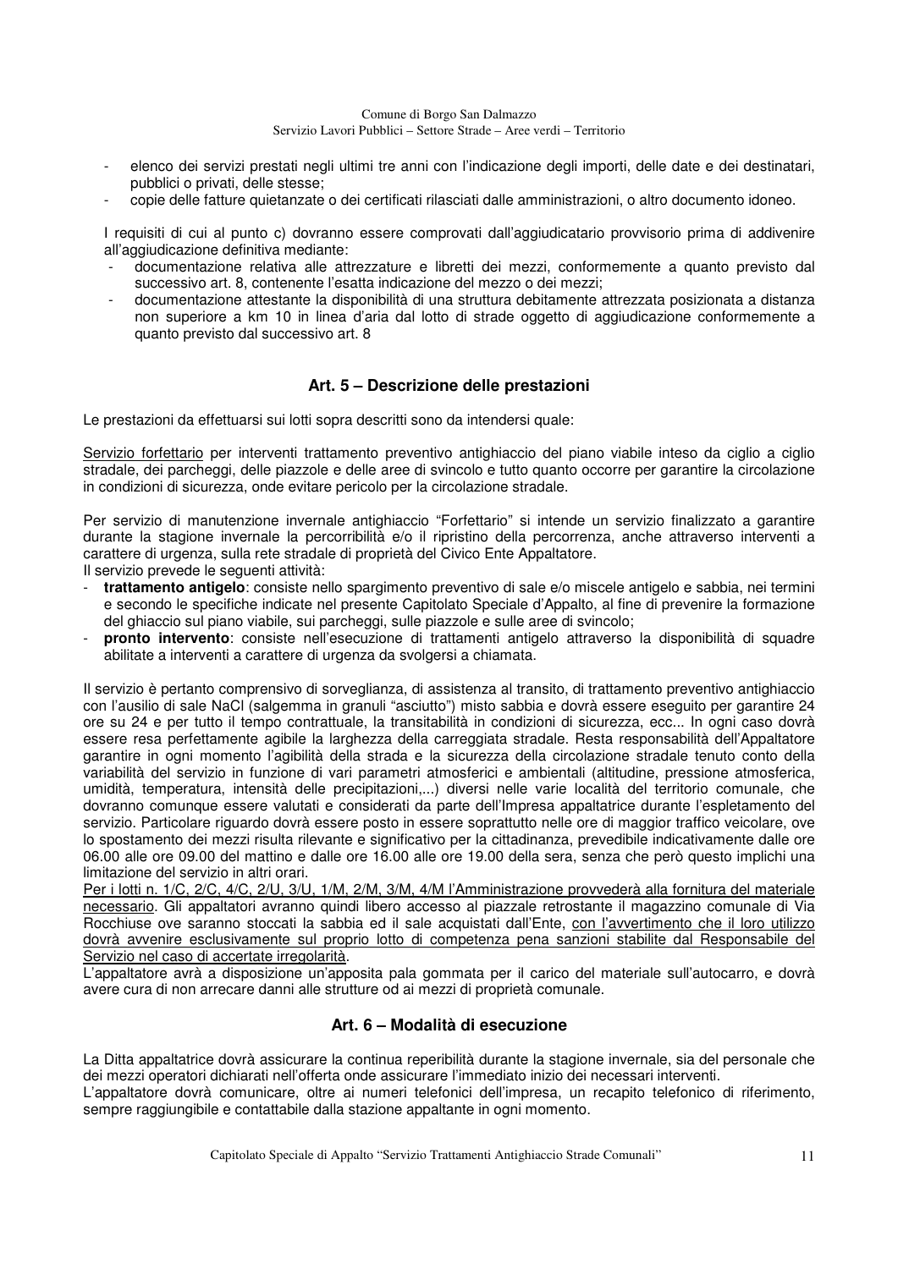- elenco dei servizi prestati negli ultimi tre anni con l'indicazione degli importi, delle date e dei destinatari, pubblici o privati, delle stesse;
- copie delle fatture quietanzate o dei certificati rilasciati dalle amministrazioni, o altro documento idoneo.

I requisiti di cui al punto c) dovranno essere comprovati dall'aggiudicatario provvisorio prima di addivenire all'aggiudicazione definitiva mediante:

- documentazione relativa alle attrezzature e libretti dei mezzi, conformemente a quanto previsto dal successivo art. 8, contenente l'esatta indicazione del mezzo o dei mezzi;
- documentazione attestante la disponibilità di una struttura debitamente attrezzata posizionata a distanza non superiore a km 10 in linea d'aria dal lotto di strade oggetto di aggiudicazione conformemente a quanto previsto dal successivo art. 8

### **Art. 5 – Descrizione delle prestazioni**

Le prestazioni da effettuarsi sui lotti sopra descritti sono da intendersi quale:

Servizio forfettario per interventi trattamento preventivo antighiaccio del piano viabile inteso da ciglio a ciglio stradale, dei parcheggi, delle piazzole e delle aree di svincolo e tutto quanto occorre per garantire la circolazione in condizioni di sicurezza, onde evitare pericolo per la circolazione stradale.

Per servizio di manutenzione invernale antighiaccio "Forfettario" si intende un servizio finalizzato a garantire durante la stagione invernale la percorribilità e/o il ripristino della percorrenza, anche attraverso interventi a carattere di urgenza, sulla rete stradale di proprietà del Civico Ente Appaltatore.

Il servizio prevede le seguenti attività:

- **trattamento antigelo**: consiste nello spargimento preventivo di sale e/o miscele antigelo e sabbia, nei termini e secondo le specifiche indicate nel presente Capitolato Speciale d'Appalto, al fine di prevenire la formazione del ghiaccio sul piano viabile, sui parcheggi, sulle piazzole e sulle aree di svincolo;
- **pronto intervento**: consiste nell'esecuzione di trattamenti antigelo attraverso la disponibilità di squadre abilitate a interventi a carattere di urgenza da svolgersi a chiamata.

Il servizio è pertanto comprensivo di sorveglianza, di assistenza al transito, di trattamento preventivo antighiaccio con l'ausilio di sale NaCl (salgemma in granuli "asciutto") misto sabbia e dovrà essere eseguito per garantire 24 ore su 24 e per tutto il tempo contrattuale, la transitabilità in condizioni di sicurezza, ecc... In ogni caso dovrà essere resa perfettamente agibile la larghezza della carreggiata stradale. Resta responsabilità dell'Appaltatore garantire in ogni momento l'agibilità della strada e la sicurezza della circolazione stradale tenuto conto della variabilità del servizio in funzione di vari parametri atmosferici e ambientali (altitudine, pressione atmosferica, umidità, temperatura, intensità delle precipitazioni,...) diversi nelle varie località del territorio comunale, che dovranno comunque essere valutati e considerati da parte dell'Impresa appaltatrice durante l'espletamento del servizio. Particolare riguardo dovrà essere posto in essere soprattutto nelle ore di maggior traffico veicolare, ove lo spostamento dei mezzi risulta rilevante e significativo per la cittadinanza, prevedibile indicativamente dalle ore 06.00 alle ore 09.00 del mattino e dalle ore 16.00 alle ore 19.00 della sera, senza che però questo implichi una limitazione del servizio in altri orari.

Per i lotti n. 1/C, 2/C, 4/C, 2/U, 3/U, 1/M, 2/M, 3/M, 4/M l'Amministrazione provvederà alla fornitura del materiale necessario. Gli appaltatori avranno quindi libero accesso al piazzale retrostante il magazzino comunale di Via Rocchiuse ove saranno stoccati la sabbia ed il sale acquistati dall'Ente, con l'avvertimento che il loro utilizzo dovrà avvenire esclusivamente sul proprio lotto di competenza pena sanzioni stabilite dal Responsabile del Servizio nel caso di accertate irregolarità.

L'appaltatore avrà a disposizione un'apposita pala gommata per il carico del materiale sull'autocarro, e dovrà avere cura di non arrecare danni alle strutture od ai mezzi di proprietà comunale.

### **Art. 6 – Modalità di esecuzione**

La Ditta appaltatrice dovrà assicurare la continua reperibilità durante la stagione invernale, sia del personale che dei mezzi operatori dichiarati nell'offerta onde assicurare l'immediato inizio dei necessari interventi.

L'appaltatore dovrà comunicare, oltre ai numeri telefonici dell'impresa, un recapito telefonico di riferimento, sempre raggiungibile e contattabile dalla stazione appaltante in ogni momento.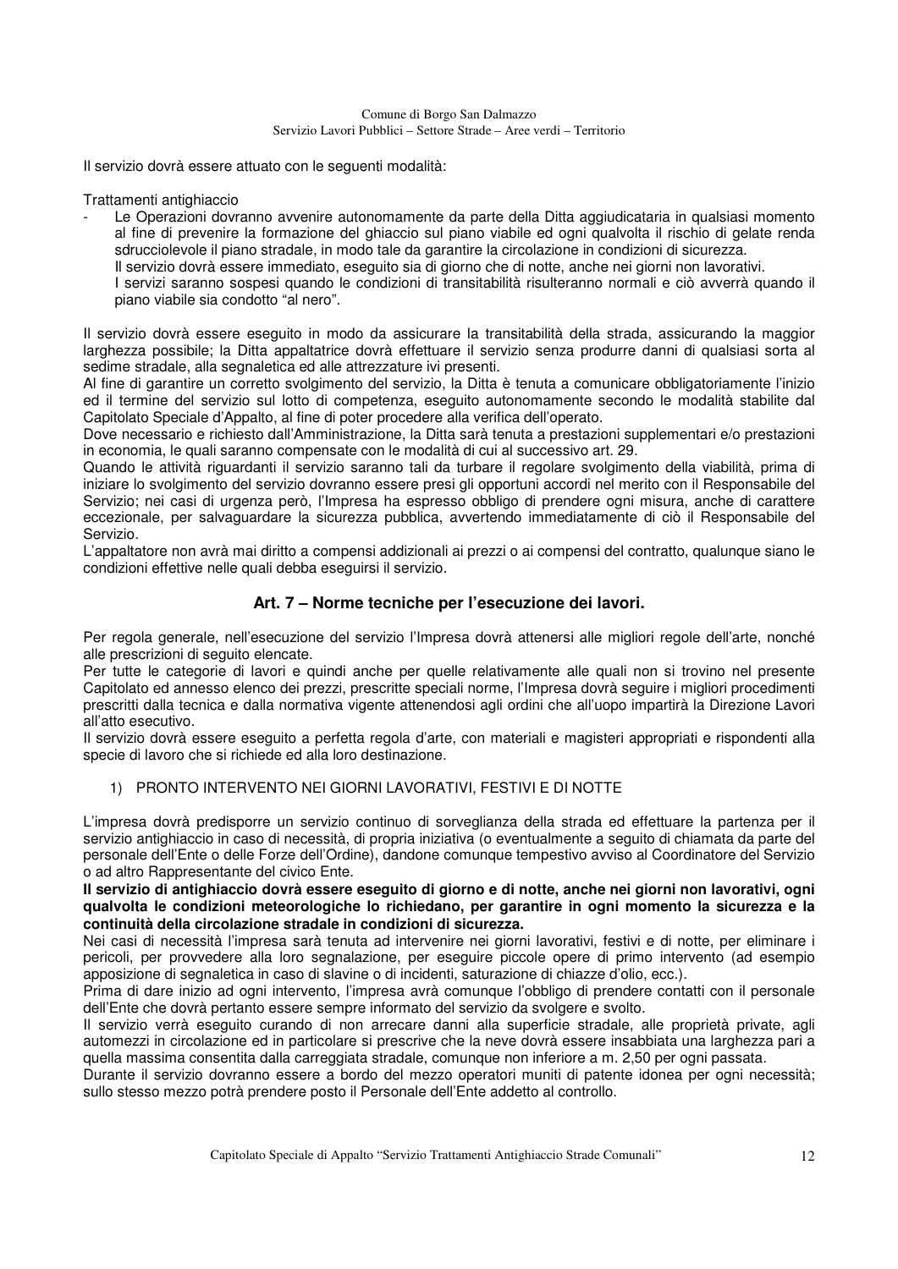Il servizio dovrà essere attuato con le seguenti modalità:

Trattamenti antighiaccio

Le Operazioni dovranno avvenire autonomamente da parte della Ditta aggiudicataria in qualsiasi momento al fine di prevenire la formazione del ghiaccio sul piano viabile ed ogni qualvolta il rischio di gelate renda sdrucciolevole il piano stradale, in modo tale da garantire la circolazione in condizioni di sicurezza. Il servizio dovrà essere immediato, eseguito sia di giorno che di notte, anche nei giorni non lavorativi. I servizi saranno sospesi quando le condizioni di transitabilità risulteranno normali e ciò avverrà quando il piano viabile sia condotto "al nero".

Il servizio dovrà essere eseguito in modo da assicurare la transitabilità della strada, assicurando la maggior larghezza possibile; la Ditta appaltatrice dovrà effettuare il servizio senza produrre danni di qualsiasi sorta al sedime stradale, alla segnaletica ed alle attrezzature ivi presenti.

Al fine di garantire un corretto svolgimento del servizio, la Ditta è tenuta a comunicare obbligatoriamente l'inizio ed il termine del servizio sul lotto di competenza, eseguito autonomamente secondo le modalità stabilite dal Capitolato Speciale d'Appalto, al fine di poter procedere alla verifica dell'operato.

Dove necessario e richiesto dall'Amministrazione, la Ditta sarà tenuta a prestazioni supplementari e/o prestazioni in economia, le quali saranno compensate con le modalità di cui al successivo art. 29.

Quando le attività riguardanti il servizio saranno tali da turbare il regolare svolgimento della viabilità, prima di iniziare lo svolgimento del servizio dovranno essere presi gli opportuni accordi nel merito con il Responsabile del Servizio; nei casi di urgenza però, l'Impresa ha espresso obbligo di prendere ogni misura, anche di carattere eccezionale, per salvaguardare la sicurezza pubblica, avvertendo immediatamente di ciò il Responsabile del Servizio.

L'appaltatore non avrà mai diritto a compensi addizionali ai prezzi o ai compensi del contratto, qualunque siano le condizioni effettive nelle quali debba eseguirsi il servizio.

### **Art. 7 – Norme tecniche per l'esecuzione dei lavori.**

Per regola generale, nell'esecuzione del servizio l'Impresa dovrà attenersi alle migliori regole dell'arte, nonché alle prescrizioni di seguito elencate.

Per tutte le categorie di lavori e quindi anche per quelle relativamente alle quali non si trovino nel presente Capitolato ed annesso elenco dei prezzi, prescritte speciali norme, l'Impresa dovrà seguire i migliori procedimenti prescritti dalla tecnica e dalla normativa vigente attenendosi agli ordini che all'uopo impartirà la Direzione Lavori all'atto esecutivo.

Il servizio dovrà essere eseguito a perfetta regola d'arte, con materiali e magisteri appropriati e rispondenti alla specie di lavoro che si richiede ed alla loro destinazione.

### 1) PRONTO INTERVENTO NEI GIORNI LAVORATIVI, FESTIVI E DI NOTTE

L'impresa dovrà predisporre un servizio continuo di sorveglianza della strada ed effettuare la partenza per il servizio antighiaccio in caso di necessità, di propria iniziativa (o eventualmente a seguito di chiamata da parte del personale dell'Ente o delle Forze dell'Ordine), dandone comunque tempestivo avviso al Coordinatore del Servizio o ad altro Rappresentante del civico Ente.

**Il servizio di antighiaccio dovrà essere eseguito di giorno e di notte, anche nei giorni non lavorativi, ogni qualvolta le condizioni meteorologiche lo richiedano, per garantire in ogni momento la sicurezza e la continuità della circolazione stradale in condizioni di sicurezza.** 

Nei casi di necessità l'impresa sarà tenuta ad intervenire nei giorni lavorativi, festivi e di notte, per eliminare i pericoli, per provvedere alla loro segnalazione, per eseguire piccole opere di primo intervento (ad esempio apposizione di segnaletica in caso di slavine o di incidenti, saturazione di chiazze d'olio, ecc.).

Prima di dare inizio ad ogni intervento, l'impresa avrà comunque l'obbligo di prendere contatti con il personale dell'Ente che dovrà pertanto essere sempre informato del servizio da svolgere e svolto.

Il servizio verrà eseguito curando di non arrecare danni alla superficie stradale, alle proprietà private, agli automezzi in circolazione ed in particolare si prescrive che la neve dovrà essere insabbiata una larghezza pari a quella massima consentita dalla carreggiata stradale, comunque non inferiore a m. 2,50 per ogni passata.

Durante il servizio dovranno essere a bordo del mezzo operatori muniti di patente idonea per ogni necessità; sullo stesso mezzo potrà prendere posto il Personale dell'Ente addetto al controllo.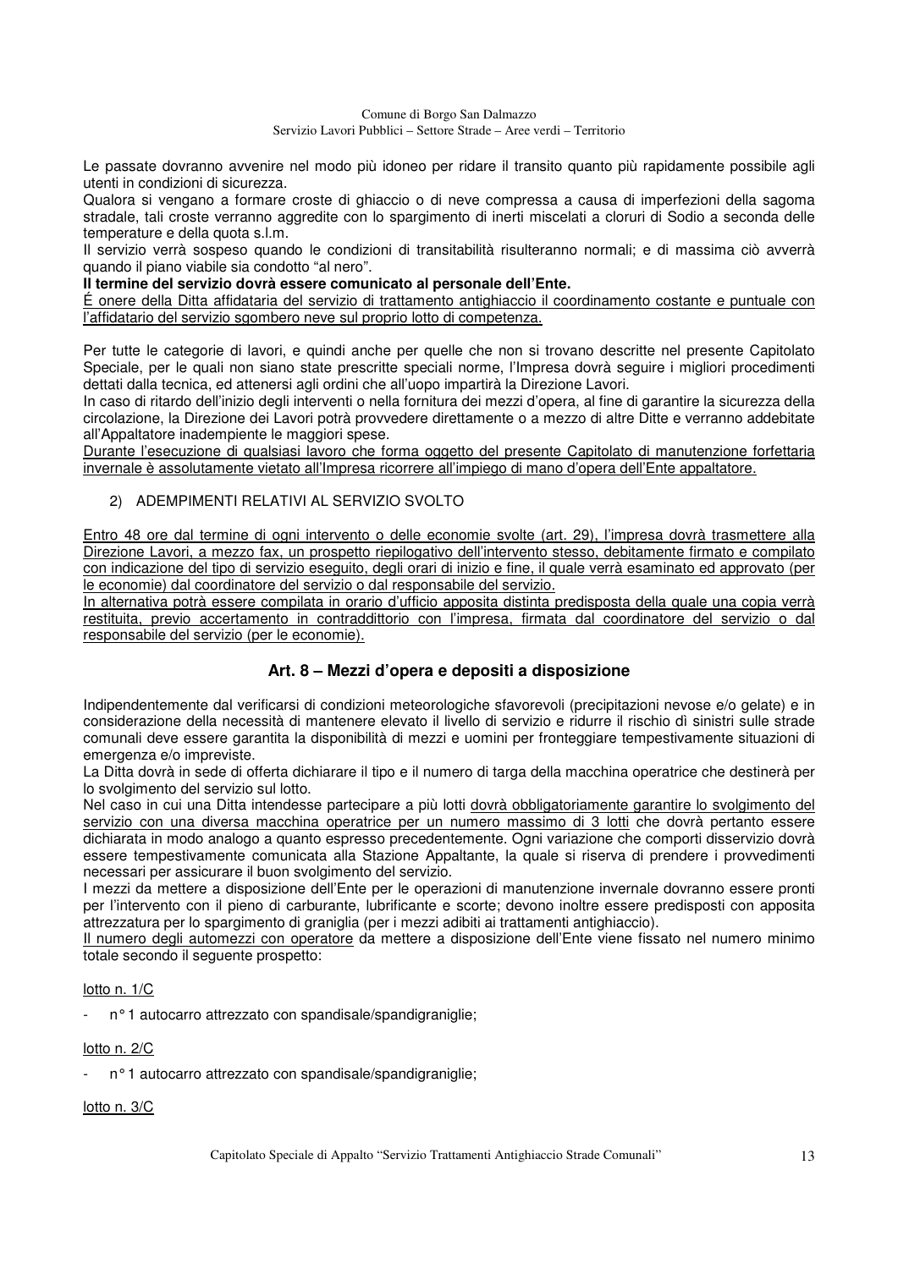Le passate dovranno avvenire nel modo più idoneo per ridare il transito quanto più rapidamente possibile agli utenti in condizioni di sicurezza.

Qualora si vengano a formare croste di ghiaccio o di neve compressa a causa di imperfezioni della sagoma stradale, tali croste verranno aggredite con lo spargimento di inerti miscelati a cloruri di Sodio a seconda delle temperature e della quota s.l.m.

Il servizio verrà sospeso quando le condizioni di transitabilità risulteranno normali; e di massima ciò avverrà quando il piano viabile sia condotto "al nero".

#### **Il termine del servizio dovrà essere comunicato al personale dell'Ente.**

É onere della Ditta affidataria del servizio di trattamento antighiaccio il coordinamento costante e puntuale con l'affidatario del servizio sgombero neve sul proprio lotto di competenza.

Per tutte le categorie di lavori, e quindi anche per quelle che non si trovano descritte nel presente Capitolato Speciale, per le quali non siano state prescritte speciali norme, l'Impresa dovrà seguire i migliori procedimenti dettati dalla tecnica, ed attenersi agli ordini che all'uopo impartirà la Direzione Lavori.

In caso di ritardo dell'inizio degli interventi o nella fornitura dei mezzi d'opera, al fine di garantire la sicurezza della circolazione, la Direzione dei Lavori potrà provvedere direttamente o a mezzo di altre Ditte e verranno addebitate all'Appaltatore inadempiente le maggiori spese.

Durante l'esecuzione di qualsiasi lavoro che forma oggetto del presente Capitolato di manutenzione forfettaria invernale è assolutamente vietato all'Impresa ricorrere all'impiego di mano d'opera dell'Ente appaltatore.

### 2) ADEMPIMENTI RELATIVI AL SERVIZIO SVOLTO

Entro 48 ore dal termine di ogni intervento o delle economie svolte (art. 29), l'impresa dovrà trasmettere alla Direzione Lavori, a mezzo fax, un prospetto riepilogativo dell'intervento stesso, debitamente firmato e compilato con indicazione del tipo di servizio eseguito, degli orari di inizio e fine, il quale verrà esaminato ed approvato (per le economie) dal coordinatore del servizio o dal responsabile del servizio.

In alternativa potrà essere compilata in orario d'ufficio apposita distinta predisposta della quale una copia verrà restituita, previo accertamento in contraddittorio con l'impresa, firmata dal coordinatore del servizio o dal responsabile del servizio (per le economie).

### **Art. 8 – Mezzi d'opera e depositi a disposizione**

Indipendentemente dal verificarsi di condizioni meteorologiche sfavorevoli (precipitazioni nevose e/o gelate) e in considerazione della necessità di mantenere elevato il livello di servizio e ridurre il rischio dì sinistri sulle strade comunali deve essere garantita la disponibilità di mezzi e uomini per fronteggiare tempestivamente situazioni di emergenza e/o impreviste.

La Ditta dovrà in sede di offerta dichiarare il tipo e il numero di targa della macchina operatrice che destinerà per lo svolgimento del servizio sul lotto.

Nel caso in cui una Ditta intendesse partecipare a più lotti dovrà obbligatoriamente garantire lo svolgimento del servizio con una diversa macchina operatrice per un numero massimo di 3 lotti che dovrà pertanto essere dichiarata in modo analogo a quanto espresso precedentemente. Ogni variazione che comporti disservizio dovrà essere tempestivamente comunicata alla Stazione Appaltante, la quale si riserva di prendere i provvedimenti necessari per assicurare il buon svolgimento del servizio.

I mezzi da mettere a disposizione dell'Ente per le operazioni di manutenzione invernale dovranno essere pronti per l'intervento con il pieno di carburante, lubrificante e scorte; devono inoltre essere predisposti con apposita attrezzatura per lo spargimento di graniglia (per i mezzi adibiti ai trattamenti antighiaccio).

Il numero degli automezzi con operatore da mettere a disposizione dell'Ente viene fissato nel numero minimo totale secondo il seguente prospetto:

### lotto n. 1/C

n° 1 autocarro attrezzato con spandisale/spandigraniglie;

#### lotto n. 2/C

n° 1 autocarro attrezzato con spandisale/spandigraniglie;

### lotto n. 3/C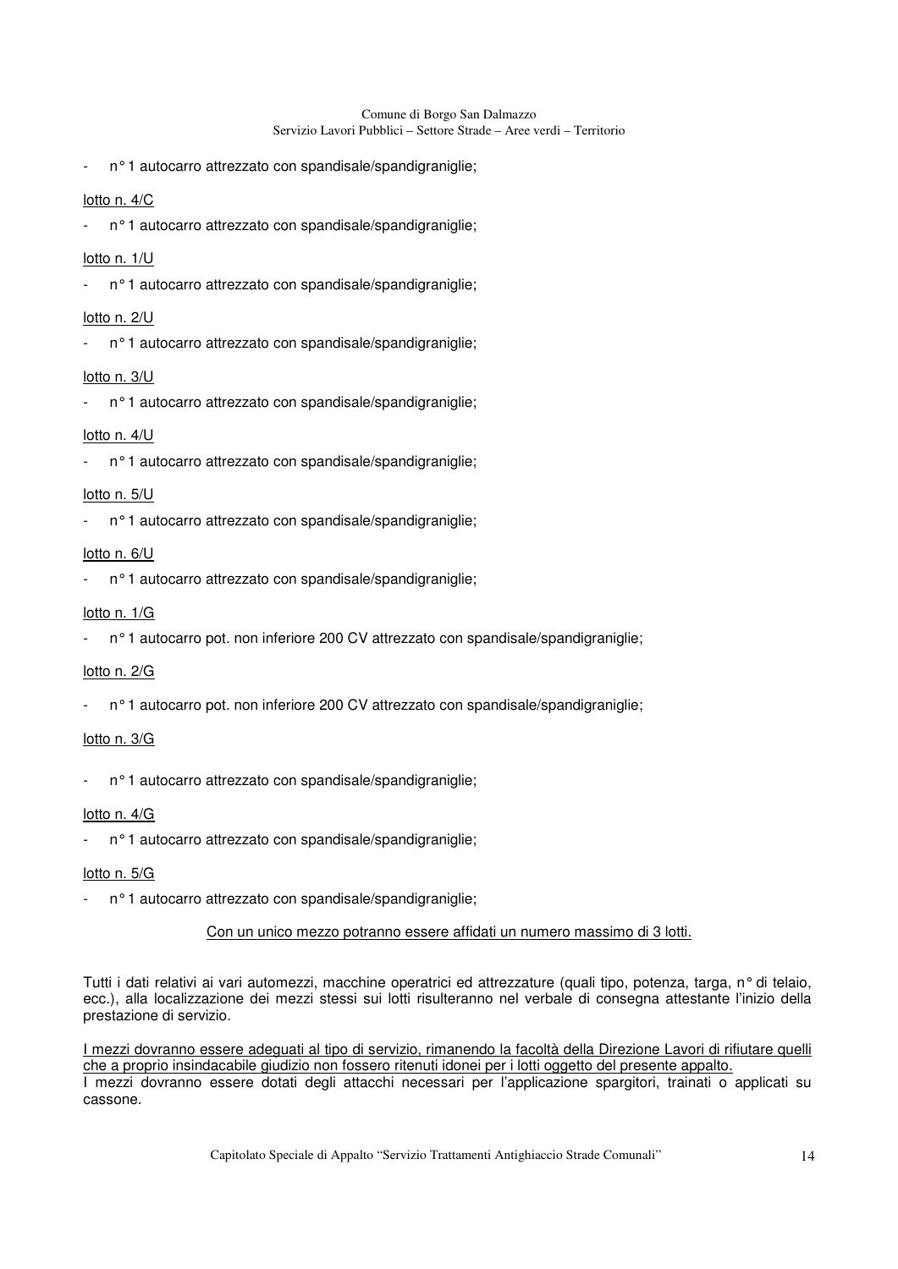n° 1 autocarro attrezzato con spandisale/spandigraniglie;

### lotto n. 4/C

n° 1 autocarro attrezzato con spandisale/spandigraniglie;

#### lotto n. 1/U

n° 1 autocarro attrezzato con spandisale/spandigraniglie;

#### lotto n. 2/U

n° 1 autocarro attrezzato con spandisale/spandigraniglie;

#### lotto n. 3/U

n° 1 autocarro attrezzato con spandisale/spandigraniglie;

### lotto n. 4/U

n° 1 autocarro attrezzato con spandisale/spandigraniglie;

#### lotto n. 5/U

n° 1 autocarro attrezzato con spandisale/spandigraniglie;

#### lotto n. 6/U

n° 1 autocarro attrezzato con spandisale/spandigraniglie;

#### lotto n. 1/G

n° 1 autocarro pot. non inferiore 200 CV attrezzato con spandisale/spandigraniglie;

#### lotto n. 2/G

n° 1 autocarro pot. non inferiore 200 CV attrezzato con spandisale/spandigraniglie;

#### lotto n. 3/G

n° 1 autocarro attrezzato con spandisale/spandigraniglie;

#### lotto n. 4/G

n° 1 autocarro attrezzato con spandisale/spandigraniglie;

#### lotto n. 5/G

n° 1 autocarro attrezzato con spandisale/spandigraniglie;

### Con un unico mezzo potranno essere affidati un numero massimo di 3 lotti.

Tutti i dati relativi ai vari automezzi, macchine operatrici ed attrezzature (quali tipo, potenza, targa, n° di telaio, ecc.), alla localizzazione dei mezzi stessi sui lotti risulteranno nel verbale di consegna attestante l'inizio della prestazione di servizio.

I mezzi dovranno essere adeguati al tipo di servizio, rimanendo la facoltà della Direzione Lavori di rifiutare quelli che a proprio insindacabile giudizio non fossero ritenuti idonei per i lotti oggetto del presente appalto. I mezzi dovranno essere dotati degli attacchi necessari per l'applicazione spargitori, trainati o applicati su cassone.

Capitolato Speciale di Appalto "Servizio Trattamenti Antighiaccio Strade Comunali" 14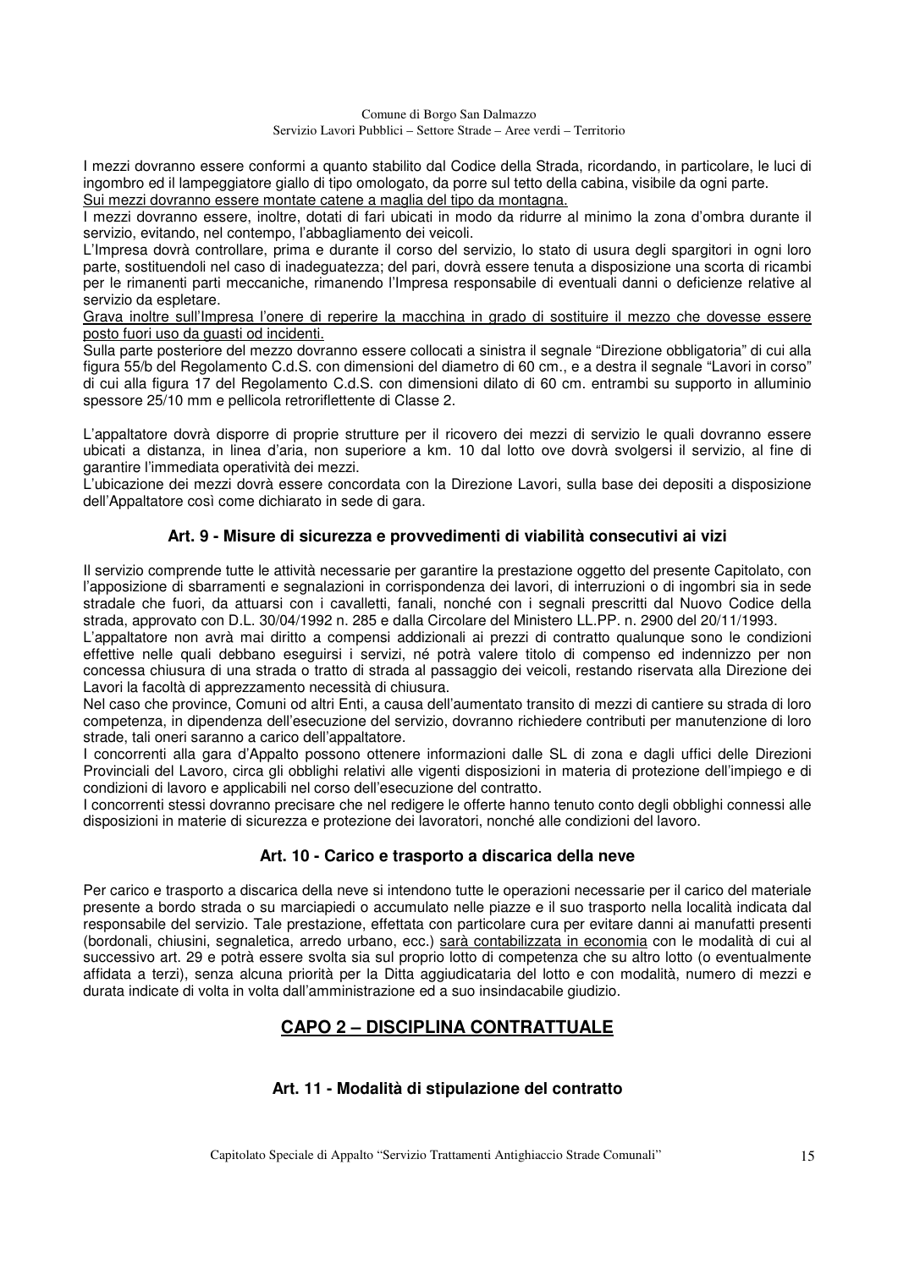I mezzi dovranno essere conformi a quanto stabilito dal Codice della Strada, ricordando, in particolare, le luci di ingombro ed il lampeggiatore giallo di tipo omologato, da porre sul tetto della cabina, visibile da ogni parte. Sui mezzi dovranno essere montate catene a maglia del tipo da montagna.

I mezzi dovranno essere, inoltre, dotati di fari ubicati in modo da ridurre al minimo la zona d'ombra durante il servizio, evitando, nel contempo, l'abbagliamento dei veicoli.

L'Impresa dovrà controllare, prima e durante il corso del servizio, lo stato di usura degli spargitori in ogni loro parte, sostituendoli nel caso di inadeguatezza; del pari, dovrà essere tenuta a disposizione una scorta di ricambi per le rimanenti parti meccaniche, rimanendo l'Impresa responsabile di eventuali danni o deficienze relative al servizio da espletare.

Grava inoltre sull'Impresa l'onere di reperire la macchina in grado di sostituire il mezzo che dovesse essere posto fuori uso da guasti od incidenti.

Sulla parte posteriore del mezzo dovranno essere collocati a sinistra il segnale "Direzione obbligatoria" di cui alla figura 55/b del Regolamento C.d.S. con dimensioni del diametro di 60 cm., e a destra il segnale "Lavori in corso" di cui alla figura 17 del Regolamento C.d.S. con dimensioni dilato di 60 cm. entrambi su supporto in alluminio spessore 25/10 mm e pellicola retroriflettente di Classe 2.

L'appaltatore dovrà disporre di proprie strutture per il ricovero dei mezzi di servizio le quali dovranno essere ubicati a distanza, in linea d'aria, non superiore a km. 10 dal lotto ove dovrà svolgersi il servizio, al fine di garantire l'immediata operatività dei mezzi.

L'ubicazione dei mezzi dovrà essere concordata con la Direzione Lavori, sulla base dei depositi a disposizione dell'Appaltatore così come dichiarato in sede di gara.

### **Art. 9 - Misure di sicurezza e provvedimenti di viabilità consecutivi ai vizi**

Il servizio comprende tutte le attività necessarie per garantire la prestazione oggetto del presente Capitolato, con l'apposizione di sbarramenti e segnalazioni in corrispondenza dei lavori, di interruzioni o di ingombri sia in sede stradale che fuori, da attuarsi con i cavalletti, fanali, nonché con i segnali prescritti dal Nuovo Codice della strada, approvato con D.L. 30/04/1992 n. 285 e dalla Circolare del Ministero LL.PP. n. 2900 del 20/11/1993.

L'appaltatore non avrà mai diritto a compensi addizionali ai prezzi di contratto qualunque sono le condizioni effettive nelle quali debbano eseguirsi i servizi, né potrà valere titolo di compenso ed indennizzo per non concessa chiusura di una strada o tratto di strada al passaggio dei veicoli, restando riservata alla Direzione dei Lavori la facoltà di apprezzamento necessità di chiusura.

Nel caso che province, Comuni od altri Enti, a causa dell'aumentato transito di mezzi di cantiere su strada di loro competenza, in dipendenza dell'esecuzione del servizio, dovranno richiedere contributi per manutenzione di loro strade, tali oneri saranno a carico dell'appaltatore.

I concorrenti alla gara d'Appalto possono ottenere informazioni dalle SL di zona e dagli uffici delle Direzioni Provinciali del Lavoro, circa gli obblighi relativi alle vigenti disposizioni in materia di protezione dell'impiego e di condizioni di lavoro e applicabili nel corso dell'esecuzione del contratto.

I concorrenti stessi dovranno precisare che nel redigere le offerte hanno tenuto conto degli obblighi connessi alle disposizioni in materie di sicurezza e protezione dei lavoratori, nonché alle condizioni del lavoro.

### **Art. 10 - Carico e trasporto a discarica della neve**

Per carico e trasporto a discarica della neve si intendono tutte le operazioni necessarie per il carico del materiale presente a bordo strada o su marciapiedi o accumulato nelle piazze e il suo trasporto nella località indicata dal responsabile del servizio. Tale prestazione, effettata con particolare cura per evitare danni ai manufatti presenti (bordonali, chiusini, segnaletica, arredo urbano, ecc.) sarà contabilizzata in economia con le modalità di cui al successivo art. 29 e potrà essere svolta sia sul proprio lotto di competenza che su altro lotto (o eventualmente affidata a terzi), senza alcuna priorità per la Ditta aggiudicataria del lotto e con modalità, numero di mezzi e durata indicate di volta in volta dall'amministrazione ed a suo insindacabile giudizio.

# **CAPO 2 – DISCIPLINA CONTRATTUALE**

### **Art. 11 - Modalità di stipulazione del contratto**

Capitolato Speciale di Appalto "Servizio Trattamenti Antighiaccio Strade Comunali" 15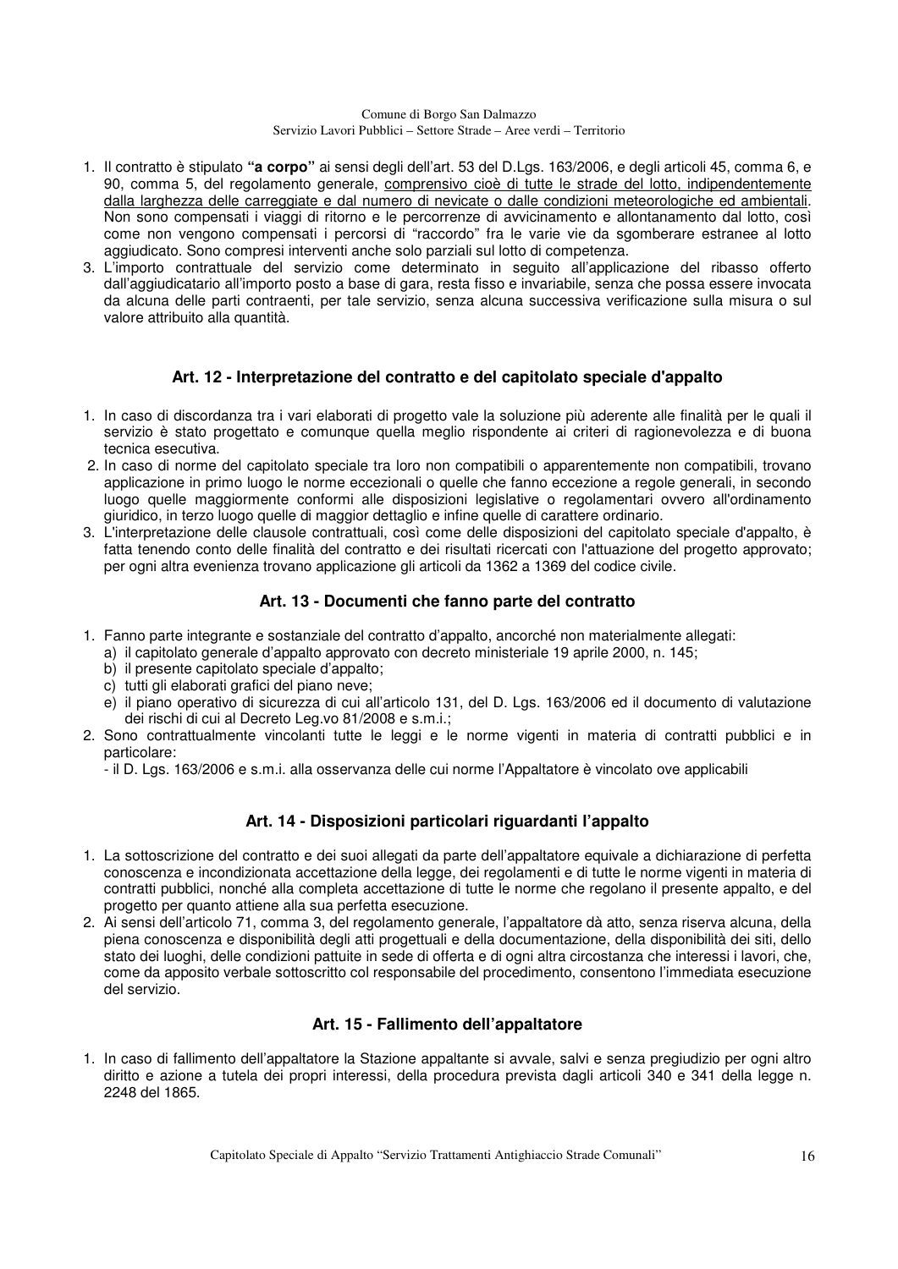- 1. Il contratto è stipulato **"a corpo"** ai sensi degli dell'art. 53 del D.Lgs. 163/2006, e degli articoli 45, comma 6, e 90, comma 5, del regolamento generale, comprensivo cioè di tutte le strade del lotto, indipendentemente dalla larghezza delle carreggiate e dal numero di nevicate o dalle condizioni meteorologiche ed ambientali. Non sono compensati i viaggi di ritorno e le percorrenze di avvicinamento e allontanamento dal lotto, così come non vengono compensati i percorsi di "raccordo" fra le varie vie da sgomberare estranee al lotto aggiudicato. Sono compresi interventi anche solo parziali sul lotto di competenza.
- 3. L'importo contrattuale del servizio come determinato in seguito all'applicazione del ribasso offerto dall'aggiudicatario all'importo posto a base di gara, resta fisso e invariabile, senza che possa essere invocata da alcuna delle parti contraenti, per tale servizio, senza alcuna successiva verificazione sulla misura o sul valore attribuito alla quantità.

### **Art. 12 - Interpretazione del contratto e del capitolato speciale d'appalto**

- 1. In caso di discordanza tra i vari elaborati di progetto vale la soluzione più aderente alle finalità per le quali il servizio è stato progettato e comunque quella meglio rispondente ai criteri di ragionevolezza e di buona tecnica esecutiva.
- 2. In caso di norme del capitolato speciale tra loro non compatibili o apparentemente non compatibili, trovano applicazione in primo luogo le norme eccezionali o quelle che fanno eccezione a regole generali, in secondo luogo quelle maggiormente conformi alle disposizioni legislative o regolamentari ovvero all'ordinamento giuridico, in terzo luogo quelle di maggior dettaglio e infine quelle di carattere ordinario.
- 3. L'interpretazione delle clausole contrattuali, così come delle disposizioni del capitolato speciale d'appalto, è fatta tenendo conto delle finalità del contratto e dei risultati ricercati con l'attuazione del progetto approvato; per ogni altra evenienza trovano applicazione gli articoli da 1362 a 1369 del codice civile.

### **Art. 13 - Documenti che fanno parte del contratto**

- 1. Fanno parte integrante e sostanziale del contratto d'appalto, ancorché non materialmente allegati:
- a) il capitolato generale d'appalto approvato con decreto ministeriale 19 aprile 2000, n. 145;
	- b) il presente capitolato speciale d'appalto;
	- c) tutti gli elaborati grafici del piano neve:
	- e) il piano operativo di sicurezza di cui all'articolo 131, del D. Lgs. 163/2006 ed il documento di valutazione dei rischi di cui al Decreto Leg.vo 81/2008 e s.m.i.;
- 2. Sono contrattualmente vincolanti tutte le leggi e le norme vigenti in materia di contratti pubblici e in particolare:
	- il D. Lgs. 163/2006 e s.m.i. alla osservanza delle cui norme l'Appaltatore è vincolato ove applicabili

### **Art. 14 - Disposizioni particolari riguardanti l'appalto**

- 1. La sottoscrizione del contratto e dei suoi allegati da parte dell'appaltatore equivale a dichiarazione di perfetta conoscenza e incondizionata accettazione della legge, dei regolamenti e di tutte le norme vigenti in materia di contratti pubblici, nonché alla completa accettazione di tutte le norme che regolano il presente appalto, e del progetto per quanto attiene alla sua perfetta esecuzione.
- 2. Ai sensi dell'articolo 71, comma 3, del regolamento generale, l'appaltatore dà atto, senza riserva alcuna, della piena conoscenza e disponibilità degli atti progettuali e della documentazione, della disponibilità dei siti, dello stato dei luoghi, delle condizioni pattuite in sede di offerta e di ogni altra circostanza che interessi i lavori, che, come da apposito verbale sottoscritto col responsabile del procedimento, consentono l'immediata esecuzione del servizio.

### **Art. 15 - Fallimento dell'appaltatore**

1. In caso di fallimento dell'appaltatore la Stazione appaltante si avvale, salvi e senza pregiudizio per ogni altro diritto e azione a tutela dei propri interessi, della procedura prevista dagli articoli 340 e 341 della legge n. 2248 del 1865.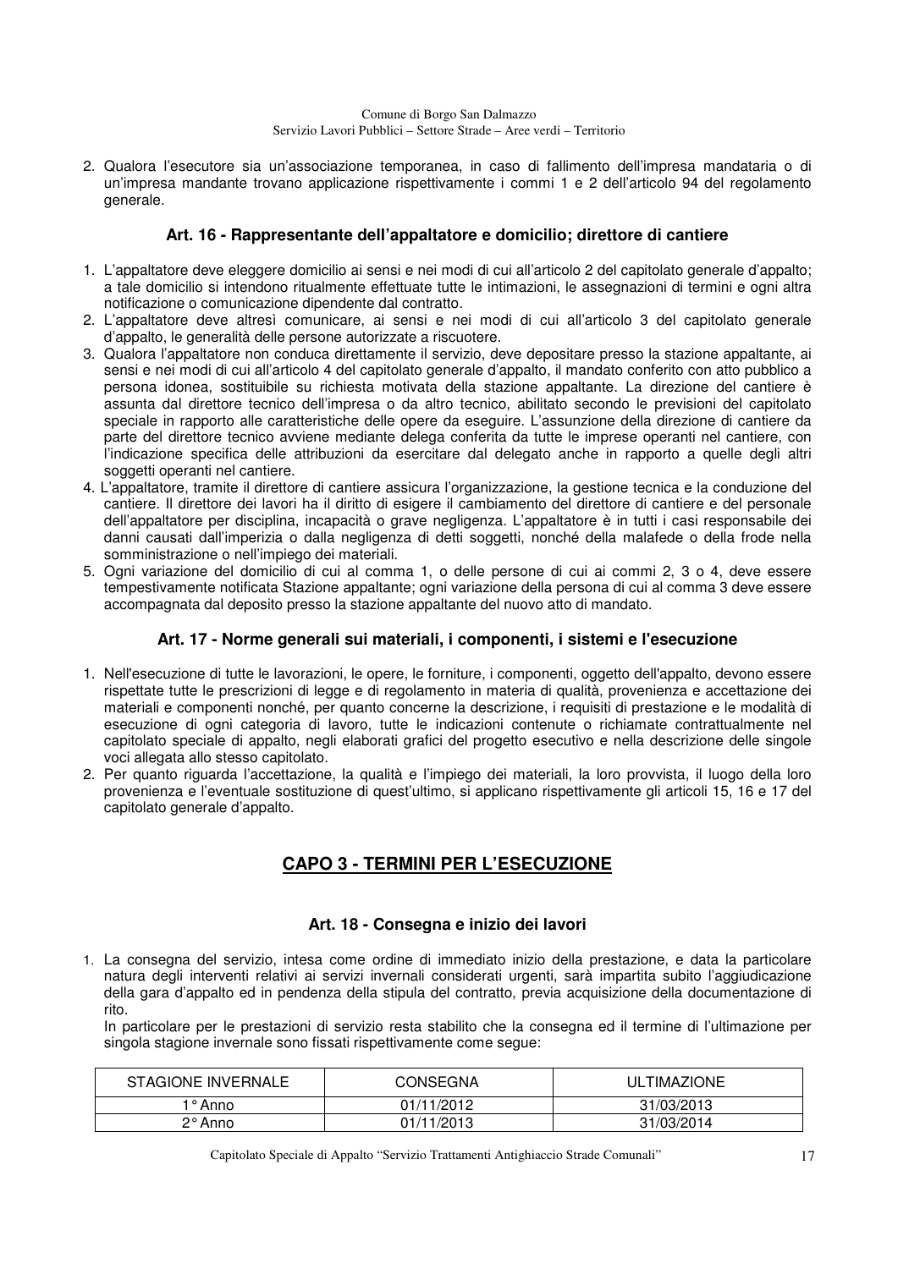2. Qualora l'esecutore sia un'associazione temporanea, in caso di fallimento dell'impresa mandataria o di un'impresa mandante trovano applicazione rispettivamente i commi 1 e 2 dell'articolo 94 del regolamento generale.

### **Art. 16 - Rappresentante dell'appaltatore e domicilio; direttore di cantiere**

- 1. L'appaltatore deve eleggere domicilio ai sensi e nei modi di cui all'articolo 2 del capitolato generale d'appalto; a tale domicilio si intendono ritualmente effettuate tutte le intimazioni, le assegnazioni di termini e ogni altra notificazione o comunicazione dipendente dal contratto.
- 2. L'appaltatore deve altresì comunicare, ai sensi e nei modi di cui all'articolo 3 del capitolato generale d'appalto, le generalità delle persone autorizzate a riscuotere.
- 3. Qualora l'appaltatore non conduca direttamente il servizio, deve depositare presso la stazione appaltante, ai sensi e nei modi di cui all'articolo 4 del capitolato generale d'appalto, il mandato conferito con atto pubblico a persona idonea, sostituibile su richiesta motivata della stazione appaltante. La direzione del cantiere è assunta dal direttore tecnico dell'impresa o da altro tecnico, abilitato secondo le previsioni del capitolato speciale in rapporto alle caratteristiche delle opere da eseguire. L'assunzione della direzione di cantiere da parte del direttore tecnico avviene mediante delega conferita da tutte le imprese operanti nel cantiere, con l'indicazione specifica delle attribuzioni da esercitare dal delegato anche in rapporto a quelle degli altri soggetti operanti nel cantiere.
- 4. L'appaltatore, tramite il direttore di cantiere assicura l'organizzazione, la gestione tecnica e la conduzione del cantiere. Il direttore dei lavori ha il diritto di esigere il cambiamento del direttore di cantiere e del personale dell'appaltatore per disciplina, incapacità o grave negligenza. L'appaltatore è in tutti i casi responsabile dei danni causati dall'imperizia o dalla negligenza di detti soggetti, nonché della malafede o della frode nella somministrazione o nell'impiego dei materiali.
- 5. Ogni variazione del domicilio di cui al comma 1, o delle persone di cui ai commi 2, 3 o 4, deve essere tempestivamente notificata Stazione appaltante; ogni variazione della persona di cui al comma 3 deve essere accompagnata dal deposito presso la stazione appaltante del nuovo atto di mandato.

### **Art. 17 - Norme generali sui materiali, i componenti, i sistemi e l'esecuzione**

- 1. Nell'esecuzione di tutte le lavorazioni, le opere, le forniture, i componenti, oggetto dell'appalto, devono essere rispettate tutte le prescrizioni di legge e di regolamento in materia di qualità, provenienza e accettazione dei materiali e componenti nonché, per quanto concerne la descrizione, i requisiti di prestazione e le modalità di esecuzione di ogni categoria di lavoro, tutte le indicazioni contenute o richiamate contrattualmente nel capitolato speciale di appalto, negli elaborati grafici del progetto esecutivo e nella descrizione delle singole voci allegata allo stesso capitolato.
- 2. Per quanto riguarda l'accettazione, la qualità e l'impiego dei materiali, la loro provvista, il luogo della loro provenienza e l'eventuale sostituzione di quest'ultimo, si applicano rispettivamente gli articoli 15, 16 e 17 del capitolato generale d'appalto.

# **CAPO 3 - TERMINI PER L'ESECUZIONE**

### **Art. 18 - Consegna e inizio dei lavori**

1. La consegna del servizio, intesa come ordine di immediato inizio della prestazione, e data la particolare natura degli interventi relativi ai servizi invernali considerati urgenti, sarà impartita subito l'aggiudicazione della gara d'appalto ed in pendenza della stipula del contratto, previa acquisizione della documentazione di rito.

 In particolare per le prestazioni di servizio resta stabilito che la consegna ed il termine di l'ultimazione per singola stagione invernale sono fissati rispettivamente come segue:

| <b>STAGIONE INVERNALE</b> | <b>CONSEGNA</b> | ULTIMAZIONE |
|---------------------------|-----------------|-------------|
| 1 ° Anno                  | 01/11/2012      | 31/03/2013  |
| $2^{\circ}$ Anno          | 01/11/2013      | 31/03/2014  |

Capitolato Speciale di Appalto "Servizio Trattamenti Antighiaccio Strade Comunali" 17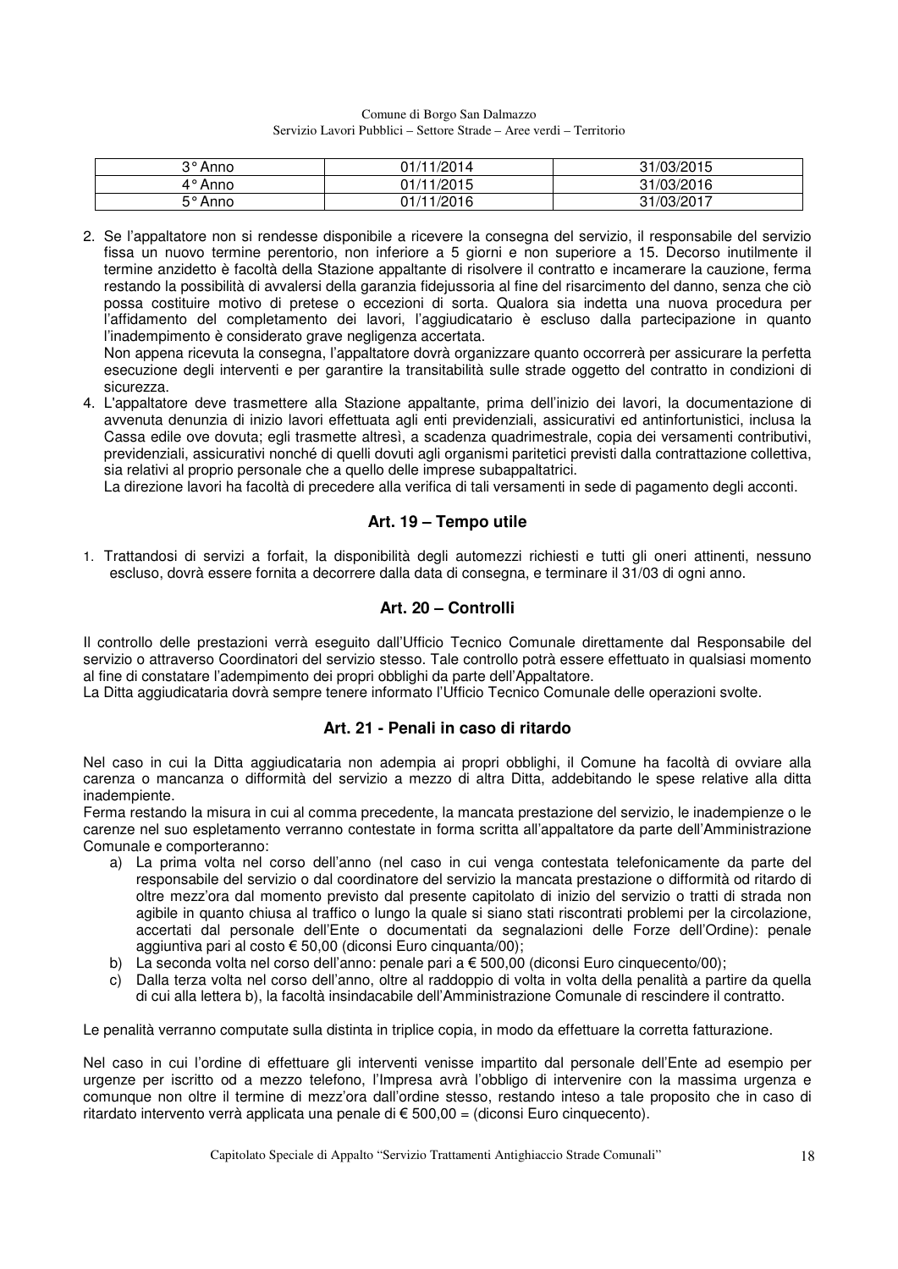| 3° Anno | 01/11/2014 | 31/03/2015 |
|---------|------------|------------|
| 4° Anno | 01/11/2015 | 31/03/2016 |
| 5° Anno | 01/11/2016 | 31/03/2017 |

2. Se l'appaltatore non si rendesse disponibile a ricevere la consegna del servizio, il responsabile del servizio fissa un nuovo termine perentorio, non inferiore a 5 giorni e non superiore a 15. Decorso inutilmente il termine anzidetto è facoltà della Stazione appaltante di risolvere il contratto e incamerare la cauzione, ferma restando la possibilità di avvalersi della garanzia fidejussoria al fine del risarcimento del danno, senza che ciò possa costituire motivo di pretese o eccezioni di sorta. Qualora sia indetta una nuova procedura per l'affidamento del completamento dei lavori, l'aggiudicatario è escluso dalla partecipazione in quanto l'inadempimento è considerato grave negligenza accertata.

Non appena ricevuta la consegna, l'appaltatore dovrà organizzare quanto occorrerà per assicurare la perfetta esecuzione degli interventi e per garantire la transitabilità sulle strade oggetto del contratto in condizioni di sicurezza.

4. L'appaltatore deve trasmettere alla Stazione appaltante, prima dell'inizio dei lavori, la documentazione di avvenuta denunzia di inizio lavori effettuata agli enti previdenziali, assicurativi ed antinfortunistici, inclusa la Cassa edile ove dovuta; egli trasmette altresì, a scadenza quadrimestrale, copia dei versamenti contributivi, previdenziali, assicurativi nonché di quelli dovuti agli organismi paritetici previsti dalla contrattazione collettiva, sia relativi al proprio personale che a quello delle imprese subappaltatrici.

La direzione lavori ha facoltà di precedere alla verifica di tali versamenti in sede di pagamento degli acconti.

### **Art. 19 – Tempo utile**

1. Trattandosi di servizi a forfait, la disponibilità degli automezzi richiesti e tutti gli oneri attinenti, nessuno escluso, dovrà essere fornita a decorrere dalla data di consegna, e terminare il 31/03 di ogni anno.

### **Art. 20 – Controlli**

Il controllo delle prestazioni verrà eseguito dall'Ufficio Tecnico Comunale direttamente dal Responsabile del servizio o attraverso Coordinatori del servizio stesso. Tale controllo potrà essere effettuato in qualsiasi momento al fine di constatare l'adempimento dei propri obblighi da parte dell'Appaltatore.

La Ditta aggiudicataria dovrà sempre tenere informato l'Ufficio Tecnico Comunale delle operazioni svolte.

### **Art. 21 - Penali in caso di ritardo**

Nel caso in cui la Ditta aggiudicataria non adempia ai propri obblighi, il Comune ha facoltà di ovviare alla carenza o mancanza o difformità del servizio a mezzo di altra Ditta, addebitando le spese relative alla ditta inadempiente.

Ferma restando la misura in cui al comma precedente, la mancata prestazione del servizio, le inadempienze o le carenze nel suo espletamento verranno contestate in forma scritta all'appaltatore da parte dell'Amministrazione Comunale e comporteranno:

- a) La prima volta nel corso dell'anno (nel caso in cui venga contestata telefonicamente da parte del responsabile del servizio o dal coordinatore del servizio la mancata prestazione o difformità od ritardo di oltre mezz'ora dal momento previsto dal presente capitolato di inizio del servizio o tratti di strada non agibile in quanto chiusa al traffico o lungo la quale si siano stati riscontrati problemi per la circolazione, accertati dal personale dell'Ente o documentati da segnalazioni delle Forze dell'Ordine): penale aggiuntiva pari al costo € 50,00 (diconsi Euro cinquanta/00);
- b) La seconda volta nel corso dell'anno: penale pari a € 500,00 (diconsi Euro cinquecento/00);
- c) Dalla terza volta nel corso dell'anno, oltre al raddoppio di volta in volta della penalità a partire da quella di cui alla lettera b), la facoltà insindacabile dell'Amministrazione Comunale di rescindere il contratto.

Le penalità verranno computate sulla distinta in triplice copia, in modo da effettuare la corretta fatturazione.

Nel caso in cui l'ordine di effettuare gli interventi venisse impartito dal personale dell'Ente ad esempio per urgenze per iscritto od a mezzo telefono, l'Impresa avrà l'obbligo di intervenire con la massima urgenza e comunque non oltre il termine di mezz'ora dall'ordine stesso, restando inteso a tale proposito che in caso di ritardato intervento verrà applicata una penale di € 500,00 = (diconsi Euro cinquecento).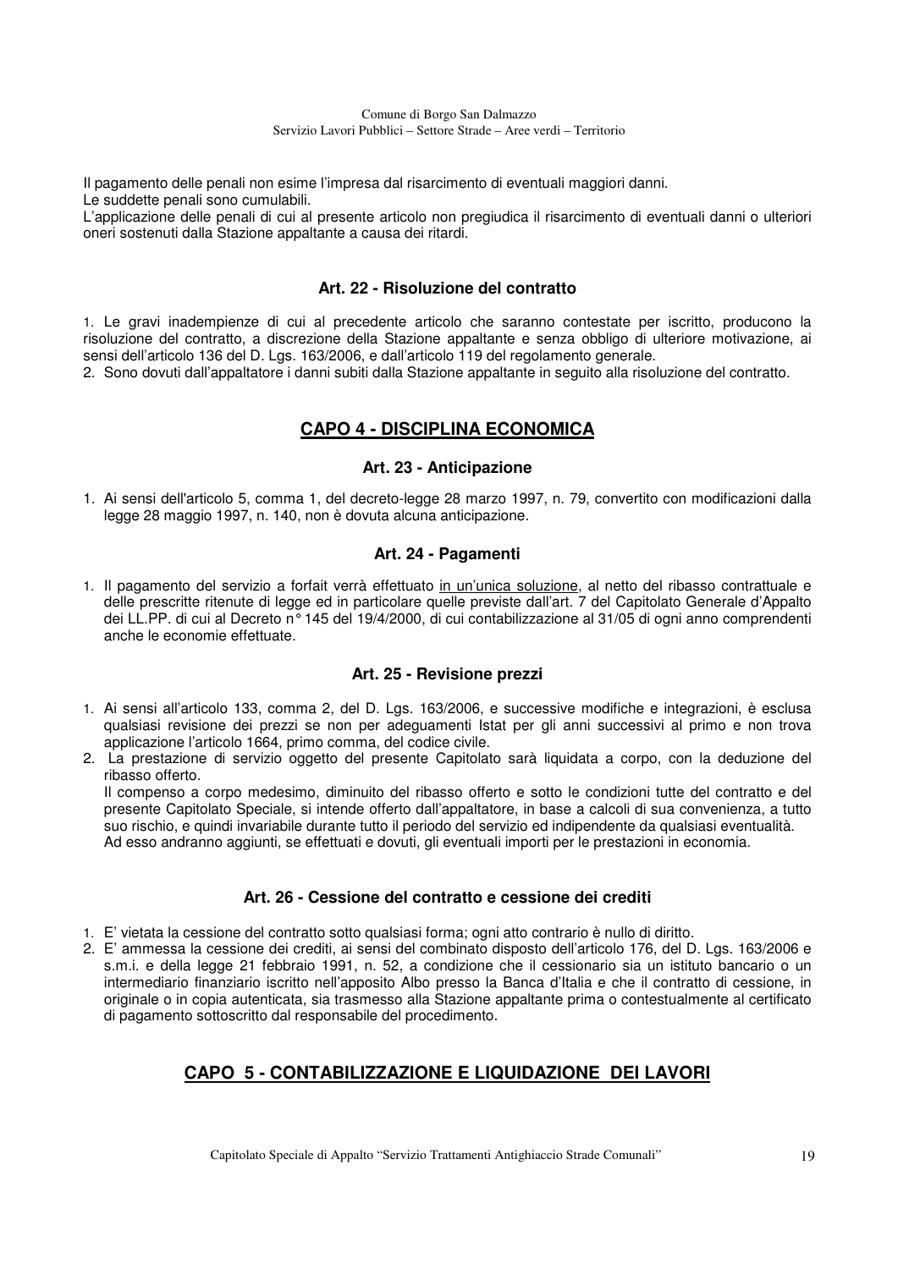Il pagamento delle penali non esime l'impresa dal risarcimento di eventuali maggiori danni. Le suddette penali sono cumulabili.

L'applicazione delle penali di cui al presente articolo non pregiudica il risarcimento di eventuali danni o ulteriori oneri sostenuti dalla Stazione appaltante a causa dei ritardi.

### **Art. 22 - Risoluzione del contratto**

1. Le gravi inadempienze di cui al precedente articolo che saranno contestate per iscritto, producono la risoluzione del contratto, a discrezione della Stazione appaltante e senza obbligo di ulteriore motivazione, ai sensi dell'articolo 136 del D. Lgs. 163/2006, e dall'articolo 119 del regolamento generale.

2. Sono dovuti dall'appaltatore i danni subiti dalla Stazione appaltante in seguito alla risoluzione del contratto.

# **CAPO 4 - DISCIPLINA ECONOMICA**

### **Art. 23 - Anticipazione**

1. Ai sensi dell'articolo 5, comma 1, del decreto-legge 28 marzo 1997, n. 79, convertito con modificazioni dalla legge 28 maggio 1997, n. 140, non è dovuta alcuna anticipazione.

### **Art. 24 - Pagamenti**

1. Il pagamento del servizio a forfait verrà effettuato in un'unica soluzione, al netto del ribasso contrattuale e delle prescritte ritenute di legge ed in particolare quelle previste dall'art. 7 del Capitolato Generale d'Appalto dei LL.PP. di cui al Decreto n° 145 del 19/4/2000, di cui contabilizzazione al 31/05 di ogni anno comprendenti anche le economie effettuate.

### **Art. 25 - Revisione prezzi**

- 1. Ai sensi all'articolo 133, comma 2, del D. Lgs. 163/2006, e successive modifiche e integrazioni, è esclusa qualsiasi revisione dei prezzi se non per adeguamenti Istat per gli anni successivi al primo e non trova applicazione l'articolo 1664, primo comma, del codice civile.
- 2. La prestazione di servizio oggetto del presente Capitolato sarà liquidata a corpo, con la deduzione del ribasso offerto.

Il compenso a corpo medesimo, diminuito del ribasso offerto e sotto le condizioni tutte del contratto e del presente Capitolato Speciale, si intende offerto dall'appaltatore, in base a calcoli di sua convenienza, a tutto suo rischio, e quindi invariabile durante tutto il periodo del servizio ed indipendente da qualsiasi eventualità. Ad esso andranno aggiunti, se effettuati e dovuti, gli eventuali importi per le prestazioni in economia.

### **Art. 26 - Cessione del contratto e cessione dei crediti**

- 1. E' vietata la cessione del contratto sotto qualsiasi forma; ogni atto contrario è nullo di diritto.
- 2. E' ammessa la cessione dei crediti, ai sensi del combinato disposto dell'articolo 176, del D. Lgs. 163/2006 e s.m.i. e della legge 21 febbraio 1991, n. 52, a condizione che il cessionario sia un istituto bancario o un intermediario finanziario iscritto nell'apposito Albo presso la Banca d'Italia e che il contratto di cessione, in originale o in copia autenticata, sia trasmesso alla Stazione appaltante prima o contestualmente al certificato di pagamento sottoscritto dal responsabile del procedimento.

### **CAPO 5 - CONTABILIZZAZIONE E LIQUIDAZIONE DEI LAVORI**

Capitolato Speciale di Appalto "Servizio Trattamenti Antighiaccio Strade Comunali" 19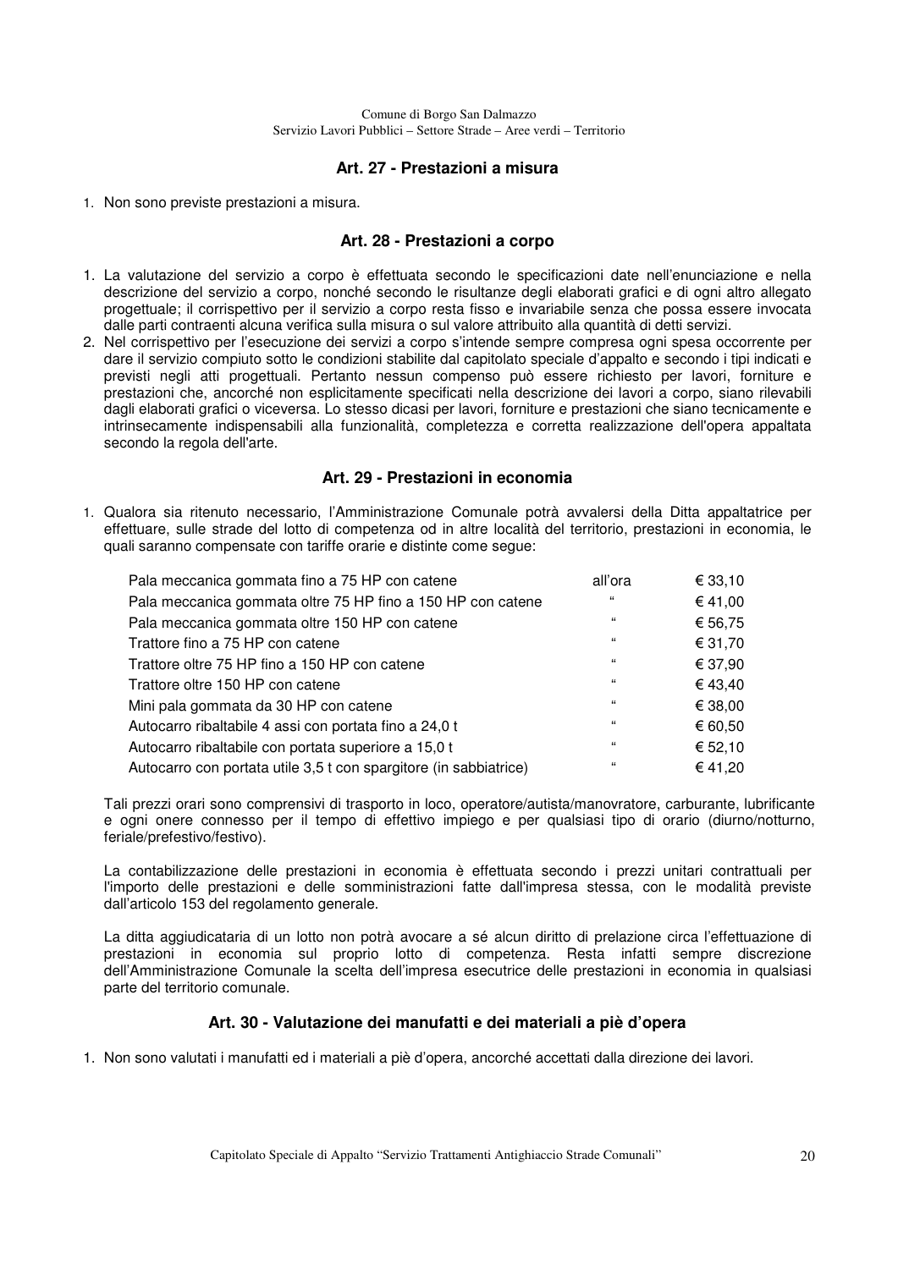### **Art. 27 - Prestazioni a misura**

1. Non sono previste prestazioni a misura.

### **Art. 28 - Prestazioni a corpo**

- 1. La valutazione del servizio a corpo è effettuata secondo le specificazioni date nell'enunciazione e nella descrizione del servizio a corpo, nonché secondo le risultanze degli elaborati grafici e di ogni altro allegato progettuale; il corrispettivo per il servizio a corpo resta fisso e invariabile senza che possa essere invocata dalle parti contraenti alcuna verifica sulla misura o sul valore attribuito alla quantità di detti servizi.
- 2. Nel corrispettivo per l'esecuzione dei servizi a corpo s'intende sempre compresa ogni spesa occorrente per dare il servizio compiuto sotto le condizioni stabilite dal capitolato speciale d'appalto e secondo i tipi indicati e previsti negli atti progettuali. Pertanto nessun compenso può essere richiesto per lavori, forniture e prestazioni che, ancorché non esplicitamente specificati nella descrizione dei lavori a corpo, siano rilevabili dagli elaborati grafici o viceversa. Lo stesso dicasi per lavori, forniture e prestazioni che siano tecnicamente e intrinsecamente indispensabili alla funzionalità, completezza e corretta realizzazione dell'opera appaltata secondo la regola dell'arte.

#### **Art. 29 - Prestazioni in economia**

1. Qualora sia ritenuto necessario, l'Amministrazione Comunale potrà avvalersi della Ditta appaltatrice per effettuare, sulle strade del lotto di competenza od in altre località del territorio, prestazioni in economia, le quali saranno compensate con tariffe orarie e distinte come segue:

| Pala meccanica gommata fino a 75 HP con catene                    | all'ora      | € 33,10 |
|-------------------------------------------------------------------|--------------|---------|
| Pala meccanica gommata oltre 75 HP fino a 150 HP con catene       | $\epsilon$   | € 41,00 |
| Pala meccanica gommata oltre 150 HP con catene                    | $\epsilon$   | € 56,75 |
| Trattore fino a 75 HP con catene                                  | $\mathbf{G}$ | € 31,70 |
| Trattore oltre 75 HP fino a 150 HP con catene                     | 66           | € 37,90 |
| Trattore oltre 150 HP con catene                                  | 66           | € 43,40 |
| Mini pala gommata da 30 HP con catene                             | $\epsilon$   | € 38,00 |
| Autocarro ribaltabile 4 assi con portata fino a 24,0 t            | $\epsilon$   | € 60,50 |
| Autocarro ribaltabile con portata superiore a 15,0 t              | $\mathbf{G}$ | € 52,10 |
| Autocarro con portata utile 3,5 t con spargitore (in sabbiatrice) | $\mathbf{G}$ | € 41,20 |

Tali prezzi orari sono comprensivi di trasporto in loco, operatore/autista/manovratore, carburante, lubrificante e ogni onere connesso per il tempo di effettivo impiego e per qualsiasi tipo di orario (diurno/notturno, feriale/prefestivo/festivo).

 La contabilizzazione delle prestazioni in economia è effettuata secondo i prezzi unitari contrattuali per l'importo delle prestazioni e delle somministrazioni fatte dall'impresa stessa, con le modalità previste dall'articolo 153 del regolamento generale.

La ditta aggiudicataria di un lotto non potrà avocare a sé alcun diritto di prelazione circa l'effettuazione di prestazioni in economia sul proprio lotto di competenza. Resta infatti sempre discrezione dell'Amministrazione Comunale la scelta dell'impresa esecutrice delle prestazioni in economia in qualsiasi parte del territorio comunale.

### **Art. 30 - Valutazione dei manufatti e dei materiali a piè d'opera**

1. Non sono valutati i manufatti ed i materiali a piè d'opera, ancorché accettati dalla direzione dei lavori.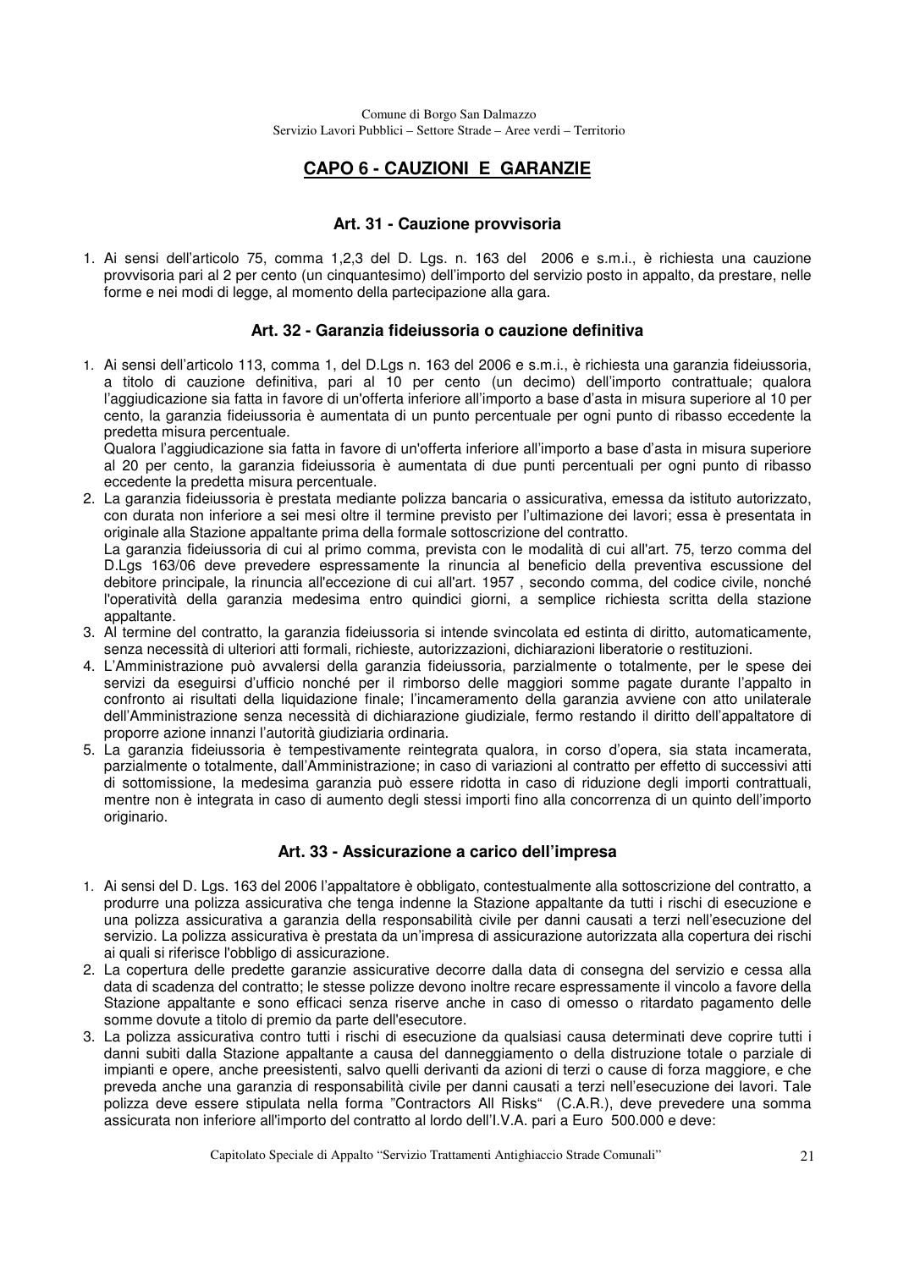# **CAPO 6 - CAUZIONI E GARANZIE**

### **Art. 31 - Cauzione provvisoria**

1. Ai sensi dell'articolo 75, comma 1,2,3 del D. Lgs. n. 163 del 2006 e s.m.i., è richiesta una cauzione provvisoria pari al 2 per cento (un cinquantesimo) dell'importo del servizio posto in appalto, da prestare, nelle forme e nei modi di legge, al momento della partecipazione alla gara.

### **Art. 32 - Garanzia fideiussoria o cauzione definitiva**

1. Ai sensi dell'articolo 113, comma 1, del D.Lgs n. 163 del 2006 e s.m.i., è richiesta una garanzia fideiussoria, a titolo di cauzione definitiva, pari al 10 per cento (un decimo) dell'importo contrattuale; qualora l'aggiudicazione sia fatta in favore di un'offerta inferiore all'importo a base d'asta in misura superiore al 10 per cento, la garanzia fideiussoria è aumentata di un punto percentuale per ogni punto di ribasso eccedente la predetta misura percentuale.

 Qualora l'aggiudicazione sia fatta in favore di un'offerta inferiore all'importo a base d'asta in misura superiore al 20 per cento, la garanzia fideiussoria è aumentata di due punti percentuali per ogni punto di ribasso eccedente la predetta misura percentuale.

2. La garanzia fideiussoria è prestata mediante polizza bancaria o assicurativa, emessa da istituto autorizzato, con durata non inferiore a sei mesi oltre il termine previsto per l'ultimazione dei lavori; essa è presentata in originale alla Stazione appaltante prima della formale sottoscrizione del contratto. La garanzia fideiussoria di cui al primo comma, prevista con le modalità di cui all'art. 75, terzo comma del D.Lgs 163/06 deve prevedere espressamente la rinuncia al beneficio della preventiva escussione del

debitore principale, la rinuncia all'eccezione di cui all'art. 1957 , secondo comma, del codice civile, nonché l'operatività della garanzia medesima entro quindici giorni, a semplice richiesta scritta della stazione appaltante.

- 3. Al termine del contratto, la garanzia fideiussoria si intende svincolata ed estinta di diritto, automaticamente, senza necessità di ulteriori atti formali, richieste, autorizzazioni, dichiarazioni liberatorie o restituzioni.
- 4. L'Amministrazione può avvalersi della garanzia fideiussoria, parzialmente o totalmente, per le spese dei servizi da eseguirsi d'ufficio nonché per il rimborso delle maggiori somme pagate durante l'appalto in confronto ai risultati della liquidazione finale; l'incameramento della garanzia avviene con atto unilaterale dell'Amministrazione senza necessità di dichiarazione giudiziale, fermo restando il diritto dell'appaltatore di proporre azione innanzi l'autorità giudiziaria ordinaria.
- 5. La garanzia fideiussoria è tempestivamente reintegrata qualora, in corso d'opera, sia stata incamerata, parzialmente o totalmente, dall'Amministrazione; in caso di variazioni al contratto per effetto di successivi atti di sottomissione, la medesima garanzia può essere ridotta in caso di riduzione degli importi contrattuali, mentre non è integrata in caso di aumento degli stessi importi fino alla concorrenza di un quinto dell'importo originario.

### **Art. 33 - Assicurazione a carico dell'impresa**

- 1. Ai sensi del D. Lgs. 163 del 2006 l'appaltatore è obbligato, contestualmente alla sottoscrizione del contratto, a produrre una polizza assicurativa che tenga indenne la Stazione appaltante da tutti i rischi di esecuzione e una polizza assicurativa a garanzia della responsabilità civile per danni causati a terzi nell'esecuzione del servizio. La polizza assicurativa è prestata da un'impresa di assicurazione autorizzata alla copertura dei rischi ai quali si riferisce l'obbligo di assicurazione.
- 2. La copertura delle predette garanzie assicurative decorre dalla data di consegna del servizio e cessa alla data di scadenza del contratto; le stesse polizze devono inoltre recare espressamente il vincolo a favore della Stazione appaltante e sono efficaci senza riserve anche in caso di omesso o ritardato pagamento delle somme dovute a titolo di premio da parte dell'esecutore.
- 3. La polizza assicurativa contro tutti i rischi di esecuzione da qualsiasi causa determinati deve coprire tutti i danni subiti dalla Stazione appaltante a causa del danneggiamento o della distruzione totale o parziale di impianti e opere, anche preesistenti, salvo quelli derivanti da azioni di terzi o cause di forza maggiore, e che preveda anche una garanzia di responsabilità civile per danni causati a terzi nell'esecuzione dei lavori. Tale polizza deve essere stipulata nella forma "Contractors All Risks" (C.A.R.), deve prevedere una somma assicurata non inferiore all'importo del contratto al lordo dell'I.V.A. pari a Euro 500.000 e deve: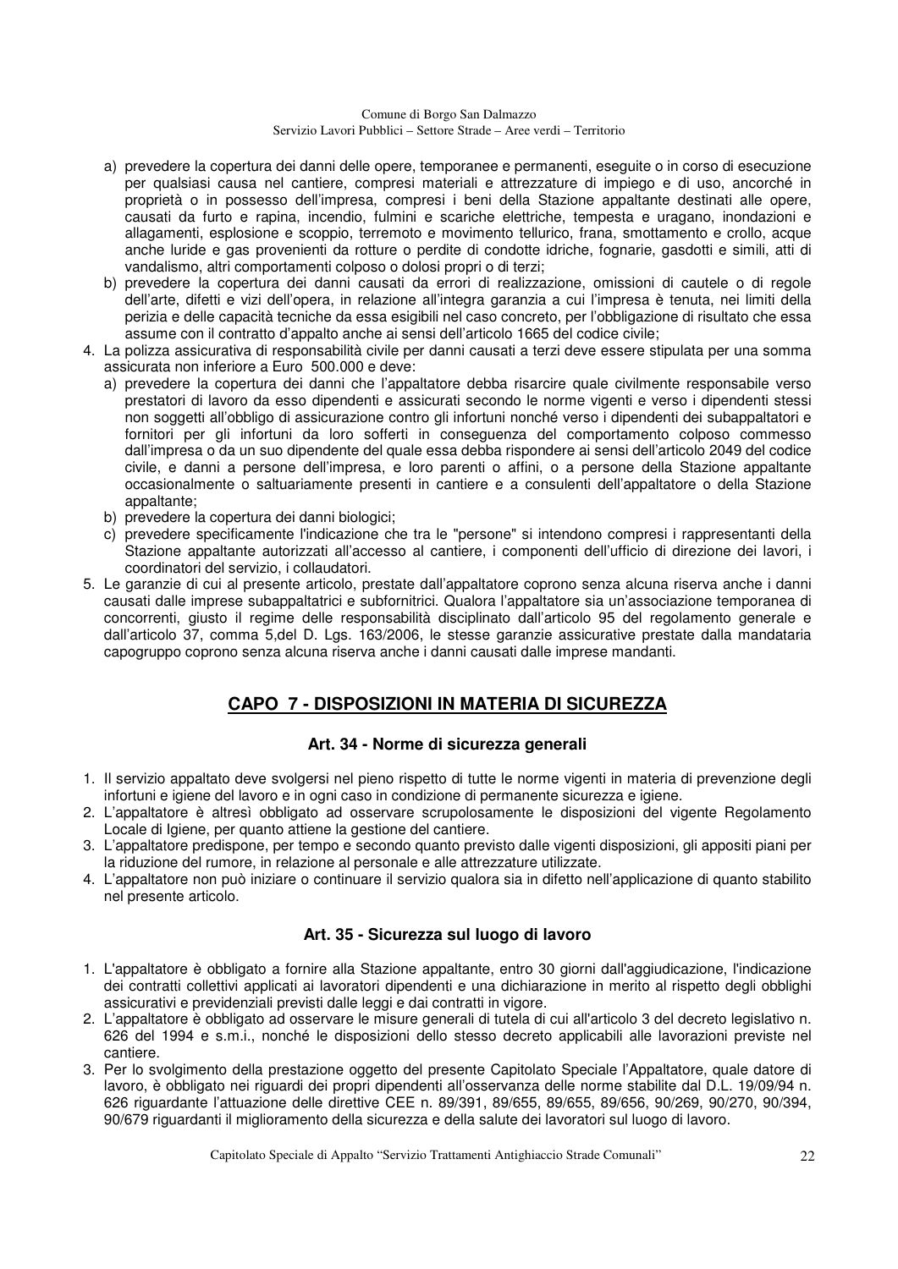- a) prevedere la copertura dei danni delle opere, temporanee e permanenti, eseguite o in corso di esecuzione per qualsiasi causa nel cantiere, compresi materiali e attrezzature di impiego e di uso, ancorché in proprietà o in possesso dell'impresa, compresi i beni della Stazione appaltante destinati alle opere, causati da furto e rapina, incendio, fulmini e scariche elettriche, tempesta e uragano, inondazioni e allagamenti, esplosione e scoppio, terremoto e movimento tellurico, frana, smottamento e crollo, acque anche luride e gas provenienti da rotture o perdite di condotte idriche, fognarie, gasdotti e simili, atti di vandalismo, altri comportamenti colposo o dolosi propri o di terzi;
- b) prevedere la copertura dei danni causati da errori di realizzazione, omissioni di cautele o di regole dell'arte, difetti e vizi dell'opera, in relazione all'integra garanzia a cui l'impresa è tenuta, nei limiti della perizia e delle capacità tecniche da essa esigibili nel caso concreto, per l'obbligazione di risultato che essa assume con il contratto d'appalto anche ai sensi dell'articolo 1665 del codice civile;
- 4. La polizza assicurativa di responsabilità civile per danni causati a terzi deve essere stipulata per una somma assicurata non inferiore a Euro 500.000 e deve:
	- a) prevedere la copertura dei danni che l'appaltatore debba risarcire quale civilmente responsabile verso prestatori di lavoro da esso dipendenti e assicurati secondo le norme vigenti e verso i dipendenti stessi non soggetti all'obbligo di assicurazione contro gli infortuni nonché verso i dipendenti dei subappaltatori e fornitori per gli infortuni da loro sofferti in conseguenza del comportamento colposo commesso dall'impresa o da un suo dipendente del quale essa debba rispondere ai sensi dell'articolo 2049 del codice civile, e danni a persone dell'impresa, e loro parenti o affini, o a persone della Stazione appaltante occasionalmente o saltuariamente presenti in cantiere e a consulenti dell'appaltatore o della Stazione appaltante;
	- b) prevedere la copertura dei danni biologici;
	- c) prevedere specificamente l'indicazione che tra le "persone" si intendono compresi i rappresentanti della Stazione appaltante autorizzati all'accesso al cantiere, i componenti dell'ufficio di direzione dei lavori, i coordinatori del servizio, i collaudatori.
- 5. Le garanzie di cui al presente articolo, prestate dall'appaltatore coprono senza alcuna riserva anche i danni causati dalle imprese subappaltatrici e subfornitrici. Qualora l'appaltatore sia un'associazione temporanea di concorrenti, giusto il regime delle responsabilità disciplinato dall'articolo 95 del regolamento generale e dall'articolo 37, comma 5,del D. Lgs. 163/2006, le stesse garanzie assicurative prestate dalla mandataria capogruppo coprono senza alcuna riserva anche i danni causati dalle imprese mandanti.

### **CAPO 7 - DISPOSIZIONI IN MATERIA DI SICUREZZA**

### **Art. 34 - Norme di sicurezza generali**

- 1. Il servizio appaltato deve svolgersi nel pieno rispetto di tutte le norme vigenti in materia di prevenzione degli infortuni e igiene del lavoro e in ogni caso in condizione di permanente sicurezza e igiene.
- 2. L'appaltatore è altresì obbligato ad osservare scrupolosamente le disposizioni del vigente Regolamento Locale di Igiene, per quanto attiene la gestione del cantiere.
- 3. L'appaltatore predispone, per tempo e secondo quanto previsto dalle vigenti disposizioni, gli appositi piani per la riduzione del rumore, in relazione al personale e alle attrezzature utilizzate.
- 4. L'appaltatore non può iniziare o continuare il servizio qualora sia in difetto nell'applicazione di quanto stabilito nel presente articolo.

### **Art. 35 - Sicurezza sul luogo di lavoro**

- 1. L'appaltatore è obbligato a fornire alla Stazione appaltante, entro 30 giorni dall'aggiudicazione, l'indicazione dei contratti collettivi applicati ai lavoratori dipendenti e una dichiarazione in merito al rispetto degli obblighi assicurativi e previdenziali previsti dalle leggi e dai contratti in vigore.
- 2. L'appaltatore è obbligato ad osservare le misure generali di tutela di cui all'articolo 3 del decreto legislativo n. 626 del 1994 e s.m.i., nonché le disposizioni dello stesso decreto applicabili alle lavorazioni previste nel cantiere.
- 3. Per lo svolgimento della prestazione oggetto del presente Capitolato Speciale l'Appaltatore, quale datore di lavoro, è obbligato nei riguardi dei propri dipendenti all'osservanza delle norme stabilite dal D.L. 19/09/94 n. 626 riguardante l'attuazione delle direttive CEE n. 89/391, 89/655, 89/655, 89/656, 90/269, 90/270, 90/394, 90/679 riguardanti il miglioramento della sicurezza e della salute dei lavoratori sul luogo di lavoro.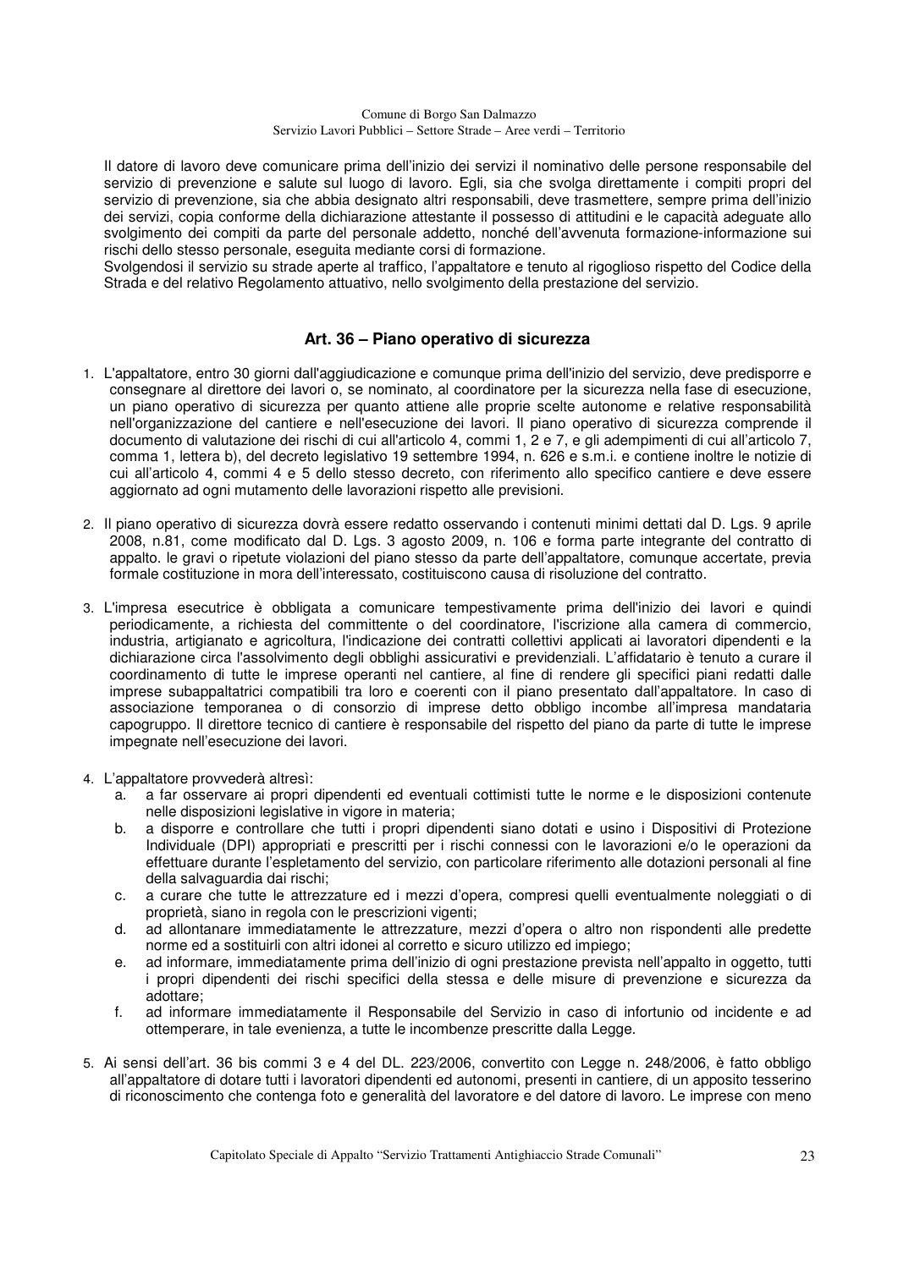Il datore di lavoro deve comunicare prima dell'inizio dei servizi il nominativo delle persone responsabile del servizio di prevenzione e salute sul luogo di lavoro. Egli, sia che svolga direttamente i compiti propri del servizio di prevenzione, sia che abbia designato altri responsabili, deve trasmettere, sempre prima dell'inizio dei servizi, copia conforme della dichiarazione attestante il possesso di attitudini e le capacità adeguate allo svolgimento dei compiti da parte del personale addetto, nonché dell'avvenuta formazione-informazione sui rischi dello stesso personale, eseguita mediante corsi di formazione.

Svolgendosi il servizio su strade aperte al traffico, l'appaltatore e tenuto al rigoglioso rispetto del Codice della Strada e del relativo Regolamento attuativo, nello svolgimento della prestazione del servizio.

### **Art. 36 – Piano operativo di sicurezza**

- 1. L'appaltatore, entro 30 giorni dall'aggiudicazione e comunque prima dell'inizio del servizio, deve predisporre e consegnare al direttore dei lavori o, se nominato, al coordinatore per la sicurezza nella fase di esecuzione, un piano operativo di sicurezza per quanto attiene alle proprie scelte autonome e relative responsabilità nell'organizzazione del cantiere e nell'esecuzione dei lavori. Il piano operativo di sicurezza comprende il documento di valutazione dei rischi di cui all'articolo 4, commi 1, 2 e 7, e gli adempimenti di cui all'articolo 7, comma 1, lettera b), del decreto legislativo 19 settembre 1994, n. 626 e s.m.i. e contiene inoltre le notizie di cui all'articolo 4, commi 4 e 5 dello stesso decreto, con riferimento allo specifico cantiere e deve essere aggiornato ad ogni mutamento delle lavorazioni rispetto alle previsioni.
- 2. Il piano operativo di sicurezza dovrà essere redatto osservando i contenuti minimi dettati dal D. Lgs. 9 aprile 2008, n.81, come modificato dal D. Lgs. 3 agosto 2009, n. 106 e forma parte integrante del contratto di appalto. le gravi o ripetute violazioni del piano stesso da parte dell'appaltatore, comunque accertate, previa formale costituzione in mora dell'interessato, costituiscono causa di risoluzione del contratto.
- 3. L'impresa esecutrice è obbligata a comunicare tempestivamente prima dell'inizio dei lavori e quindi periodicamente, a richiesta del committente o del coordinatore, l'iscrizione alla camera di commercio, industria, artigianato e agricoltura, l'indicazione dei contratti collettivi applicati ai lavoratori dipendenti e la dichiarazione circa l'assolvimento degli obblighi assicurativi e previdenziali. L'affidatario è tenuto a curare il coordinamento di tutte le imprese operanti nel cantiere, al fine di rendere gli specifici piani redatti dalle imprese subappaltatrici compatibili tra loro e coerenti con il piano presentato dall'appaltatore. In caso di associazione temporanea o di consorzio di imprese detto obbligo incombe all'impresa mandataria capogruppo. Il direttore tecnico di cantiere è responsabile del rispetto del piano da parte di tutte le imprese impegnate nell'esecuzione dei lavori.
- 4. L'appaltatore provvederà altresì:
	- a. a far osservare ai propri dipendenti ed eventuali cottimisti tutte le norme e le disposizioni contenute nelle disposizioni legislative in vigore in materia;
	- b. a disporre e controllare che tutti i propri dipendenti siano dotati e usino i Dispositivi di Protezione Individuale (DPI) appropriati e prescritti per i rischi connessi con le lavorazioni e/o le operazioni da effettuare durante l'espletamento del servizio, con particolare riferimento alle dotazioni personali al fine della salvaguardia dai rischi;
	- c. a curare che tutte le attrezzature ed i mezzi d'opera, compresi quelli eventualmente noleggiati o di proprietà, siano in regola con le prescrizioni vigenti;
	- d. ad allontanare immediatamente le attrezzature, mezzi d'opera o altro non rispondenti alle predette norme ed a sostituirli con altri idonei al corretto e sicuro utilizzo ed impiego;
	- e. ad informare, immediatamente prima dell'inizio di ogni prestazione prevista nell'appalto in oggetto, tutti i propri dipendenti dei rischi specifici della stessa e delle misure di prevenzione e sicurezza da adottare;
	- f. ad informare immediatamente il Responsabile del Servizio in caso di infortunio od incidente e ad ottemperare, in tale evenienza, a tutte le incombenze prescritte dalla Legge.
- 5. Ai sensi dell'art. 36 bis commi 3 e 4 del DL. 223/2006, convertito con Legge n. 248/2006, è fatto obbligo all'appaltatore di dotare tutti i lavoratori dipendenti ed autonomi, presenti in cantiere, di un apposito tesserino di riconoscimento che contenga foto e generalità del lavoratore e del datore di lavoro. Le imprese con meno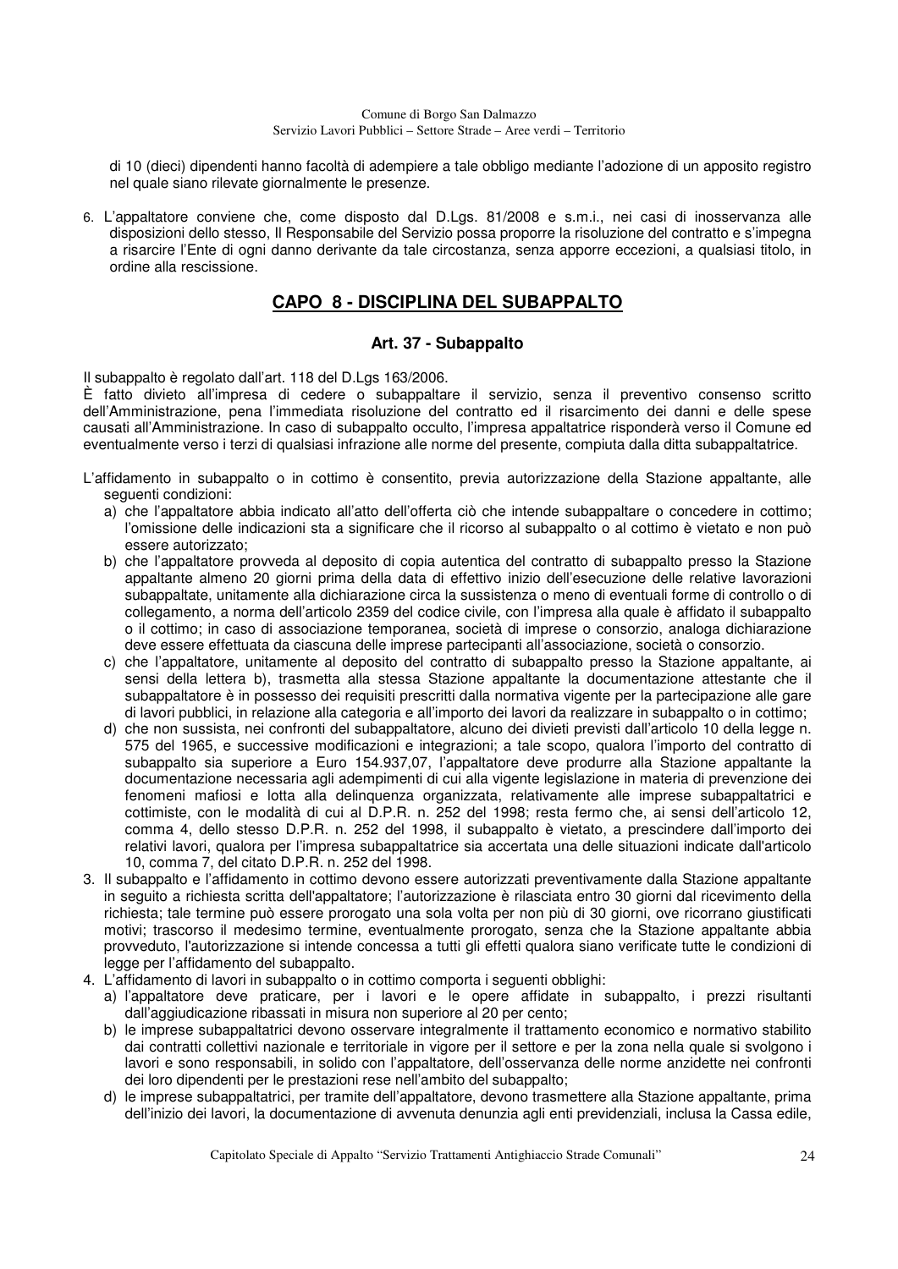di 10 (dieci) dipendenti hanno facoltà di adempiere a tale obbligo mediante l'adozione di un apposito registro nel quale siano rilevate giornalmente le presenze.

6. L'appaltatore conviene che, come disposto dal D.Lgs. 81/2008 e s.m.i., nei casi di inosservanza alle disposizioni dello stesso, Il Responsabile del Servizio possa proporre la risoluzione del contratto e s'impegna a risarcire l'Ente di ogni danno derivante da tale circostanza, senza apporre eccezioni, a qualsiasi titolo, in ordine alla rescissione.

## **CAPO 8 - DISCIPLINA DEL SUBAPPALTO**

### **Art. 37 - Subappalto**

Il subappalto è regolato dall'art. 118 del D.Lgs 163/2006.

È fatto divieto all'impresa di cedere o subappaltare il servizio, senza il preventivo consenso scritto dell'Amministrazione, pena l'immediata risoluzione del contratto ed il risarcimento dei danni e delle spese causati all'Amministrazione. In caso di subappalto occulto, l'impresa appaltatrice risponderà verso il Comune ed eventualmente verso i terzi di qualsiasi infrazione alle norme del presente, compiuta dalla ditta subappaltatrice.

- L'affidamento in subappalto o in cottimo è consentito, previa autorizzazione della Stazione appaltante, alle seguenti condizioni:
	- a) che l'appaltatore abbia indicato all'atto dell'offerta ciò che intende subappaltare o concedere in cottimo; l'omissione delle indicazioni sta a significare che il ricorso al subappalto o al cottimo è vietato e non può essere autorizzato;
	- b) che l'appaltatore provveda al deposito di copia autentica del contratto di subappalto presso la Stazione appaltante almeno 20 giorni prima della data di effettivo inizio dell'esecuzione delle relative lavorazioni subappaltate, unitamente alla dichiarazione circa la sussistenza o meno di eventuali forme di controllo o di collegamento, a norma dell'articolo 2359 del codice civile, con l'impresa alla quale è affidato il subappalto o il cottimo; in caso di associazione temporanea, società di imprese o consorzio, analoga dichiarazione deve essere effettuata da ciascuna delle imprese partecipanti all'associazione, società o consorzio.
	- c) che l'appaltatore, unitamente al deposito del contratto di subappalto presso la Stazione appaltante, ai sensi della lettera b), trasmetta alla stessa Stazione appaltante la documentazione attestante che il subappaltatore è in possesso dei requisiti prescritti dalla normativa vigente per la partecipazione alle gare di lavori pubblici, in relazione alla categoria e all'importo dei lavori da realizzare in subappalto o in cottimo;
	- d) che non sussista, nei confronti del subappaltatore, alcuno dei divieti previsti dall'articolo 10 della legge n. 575 del 1965, e successive modificazioni e integrazioni; a tale scopo, qualora l'importo del contratto di subappalto sia superiore a Euro 154.937,07, l'appaltatore deve produrre alla Stazione appaltante la documentazione necessaria agli adempimenti di cui alla vigente legislazione in materia di prevenzione dei fenomeni mafiosi e lotta alla delinquenza organizzata, relativamente alle imprese subappaltatrici e cottimiste, con le modalità di cui al D.P.R. n. 252 del 1998; resta fermo che, ai sensi dell'articolo 12, comma 4, dello stesso D.P.R. n. 252 del 1998, il subappalto è vietato, a prescindere dall'importo dei relativi lavori, qualora per l'impresa subappaltatrice sia accertata una delle situazioni indicate dall'articolo 10, comma 7, del citato D.P.R. n. 252 del 1998.
- 3. Il subappalto e l'affidamento in cottimo devono essere autorizzati preventivamente dalla Stazione appaltante in seguito a richiesta scritta dell'appaltatore; l'autorizzazione è rilasciata entro 30 giorni dal ricevimento della richiesta; tale termine può essere prorogato una sola volta per non più di 30 giorni, ove ricorrano giustificati motivi; trascorso il medesimo termine, eventualmente prorogato, senza che la Stazione appaltante abbia provveduto, l'autorizzazione si intende concessa a tutti gli effetti qualora siano verificate tutte le condizioni di legge per l'affidamento del subappalto.
- 4. L'affidamento di lavori in subappalto o in cottimo comporta i seguenti obblighi:
	- a) l'appaltatore deve praticare, per i lavori e le opere affidate in subappalto, i prezzi risultanti dall'aggiudicazione ribassati in misura non superiore al 20 per cento;
	- b) le imprese subappaltatrici devono osservare integralmente il trattamento economico e normativo stabilito dai contratti collettivi nazionale e territoriale in vigore per il settore e per la zona nella quale si svolgono i lavori e sono responsabili, in solido con l'appaltatore, dell'osservanza delle norme anzidette nei confronti dei loro dipendenti per le prestazioni rese nell'ambito del subappalto;
	- d) le imprese subappaltatrici, per tramite dell'appaltatore, devono trasmettere alla Stazione appaltante, prima dell'inizio dei lavori, la documentazione di avvenuta denunzia agli enti previdenziali, inclusa la Cassa edile,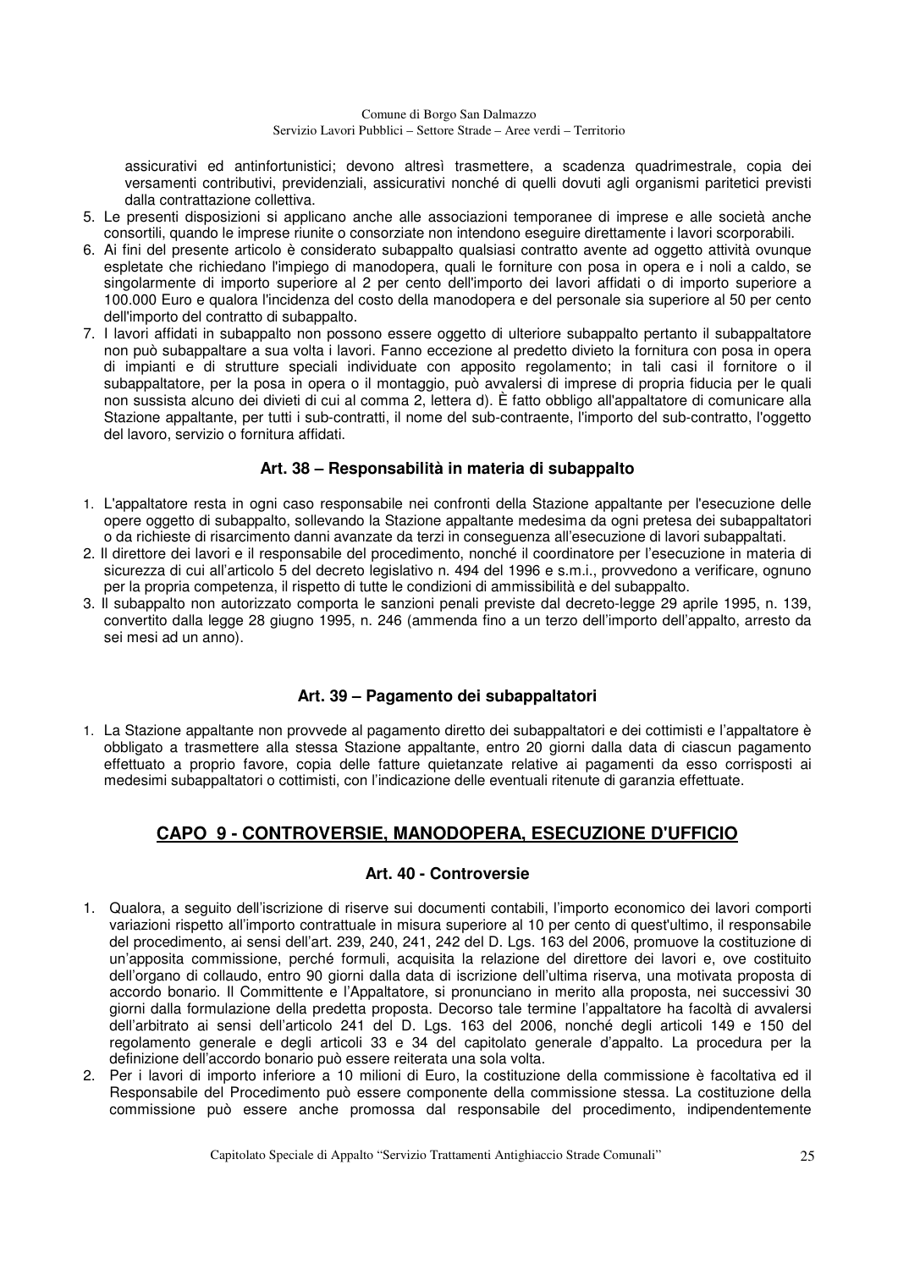assicurativi ed antinfortunistici; devono altresì trasmettere, a scadenza quadrimestrale, copia dei versamenti contributivi, previdenziali, assicurativi nonché di quelli dovuti agli organismi paritetici previsti dalla contrattazione collettiva.

- 5. Le presenti disposizioni si applicano anche alle associazioni temporanee di imprese e alle società anche consortili, quando le imprese riunite o consorziate non intendono eseguire direttamente i lavori scorporabili.
- 6. Ai fini del presente articolo è considerato subappalto qualsiasi contratto avente ad oggetto attività ovunque espletate che richiedano l'impiego di manodopera, quali le forniture con posa in opera e i noli a caldo, se singolarmente di importo superiore al 2 per cento dell'importo dei lavori affidati o di importo superiore a 100.000 Euro e qualora l'incidenza del costo della manodopera e del personale sia superiore al 50 per cento dell'importo del contratto di subappalto.
- 7. I lavori affidati in subappalto non possono essere oggetto di ulteriore subappalto pertanto il subappaltatore non può subappaltare a sua volta i lavori. Fanno eccezione al predetto divieto la fornitura con posa in opera di impianti e di strutture speciali individuate con apposito regolamento; in tali casi il fornitore o il subappaltatore, per la posa in opera o il montaggio, può avvalersi di imprese di propria fiducia per le quali non sussista alcuno dei divieti di cui al comma 2, lettera d). È fatto obbligo all'appaltatore di comunicare alla Stazione appaltante, per tutti i sub-contratti, il nome del sub-contraente, l'importo del sub-contratto, l'oggetto del lavoro, servizio o fornitura affidati.

### **Art. 38 – Responsabilità in materia di subappalto**

- 1. L'appaltatore resta in ogni caso responsabile nei confronti della Stazione appaltante per l'esecuzione delle opere oggetto di subappalto, sollevando la Stazione appaltante medesima da ogni pretesa dei subappaltatori o da richieste di risarcimento danni avanzate da terzi in conseguenza all'esecuzione di lavori subappaltati.
- 2. Il direttore dei lavori e il responsabile del procedimento, nonché il coordinatore per l'esecuzione in materia di sicurezza di cui all'articolo 5 del decreto legislativo n. 494 del 1996 e s.m.i., provvedono a verificare, ognuno per la propria competenza, il rispetto di tutte le condizioni di ammissibilità e del subappalto.
- 3. Il subappalto non autorizzato comporta le sanzioni penali previste dal decreto-legge 29 aprile 1995, n. 139, convertito dalla legge 28 giugno 1995, n. 246 (ammenda fino a un terzo dell'importo dell'appalto, arresto da sei mesi ad un anno).

### **Art. 39 – Pagamento dei subappaltatori**

1. La Stazione appaltante non provvede al pagamento diretto dei subappaltatori e dei cottimisti e l'appaltatore è obbligato a trasmettere alla stessa Stazione appaltante, entro 20 giorni dalla data di ciascun pagamento effettuato a proprio favore, copia delle fatture quietanzate relative ai pagamenti da esso corrisposti ai medesimi subappaltatori o cottimisti, con l'indicazione delle eventuali ritenute di garanzia effettuate.

### **CAPO 9 - CONTROVERSIE, MANODOPERA, ESECUZIONE D'UFFICIO**

### **Art. 40 - Controversie**

- 1. Qualora, a seguito dell'iscrizione di riserve sui documenti contabili, l'importo economico dei lavori comporti variazioni rispetto all'importo contrattuale in misura superiore al 10 per cento di quest'ultimo, il responsabile del procedimento, ai sensi dell'art. 239, 240, 241, 242 del D. Lgs. 163 del 2006, promuove la costituzione di un'apposita commissione, perché formuli, acquisita la relazione del direttore dei lavori e, ove costituito dell'organo di collaudo, entro 90 giorni dalla data di iscrizione dell'ultima riserva, una motivata proposta di accordo bonario. Il Committente e l'Appaltatore, si pronunciano in merito alla proposta, nei successivi 30 giorni dalla formulazione della predetta proposta. Decorso tale termine l'appaltatore ha facoltà di avvalersi dell'arbitrato ai sensi dell'articolo 241 del D. Lgs. 163 del 2006, nonché degli articoli 149 e 150 del regolamento generale e degli articoli 33 e 34 del capitolato generale d'appalto. La procedura per la definizione dell'accordo bonario può essere reiterata una sola volta.
- 2. Per i lavori di importo inferiore a 10 milioni di Euro, la costituzione della commissione è facoltativa ed il Responsabile del Procedimento può essere componente della commissione stessa. La costituzione della commissione può essere anche promossa dal responsabile del procedimento, indipendentemente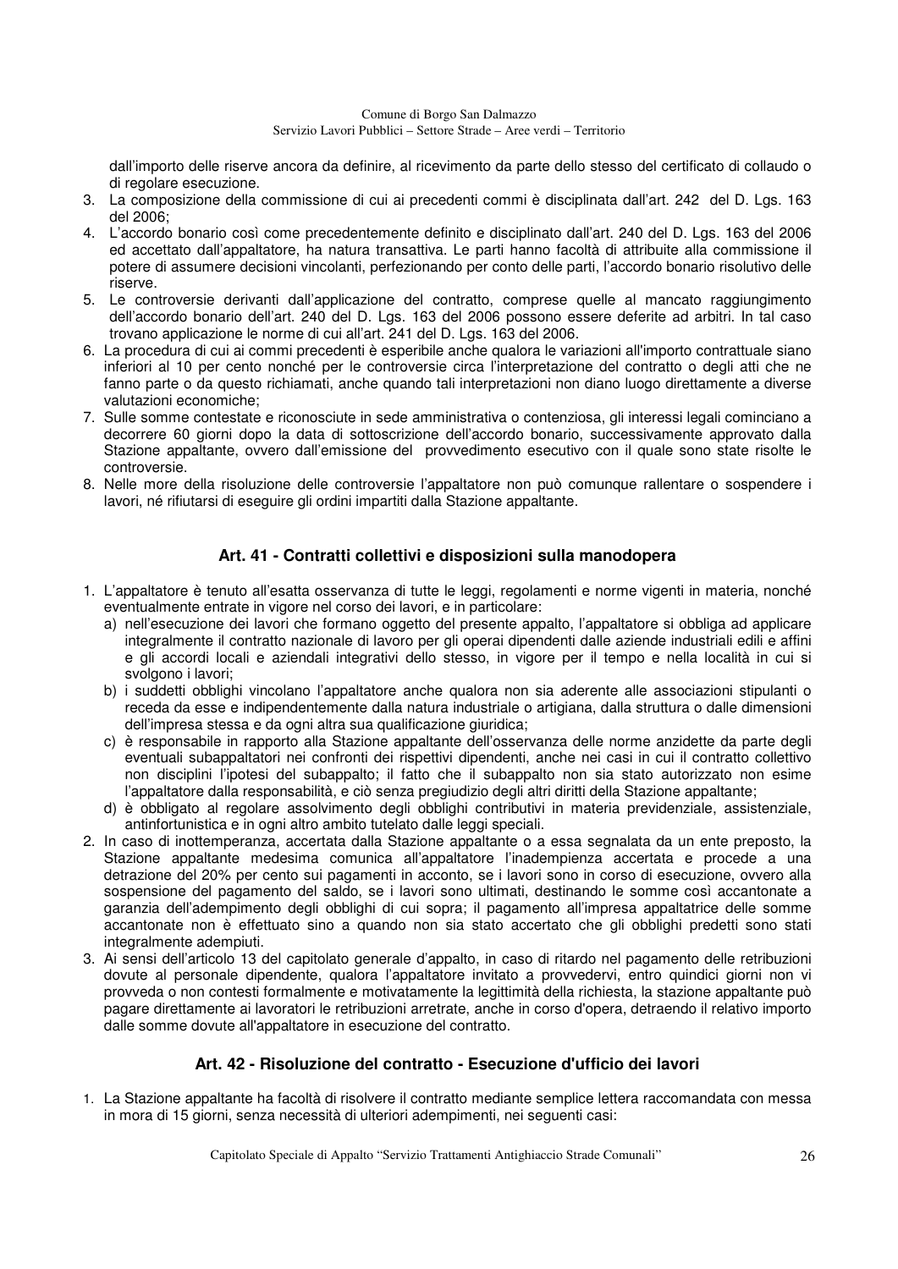dall'importo delle riserve ancora da definire, al ricevimento da parte dello stesso del certificato di collaudo o di regolare esecuzione.

- 3. La composizione della commissione di cui ai precedenti commi è disciplinata dall'art. 242 del D. Lgs. 163 del 2006;
- 4. L'accordo bonario così come precedentemente definito e disciplinato dall'art. 240 del D. Lgs. 163 del 2006 ed accettato dall'appaltatore, ha natura transattiva. Le parti hanno facoltà di attribuite alla commissione il potere di assumere decisioni vincolanti, perfezionando per conto delle parti, l'accordo bonario risolutivo delle riserve.
- 5. Le controversie derivanti dall'applicazione del contratto, comprese quelle al mancato raggiungimento dell'accordo bonario dell'art. 240 del D. Lgs. 163 del 2006 possono essere deferite ad arbitri. In tal caso trovano applicazione le norme di cui all'art. 241 del D. Lgs. 163 del 2006.
- 6. La procedura di cui ai commi precedenti è esperibile anche qualora le variazioni all'importo contrattuale siano inferiori al 10 per cento nonché per le controversie circa l'interpretazione del contratto o degli atti che ne fanno parte o da questo richiamati, anche quando tali interpretazioni non diano luogo direttamente a diverse valutazioni economiche;
- 7. Sulle somme contestate e riconosciute in sede amministrativa o contenziosa, gli interessi legali cominciano a decorrere 60 giorni dopo la data di sottoscrizione dell'accordo bonario, successivamente approvato dalla Stazione appaltante, ovvero dall'emissione del provvedimento esecutivo con il quale sono state risolte le controversie.
- 8. Nelle more della risoluzione delle controversie l'appaltatore non può comunque rallentare o sospendere i lavori, né rifiutarsi di eseguire gli ordini impartiti dalla Stazione appaltante.

### **Art. 41 - Contratti collettivi e disposizioni sulla manodopera**

- 1. L'appaltatore è tenuto all'esatta osservanza di tutte le leggi, regolamenti e norme vigenti in materia, nonché eventualmente entrate in vigore nel corso dei lavori, e in particolare:
	- a) nell'esecuzione dei lavori che formano oggetto del presente appalto, l'appaltatore si obbliga ad applicare integralmente il contratto nazionale di lavoro per gli operai dipendenti dalle aziende industriali edili e affini e gli accordi locali e aziendali integrativi dello stesso, in vigore per il tempo e nella località in cui si svolgono i lavori;
	- b) i suddetti obblighi vincolano l'appaltatore anche qualora non sia aderente alle associazioni stipulanti o receda da esse e indipendentemente dalla natura industriale o artigiana, dalla struttura o dalle dimensioni dell'impresa stessa e da ogni altra sua qualificazione giuridica;
	- c) è responsabile in rapporto alla Stazione appaltante dell'osservanza delle norme anzidette da parte degli eventuali subappaltatori nei confronti dei rispettivi dipendenti, anche nei casi in cui il contratto collettivo non disciplini l'ipotesi del subappalto; il fatto che il subappalto non sia stato autorizzato non esime l'appaltatore dalla responsabilità, e ciò senza pregiudizio degli altri diritti della Stazione appaltante;
	- d) è obbligato al regolare assolvimento degli obblighi contributivi in materia previdenziale, assistenziale, antinfortunistica e in ogni altro ambito tutelato dalle leggi speciali.
- 2. In caso di inottemperanza, accertata dalla Stazione appaltante o a essa segnalata da un ente preposto, la Stazione appaltante medesima comunica all'appaltatore l'inadempienza accertata e procede a una detrazione del 20% per cento sui pagamenti in acconto, se i lavori sono in corso di esecuzione, ovvero alla sospensione del pagamento del saldo, se i lavori sono ultimati, destinando le somme così accantonate a garanzia dell'adempimento degli obblighi di cui sopra; il pagamento all'impresa appaltatrice delle somme accantonate non è effettuato sino a quando non sia stato accertato che gli obblighi predetti sono stati integralmente adempiuti.
- 3. Ai sensi dell'articolo 13 del capitolato generale d'appalto, in caso di ritardo nel pagamento delle retribuzioni dovute al personale dipendente, qualora l'appaltatore invitato a provvedervi, entro quindici giorni non vi provveda o non contesti formalmente e motivatamente la legittimità della richiesta, la stazione appaltante può pagare direttamente ai lavoratori le retribuzioni arretrate, anche in corso d'opera, detraendo il relativo importo dalle somme dovute all'appaltatore in esecuzione del contratto.

### **Art. 42 - Risoluzione del contratto - Esecuzione d'ufficio dei lavori**

1. La Stazione appaltante ha facoltà di risolvere il contratto mediante semplice lettera raccomandata con messa in mora di 15 giorni, senza necessità di ulteriori adempimenti, nei seguenti casi: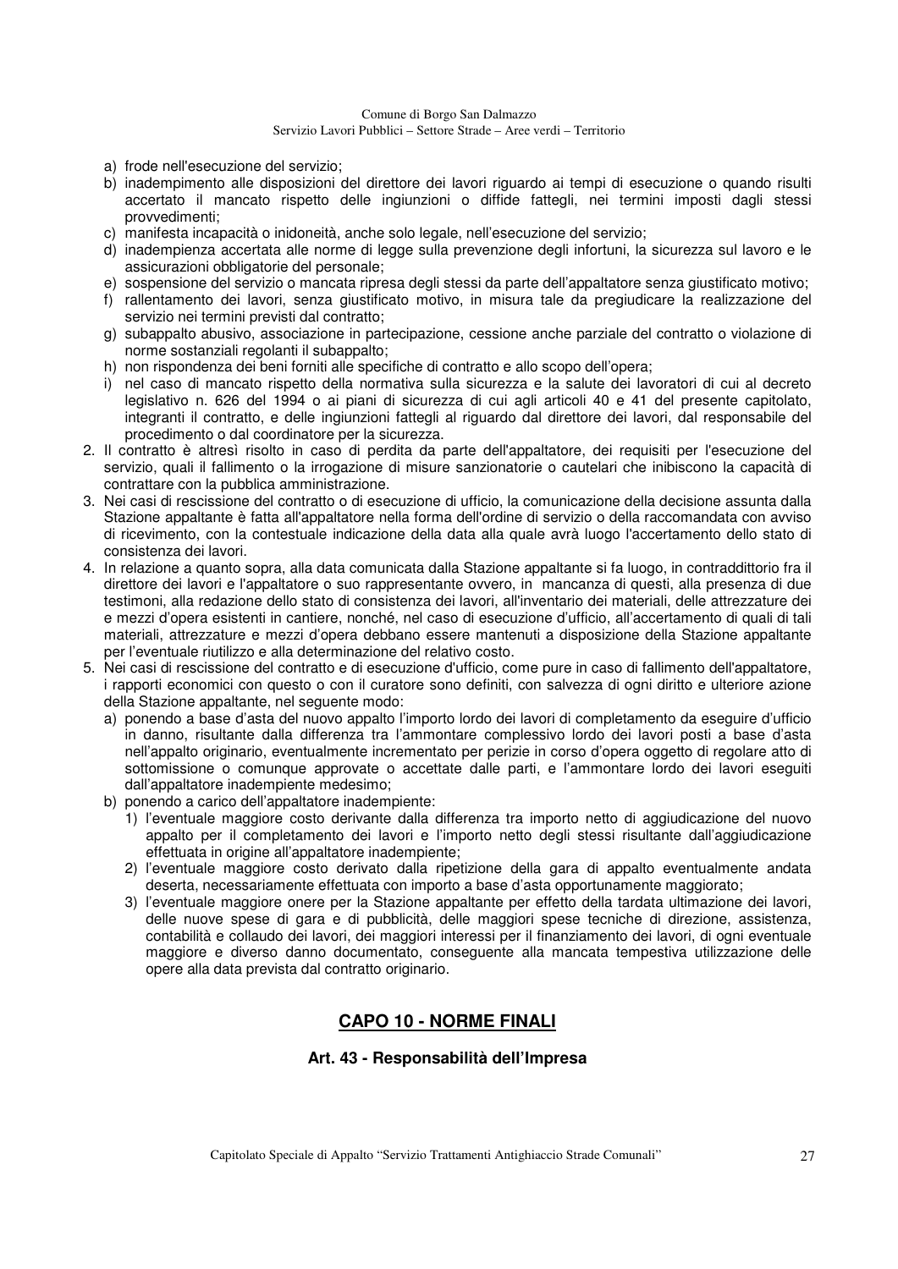- a) frode nell'esecuzione del servizio;
- b) inadempimento alle disposizioni del direttore dei lavori riguardo ai tempi di esecuzione o quando risulti accertato il mancato rispetto delle ingiunzioni o diffide fattegli, nei termini imposti dagli stessi provvedimenti;
- c) manifesta incapacità o inidoneità, anche solo legale, nell'esecuzione del servizio;
- d) inadempienza accertata alle norme di legge sulla prevenzione degli infortuni, la sicurezza sul lavoro e le assicurazioni obbligatorie del personale;
- e) sospensione del servizio o mancata ripresa degli stessi da parte dell'appaltatore senza giustificato motivo;
- f) rallentamento dei lavori, senza giustificato motivo, in misura tale da pregiudicare la realizzazione del servizio nei termini previsti dal contratto;
- g) subappalto abusivo, associazione in partecipazione, cessione anche parziale del contratto o violazione di norme sostanziali regolanti il subappalto;
- h) non rispondenza dei beni forniti alle specifiche di contratto e allo scopo dell'opera;
- i) nel caso di mancato rispetto della normativa sulla sicurezza e la salute dei lavoratori di cui al decreto legislativo n. 626 del 1994 o ai piani di sicurezza di cui agli articoli 40 e 41 del presente capitolato, integranti il contratto, e delle ingiunzioni fattegli al riguardo dal direttore dei lavori, dal responsabile del procedimento o dal coordinatore per la sicurezza.
- 2. Il contratto è altresì risolto in caso di perdita da parte dell'appaltatore, dei requisiti per l'esecuzione del servizio, quali il fallimento o la irrogazione di misure sanzionatorie o cautelari che inibiscono la capacità di contrattare con la pubblica amministrazione.
- 3. Nei casi di rescissione del contratto o di esecuzione di ufficio, la comunicazione della decisione assunta dalla Stazione appaltante è fatta all'appaltatore nella forma dell'ordine di servizio o della raccomandata con avviso di ricevimento, con la contestuale indicazione della data alla quale avrà luogo l'accertamento dello stato di consistenza dei lavori.
- 4. In relazione a quanto sopra, alla data comunicata dalla Stazione appaltante si fa luogo, in contraddittorio fra il direttore dei lavori e l'appaltatore o suo rappresentante ovvero, in mancanza di questi, alla presenza di due testimoni, alla redazione dello stato di consistenza dei lavori, all'inventario dei materiali, delle attrezzature dei e mezzi d'opera esistenti in cantiere, nonché, nel caso di esecuzione d'ufficio, all'accertamento di quali di tali materiali, attrezzature e mezzi d'opera debbano essere mantenuti a disposizione della Stazione appaltante per l'eventuale riutilizzo e alla determinazione del relativo costo.
- 5. Nei casi di rescissione del contratto e di esecuzione d'ufficio, come pure in caso di fallimento dell'appaltatore, i rapporti economici con questo o con il curatore sono definiti, con salvezza di ogni diritto e ulteriore azione della Stazione appaltante, nel seguente modo:
	- a) ponendo a base d'asta del nuovo appalto l'importo lordo dei lavori di completamento da eseguire d'ufficio in danno, risultante dalla differenza tra l'ammontare complessivo lordo dei lavori posti a base d'asta nell'appalto originario, eventualmente incrementato per perizie in corso d'opera oggetto di regolare atto di sottomissione o comunque approvate o accettate dalle parti, e l'ammontare lordo dei lavori eseguiti dall'appaltatore inadempiente medesimo;
	- b) ponendo a carico dell'appaltatore inadempiente:
		- 1) l'eventuale maggiore costo derivante dalla differenza tra importo netto di aggiudicazione del nuovo appalto per il completamento dei lavori e l'importo netto degli stessi risultante dall'aggiudicazione effettuata in origine all'appaltatore inadempiente;
		- 2) l'eventuale maggiore costo derivato dalla ripetizione della gara di appalto eventualmente andata deserta, necessariamente effettuata con importo a base d'asta opportunamente maggiorato;
		- 3) l'eventuale maggiore onere per la Stazione appaltante per effetto della tardata ultimazione dei lavori, delle nuove spese di gara e di pubblicità, delle maggiori spese tecniche di direzione, assistenza, contabilità e collaudo dei lavori, dei maggiori interessi per il finanziamento dei lavori, di ogni eventuale maggiore e diverso danno documentato, conseguente alla mancata tempestiva utilizzazione delle opere alla data prevista dal contratto originario.

### **CAPO 10 - NORME FINALI**

#### **Art. 43 - Responsabilità dell'Impresa**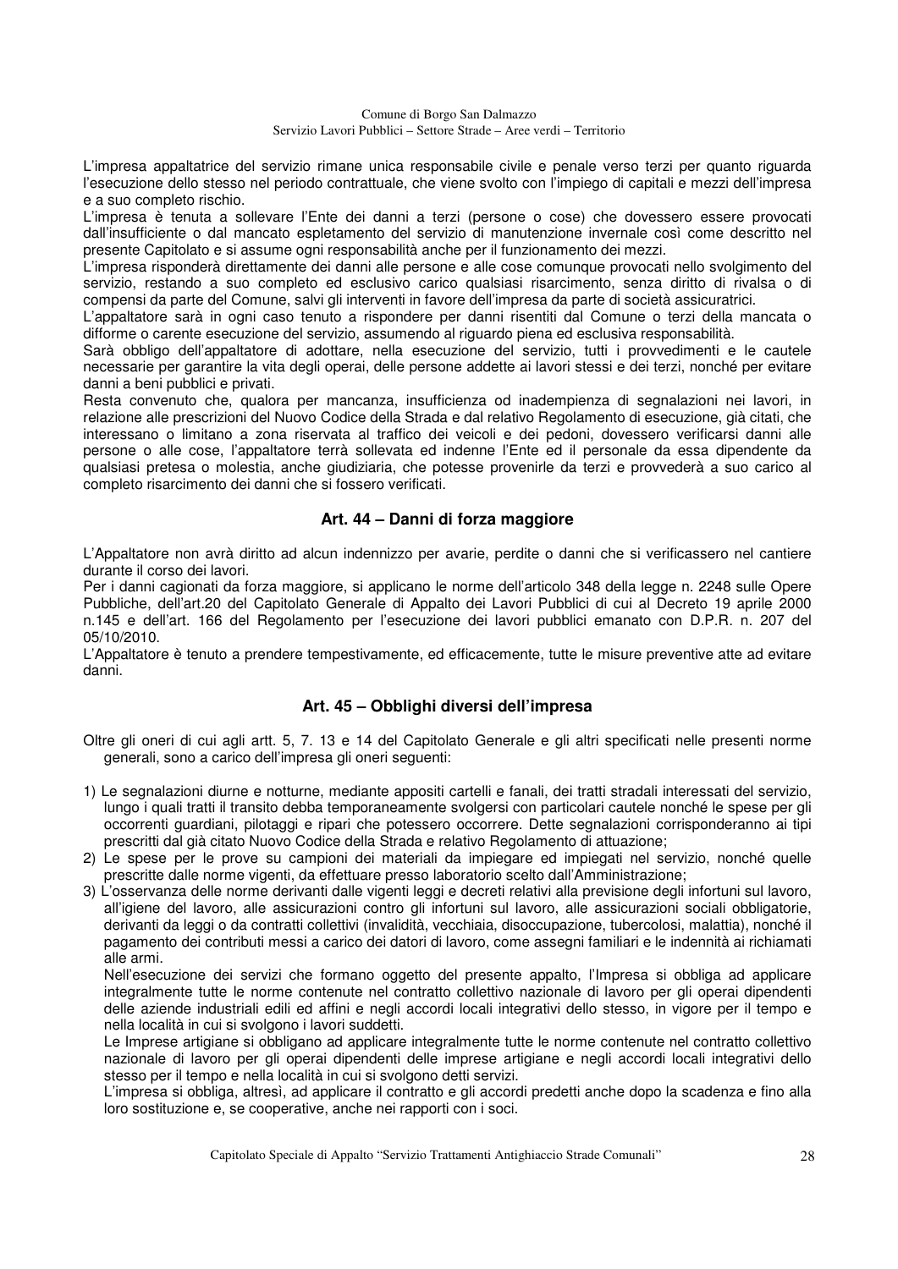L'impresa appaltatrice del servizio rimane unica responsabile civile e penale verso terzi per quanto riguarda l'esecuzione dello stesso nel periodo contrattuale, che viene svolto con l'impiego di capitali e mezzi dell'impresa e a suo completo rischio.

L'impresa è tenuta a sollevare l'Ente dei danni a terzi (persone o cose) che dovessero essere provocati dall'insufficiente o dal mancato espletamento del servizio di manutenzione invernale così come descritto nel presente Capitolato e si assume ogni responsabilità anche per il funzionamento dei mezzi.

L'impresa risponderà direttamente dei danni alle persone e alle cose comunque provocati nello svolgimento del servizio, restando a suo completo ed esclusivo carico qualsiasi risarcimento, senza diritto di rivalsa o di compensi da parte del Comune, salvi gli interventi in favore dell'impresa da parte di società assicuratrici.

L'appaltatore sarà in ogni caso tenuto a rispondere per danni risentiti dal Comune o terzi della mancata o difforme o carente esecuzione del servizio, assumendo al riguardo piena ed esclusiva responsabilità.

Sarà obbligo dell'appaltatore di adottare, nella esecuzione del servizio, tutti i provvedimenti e le cautele necessarie per garantire la vita degli operai, delle persone addette ai lavori stessi e dei terzi, nonché per evitare danni a beni pubblici e privati.

Resta convenuto che, qualora per mancanza, insufficienza od inadempienza di segnalazioni nei lavori, in relazione alle prescrizioni del Nuovo Codice della Strada e dal relativo Regolamento di esecuzione, già citati, che interessano o limitano a zona riservata al traffico dei veicoli e dei pedoni, dovessero verificarsi danni alle persone o alle cose, l'appaltatore terrà sollevata ed indenne l'Ente ed il personale da essa dipendente da qualsiasi pretesa o molestia, anche giudiziaria, che potesse provenirle da terzi e provvederà a suo carico al completo risarcimento dei danni che si fossero verificati.

### **Art. 44 – Danni di forza maggiore**

L'Appaltatore non avrà diritto ad alcun indennizzo per avarie, perdite o danni che si verificassero nel cantiere durante il corso dei lavori.

Per i danni cagionati da forza maggiore, si applicano le norme dell'articolo 348 della legge n. 2248 sulle Opere Pubbliche, dell'art.20 del Capitolato Generale di Appalto dei Lavori Pubblici di cui al Decreto 19 aprile 2000 n.145 e dell'art. 166 del Regolamento per l'esecuzione dei lavori pubblici emanato con D.P.R. n. 207 del 05/10/2010.

L'Appaltatore è tenuto a prendere tempestivamente, ed efficacemente, tutte le misure preventive atte ad evitare danni.

### **Art. 45 – Obblighi diversi dell'impresa**

Oltre gli oneri di cui agli artt. 5, 7. 13 e 14 del Capitolato Generale e gli altri specificati nelle presenti norme generali, sono a carico dell'impresa gli oneri seguenti:

- 1) Le segnalazioni diurne e notturne, mediante appositi cartelli e fanali, dei tratti stradali interessati del servizio, lungo i quali tratti il transito debba temporaneamente svolgersi con particolari cautele nonché le spese per gli occorrenti guardiani, pilotaggi e ripari che potessero occorrere. Dette segnalazioni corrisponderanno ai tipi prescritti dal già citato Nuovo Codice della Strada e relativo Regolamento di attuazione;
- 2) Le spese per le prove su campioni dei materiali da impiegare ed impiegati nel servizio, nonché quelle prescritte dalle norme vigenti, da effettuare presso laboratorio scelto dall'Amministrazione;
- 3) L'osservanza delle norme derivanti dalle vigenti leggi e decreti relativi alla previsione degli infortuni sul lavoro, all'igiene del lavoro, alle assicurazioni contro gli infortuni sul lavoro, alle assicurazioni sociali obbligatorie, derivanti da leggi o da contratti collettivi (invalidità, vecchiaia, disoccupazione, tubercolosi, malattia), nonché il pagamento dei contributi messi a carico dei datori di lavoro, come assegni familiari e le indennità ai richiamati alle armi.

 Nell'esecuzione dei servizi che formano oggetto del presente appalto, l'Impresa si obbliga ad applicare integralmente tutte le norme contenute nel contratto collettivo nazionale di lavoro per gli operai dipendenti delle aziende industriali edili ed affini e negli accordi locali integrativi dello stesso, in vigore per il tempo e nella località in cui si svolgono i lavori suddetti.

 Le Imprese artigiane si obbligano ad applicare integralmente tutte le norme contenute nel contratto collettivo nazionale di lavoro per gli operai dipendenti delle imprese artigiane e negli accordi locali integrativi dello stesso per il tempo e nella località in cui si svolgono detti servizi.

 L'impresa si obbliga, altresì, ad applicare il contratto e gli accordi predetti anche dopo la scadenza e fino alla loro sostituzione e, se cooperative, anche nei rapporti con i soci.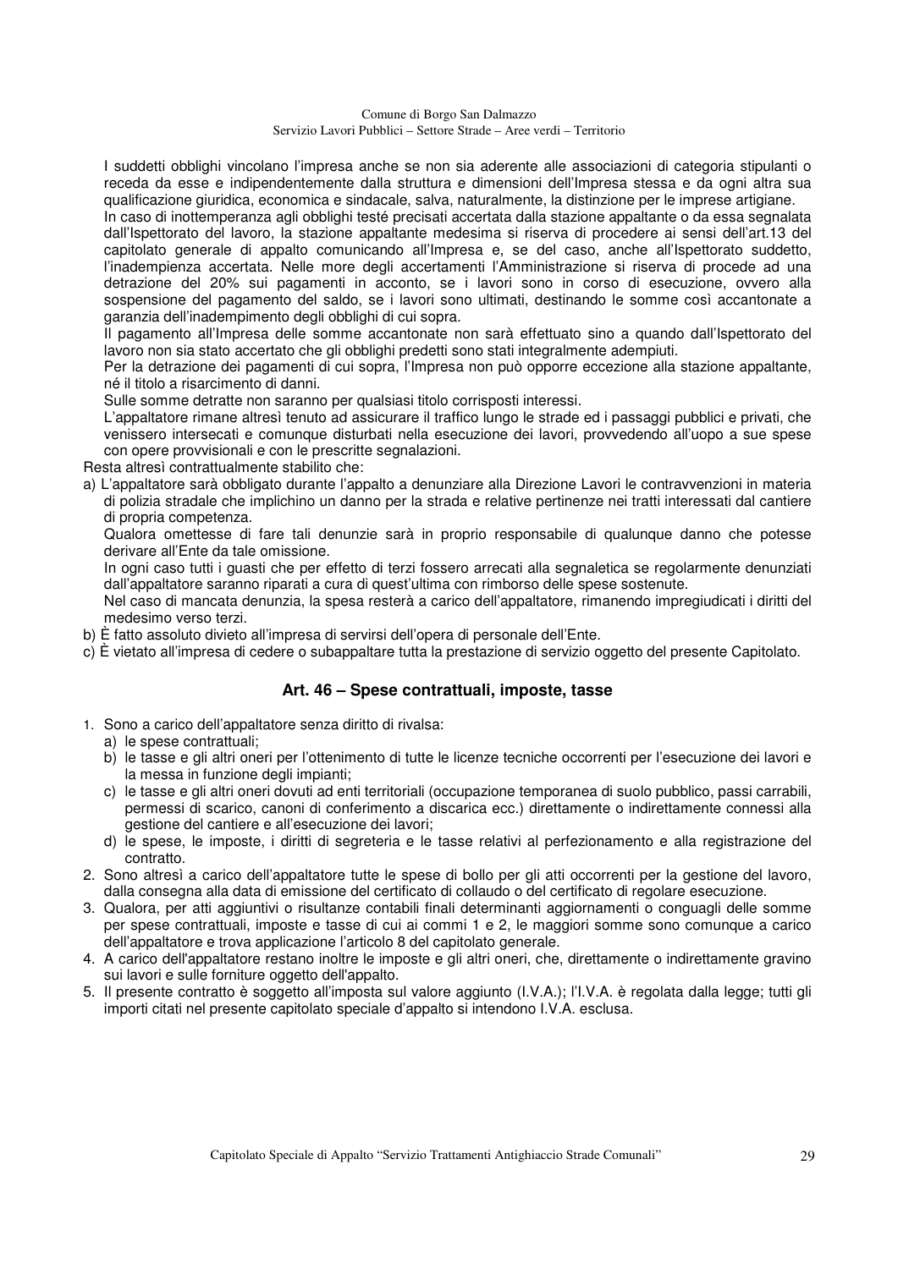I suddetti obblighi vincolano l'impresa anche se non sia aderente alle associazioni di categoria stipulanti o receda da esse e indipendentemente dalla struttura e dimensioni dell'Impresa stessa e da ogni altra sua qualificazione giuridica, economica e sindacale, salva, naturalmente, la distinzione per le imprese artigiane.

 In caso di inottemperanza agli obblighi testé precisati accertata dalla stazione appaltante o da essa segnalata dall'Ispettorato del lavoro, la stazione appaltante medesima si riserva di procedere ai sensi dell'art.13 del capitolato generale di appalto comunicando all'Impresa e, se del caso, anche all'Ispettorato suddetto, l'inadempienza accertata. Nelle more degli accertamenti l'Amministrazione si riserva di procede ad una detrazione del 20% sui pagamenti in acconto, se i lavori sono in corso di esecuzione, ovvero alla sospensione del pagamento del saldo, se i lavori sono ultimati, destinando le somme così accantonate a garanzia dell'inadempimento degli obblighi di cui sopra.

 Il pagamento all'Impresa delle somme accantonate non sarà effettuato sino a quando dall'Ispettorato del lavoro non sia stato accertato che gli obblighi predetti sono stati integralmente adempiuti.

 Per la detrazione dei pagamenti di cui sopra, l'Impresa non può opporre eccezione alla stazione appaltante, né il titolo a risarcimento di danni.

Sulle somme detratte non saranno per qualsiasi titolo corrisposti interessi.

 L'appaltatore rimane altresì tenuto ad assicurare il traffico lungo le strade ed i passaggi pubblici e privati, che venissero intersecati e comunque disturbati nella esecuzione dei lavori, provvedendo all'uopo a sue spese con opere provvisionali e con le prescritte segnalazioni.

Resta altresì contrattualmente stabilito che:

a) L'appaltatore sarà obbligato durante l'appalto a denunziare alla Direzione Lavori le contravvenzioni in materia di polizia stradale che implichino un danno per la strada e relative pertinenze nei tratti interessati dal cantiere di propria competenza.

 Qualora omettesse di fare tali denunzie sarà in proprio responsabile di qualunque danno che potesse derivare all'Ente da tale omissione.

 In ogni caso tutti i guasti che per effetto di terzi fossero arrecati alla segnaletica se regolarmente denunziati dall'appaltatore saranno riparati a cura di quest'ultima con rimborso delle spese sostenute.

 Nel caso di mancata denunzia, la spesa resterà a carico dell'appaltatore, rimanendo impregiudicati i diritti del medesimo verso terzi.

b) È fatto assoluto divieto all'impresa di servirsi dell'opera di personale dell'Ente.

c) È vietato all'impresa di cedere o subappaltare tutta la prestazione di servizio oggetto del presente Capitolato.

### **Art. 46 – Spese contrattuali, imposte, tasse**

- 1. Sono a carico dell'appaltatore senza diritto di rivalsa:
	- a) le spese contrattuali;
	- b) le tasse e gli altri oneri per l'ottenimento di tutte le licenze tecniche occorrenti per l'esecuzione dei lavori e la messa in funzione degli impianti;
	- c) le tasse e gli altri oneri dovuti ad enti territoriali (occupazione temporanea di suolo pubblico, passi carrabili, permessi di scarico, canoni di conferimento a discarica ecc.) direttamente o indirettamente connessi alla gestione del cantiere e all'esecuzione dei lavori;
	- d) le spese, le imposte, i diritti di segreteria e le tasse relativi al perfezionamento e alla registrazione del contratto.
- 2. Sono altresì a carico dell'appaltatore tutte le spese di bollo per gli atti occorrenti per la gestione del lavoro, dalla consegna alla data di emissione del certificato di collaudo o del certificato di regolare esecuzione.
- 3. Qualora, per atti aggiuntivi o risultanze contabili finali determinanti aggiornamenti o conguagli delle somme per spese contrattuali, imposte e tasse di cui ai commi 1 e 2, le maggiori somme sono comunque a carico dell'appaltatore e trova applicazione l'articolo 8 del capitolato generale.
- 4. A carico dell'appaltatore restano inoltre le imposte e gli altri oneri, che, direttamente o indirettamente gravino sui lavori e sulle forniture oggetto dell'appalto.
- 5. Il presente contratto è soggetto all'imposta sul valore aggiunto (I.V.A.); l'I.V.A. è regolata dalla legge; tutti gli importi citati nel presente capitolato speciale d'appalto si intendono I.V.A. esclusa.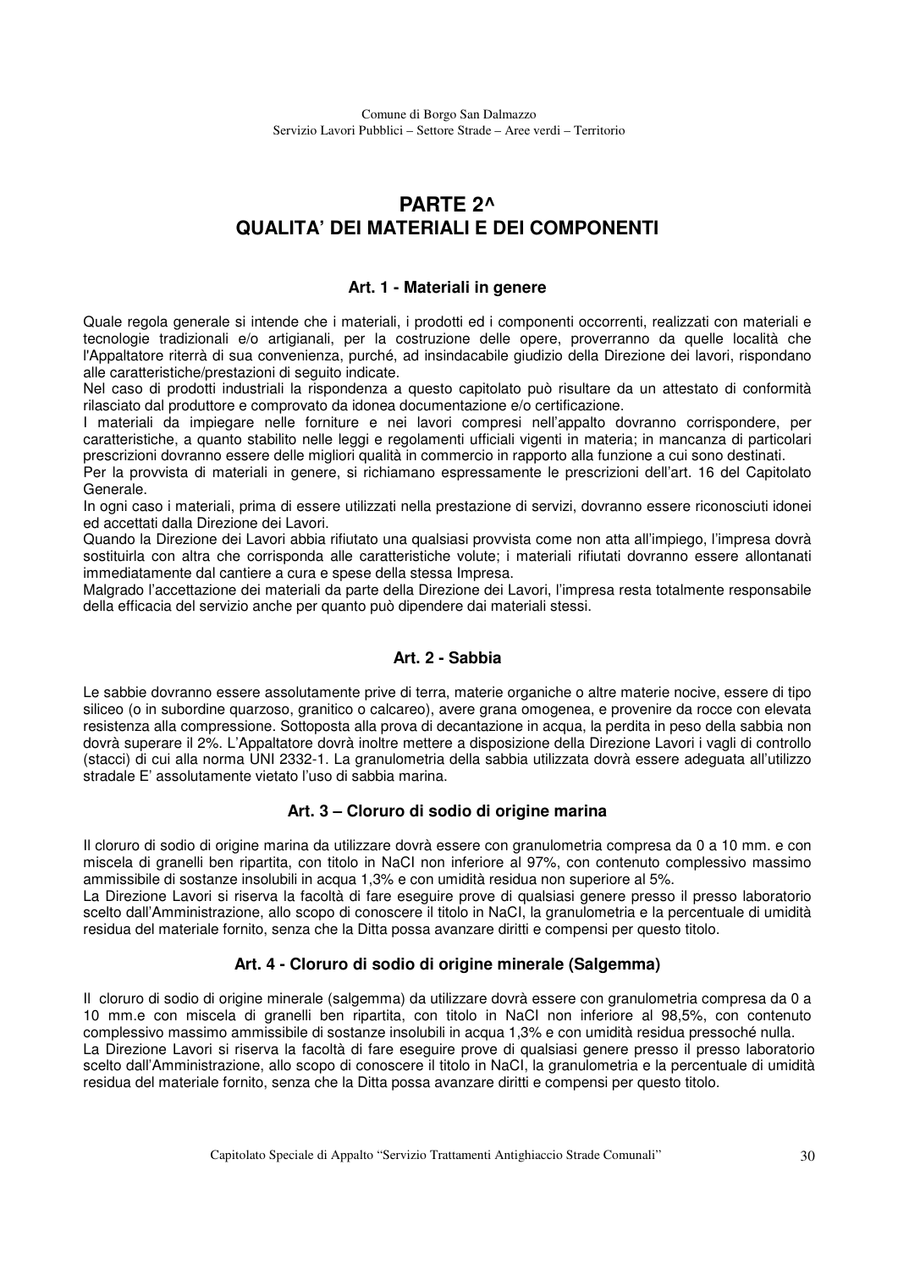# **PARTE 2^ QUALITA' DEI MATERIALI E DEI COMPONENTI**

### **Art. 1 - Materiali in genere**

Quale regola generale si intende che i materiali, i prodotti ed i componenti occorrenti, realizzati con materiali e tecnologie tradizionali e/o artigianali, per la costruzione delle opere, proverranno da quelle località che l'Appaltatore riterrà di sua convenienza, purché, ad insindacabile giudizio della Direzione dei lavori, rispondano alle caratteristiche/prestazioni di seguito indicate.

Nel caso di prodotti industriali la rispondenza a questo capitolato può risultare da un attestato di conformità rilasciato dal produttore e comprovato da idonea documentazione e/o certificazione.

I materiali da impiegare nelle forniture e nei lavori compresi nell'appalto dovranno corrispondere, per caratteristiche, a quanto stabilito nelle leggi e regolamenti ufficiali vigenti in materia; in mancanza di particolari prescrizioni dovranno essere delle migliori qualità in commercio in rapporto alla funzione a cui sono destinati.

Per la provvista di materiali in genere, si richiamano espressamente le prescrizioni dell'art. 16 del Capitolato Generale.

In ogni caso i materiali, prima di essere utilizzati nella prestazione di servizi, dovranno essere riconosciuti idonei ed accettati dalla Direzione dei Lavori.

Quando la Direzione dei Lavori abbia rifiutato una qualsiasi provvista come non atta all'impiego, l'impresa dovrà sostituirla con altra che corrisponda alle caratteristiche volute; i materiali rifiutati dovranno essere allontanati immediatamente dal cantiere a cura e spese della stessa Impresa.

Malgrado l'accettazione dei materiali da parte della Direzione dei Lavori, l'impresa resta totalmente responsabile della efficacia del servizio anche per quanto può dipendere dai materiali stessi.

### **Art. 2 - Sabbia**

Le sabbie dovranno essere assolutamente prive di terra, materie organiche o altre materie nocive, essere di tipo siliceo (o in subordine quarzoso, granitico o calcareo), avere grana omogenea, e provenire da rocce con elevata resistenza alla compressione. Sottoposta alla prova di decantazione in acqua, la perdita in peso della sabbia non dovrà superare il 2%. L'Appaltatore dovrà inoltre mettere a disposizione della Direzione Lavori i vagli di controllo (stacci) di cui alla norma UNI 2332-1. La granulometria della sabbia utilizzata dovrà essere adeguata all'utilizzo stradale E' assolutamente vietato l'uso di sabbia marina.

### **Art. 3 – Cloruro di sodio di origine marina**

Il cloruro di sodio di origine marina da utilizzare dovrà essere con granulometria compresa da 0 a 10 mm. e con miscela di granelli ben ripartita, con titolo in NaCI non inferiore al 97%, con contenuto complessivo massimo ammissibile di sostanze insolubili in acqua 1,3% e con umidità residua non superiore al 5%.

La Direzione Lavori si riserva la facoltà di fare eseguire prove di qualsiasi genere presso il presso laboratorio scelto dall'Amministrazione, allo scopo di conoscere il titolo in NaCI, la granulometria e la percentuale di umidità residua del materiale fornito, senza che la Ditta possa avanzare diritti e compensi per questo titolo.

### **Art. 4 - Cloruro di sodio di origine minerale (Salgemma)**

Il cloruro di sodio di origine minerale (salgemma) da utilizzare dovrà essere con granulometria compresa da 0 a 10 mm.e con miscela di granelli ben ripartita, con titolo in NaCI non inferiore al 98,5%, con contenuto complessivo massimo ammissibile di sostanze insolubili in acqua 1,3% e con umidità residua pressoché nulla. La Direzione Lavori si riserva la facoltà di fare eseguire prove di qualsiasi genere presso il presso laboratorio scelto dall'Amministrazione, allo scopo di conoscere il titolo in NaCI, la granulometria e la percentuale di umidità residua del materiale fornito, senza che la Ditta possa avanzare diritti e compensi per questo titolo.